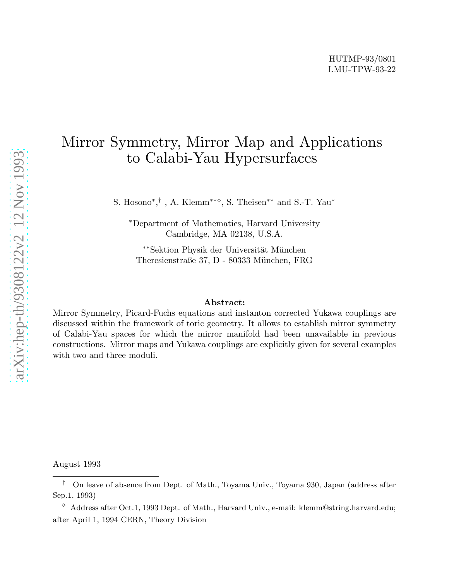# Mirror Symmetry, Mirror Map and Applications to Calabi-Yau Hypersurfaces

S. Hosono<sup>\*</sup>,<sup>†</sup>, A. Klemm<sup>\*\*◇</sup>, S. Theisen<sup>\*\*</sup> and S.-T. Yau<sup>\*</sup>

<sup>∗</sup>Department of Mathematics, Harvard University Cambridge, MA 02138, U.S.A.

∗∗Sektion Physik der Universität München Theresienstraße 37, D - 80333 München, FRG

## Abstract:

Mirror Symmetry, Picard-Fuchs equations and instanton corrected Yukawa couplings are discussed within the framework of toric geometry. It allows to establish mirror symmetry of Calabi-Yau spaces for which the mirror manifold had been unavailable in previous constructions. Mirror maps and Yukawa couplings are explicitly given for several examples with two and three moduli.

August 1993

<sup>†</sup> On leave of absence from Dept. of Math., Toyama Univ., Toyama 930, Japan (address after Sep.1, 1993)

 $\degree$  Address after Oct.1, 1993 Dept. of Math., Harvard Univ., e-mail: klemm@string.harvard.edu; after April 1, 1994 CERN, Theory Division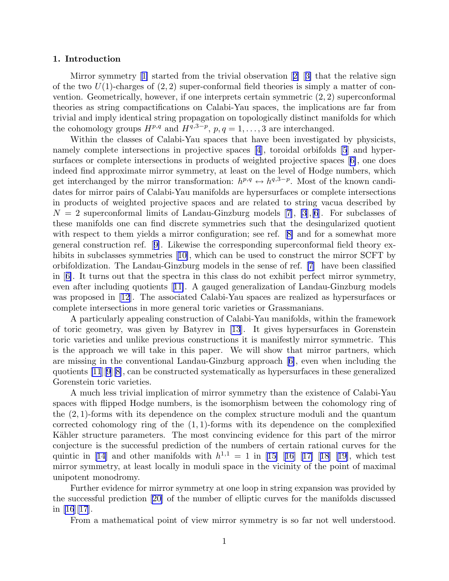### 1. Introduction

Mirror symmetry[[1\]](#page-56-0) started from the trivial observation[[2\]](#page-56-0) [[3\]](#page-56-0) that the relative sign of the two  $U(1)$ -charges of  $(2, 2)$  super-conformal field theories is simply a matter of convention. Geometrically, however, if one interprets certain symmetric  $(2, 2)$  superconformal theories as string compactifications on Calabi-Yau spaces, the implications are far from trivial and imply identical string propagation on topologically distinct manifolds for which the cohomology groups  $H^{p,q}$  and  $H^{q,3-p}$ ,  $p,q=1,\ldots,3$  are interchanged.

Within the classes of Calabi-Yau spaces that have been investigated by physicists, namely complete intersections in projective spaces[[4\]](#page-56-0), toroidal orbifolds [\[5](#page-56-0)] and hypersurfaces or complete intersections in products of weighted projective spaces[[6\]](#page-56-0), one does indeed find approximate mirror symmetry, at least on the level of Hodge numbers, which get interchanged by the mirror transformation:  $h^{p,q} \leftrightarrow h^{q,3-p}$ . Most of the known candidates for mirror pairs of Calabi-Yau manifolds are hypersurfaces or complete intersections in products of weighted projective spaces and are related to string vacua described by  $N = 2$  $N = 2$  $N = 2$  superconformal limits of Landau-Ginzburg models [[7\]](#page-56-0), [\[3](#page-56-0)], [\[6](#page-56-0)]. For subclasses of these manifolds one can find discrete symmetries such that the desingularized quotient withrespect to them yields a mirror configuration; see ref. [[8\]](#page-56-0) and for a somewhat more general construction ref.[[9\]](#page-56-0). Likewise the corresponding superconformal field theory ex-hibitsin subclasses symmetries [[10\]](#page-56-0), which can be used to construct the mirror SCFT by orbifoldization. The Landau-Ginzburg models in the sense of ref. [\[7](#page-56-0)] have been classified in[[6\]](#page-56-0). It turns out that the spectra in this class do not exhibit perfect mirror symmetry, even after including quotients[[11\]](#page-56-0). A gauged generalization of Landau-Ginzburg models was proposed in[[12](#page-56-0)]. The associated Calabi-Yau spaces are realized as hypersurfaces or complete intersections in more general toric varieties or Grassmanians.

A particularly appealing construction of Calabi-Yau manifolds, within the framework of toric geometry, was given by Batyrev in [\[13](#page-56-0)]. It gives hypersurfaces in Gorenstein toric varieties and unlike previous constructions it is manifestly mirror symmetric. This is the approach we will take in this paper. We will show that mirror partners, which are missing in the conventional Landau-Ginzburg approach[[6\]](#page-56-0), even when including the quotients [\[11](#page-56-0)][\[9](#page-56-0)][[8\]](#page-56-0), can be constructed systematically as hypersurfaces in these generalized Gorenstein toric varieties.

A much less trivial implication of mirror symmetry than the existence of Calabi-Yau spaces with flipped Hodge numbers, is the isomorphism between the cohomology ring of the (2, 1)-forms with its dependence on the complex structure moduli and the quantum corrected cohomology ring of the  $(1, 1)$ -forms with its dependence on the complexified Kähler structure parameters. The most convincing evidence for this part of the mirror conjecture is the successful prediction of the numbers of certain rational curves for the quinticin [[14](#page-56-0)] and other manifolds with  $h^{1,1} = 1$  in [[15\]](#page-56-0) [[16\]](#page-56-0) [[17\]](#page-56-0) [[18\]](#page-56-0) [[19\]](#page-56-0), which test mirror symmetry, at least locally in moduli space in the vicinity of the point of maximal unipotent monodromy.

Further evidence for mirror symmetry at one loop in string expansion was provided by the successful prediction [\[20](#page-56-0)] of the number of elliptic curves for the manifolds discussed in [\[16](#page-56-0)][[17](#page-56-0)].

From a mathematical point of view mirror symmetry is so far not well understood.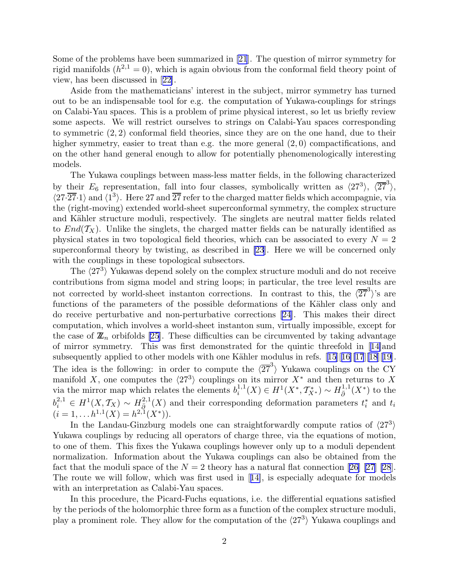Some of the problems have been summarized in [\[21](#page-56-0)]. The question of mirror symmetry for rigid manifolds  $(h^{2,1}=0)$ , which is again obvious from the conformal field theory point of view, has been discussed in[[22\]](#page-56-0).

Aside from the mathematicians' interest in the subject, mirror symmetry has turned out to be an indispensable tool for e.g. the computation of Yukawa-couplings for strings on Calabi-Yau spaces. This is a problem of prime physical interest, so let us briefly review some aspects. We will restrict ourselves to strings on Calabi-Yau spaces corresponding to symmetric (2, 2) conformal field theories, since they are on the one hand, due to their higher symmetry, easier to treat than e.g. the more general  $(2,0)$  compactifications, and on the other hand general enough to allow for potentially phenomenologically interesting models.

The Yukawa couplings between mass-less matter fields, in the following characterized by their  $E_6$  representation, fall into four classes, symbolically written as  $\langle 27^3 \rangle$ ,  $\langle \overline{27}^3 \rangle$ ,  $\langle 27\cdot 27\cdot 1 \rangle$  and  $\langle 1^3 \rangle$ . Here 27 and  $\overline{27}$  refer to the charged matter fields which accompagnie, via the (right-moving) extended world-sheet superconformal symmetry, the complex structure and Kähler structure moduli, respectively. The singlets are neutral matter fields related to  $End(\mathcal{T}_X)$ . Unlike the singlets, the charged matter fields can be naturally identified as physical states in two topological field theories, which can be associated to every  $N = 2$ superconformal theory by twisting, as described in [\[23](#page-57-0)]. Here we will be concerned only with the couplings in these topological subsectors.

The  $\langle 27^3 \rangle$  Yukawas depend solely on the complex structure moduli and do not receive contributions from sigma model and string loops; in particular, the tree level results are not corrected by world-sheet instanton corrections. In contrast to this, the  $\langle 27^3 \rangle$ 's are functions of the parameters of the possible deformations of the Kähler class only and do receive perturbative and non-perturbative corrections [\[24](#page-57-0)]. This makes their direct computation, which involves a world-sheet instanton sum, virtually impossible, except for the case of  $\mathbb{Z}_n$  orbifolds [\[25](#page-57-0)]. These difficulties can be circumvented by taking advantage of mirror symmetry. This was first demonstrated for the quintic threefold in[[14\]](#page-56-0)and subsequentlyapplied to other models with one Kähler modulus in refs.  $[15][16][17][18][19]$  $[15][16][17][18][19]$  $[15][16][17][18][19]$  $[15][16][17][18][19]$  $[15][16][17][18][19]$  $[15][16][17][18][19]$  $[15][16][17][18][19]$  $[15][16][17][18][19]$ . The idea is the following: in order to compute the  $\langle 2\overline{7}^3 \rangle$  Yukawa couplings on the CY manifold X, one computes the  $\langle 27^3 \rangle$  couplings on its mirror  $X^*$  and then returns to X via the mirror map which relates the elements  $b_i^{1,1}$  $i^{1,1}(X) \in H^1(X^*, \mathcal{T}_{X^*}^*) \sim H_{\bar{\partial}}^{1,1}$  $\frac{1}{\partial}$ <sup>1</sup> $(X^*)$  to the  $b_i^{2,1} \in H^1(X, \mathcal{T}_X) \sim H_{\bar{\partial}}^{2,1}$  $\frac{1}{\tilde{Q}}^{2,1}(X)$  and their corresponding deformation parameters  $t_i^*$  and  $t_i$  $(i = 1, \ldots h^{1,1}(X)) = h^{2,1}(X^*)$ .

In the Landau-Ginzburg models one can straightforwardly compute ratios of  $\langle 27^3 \rangle$ Yukawa couplings by reducing all operators of charge three, via the equations of motion, to one of them. This fixes the Yukawa couplings however only up to a moduli dependent normalization. Information about the Yukawa couplings can also be obtained from the factthat the moduli space of the  $N = 2$  theory has a natural flat connection [[26\] \[27](#page-57-0)] [\[28](#page-57-0)]. The route we will follow, which was first used in[[14\]](#page-56-0), is especially adequate for models with an interpretation as Calabi-Yau spaces.

In this procedure, the Picard-Fuchs equations, i.e. the differential equations satisfied by the periods of the holomorphic three form as a function of the complex structure moduli, play a prominent role. They allow for the computation of the  $\langle 27^3 \rangle$  Yukawa couplings and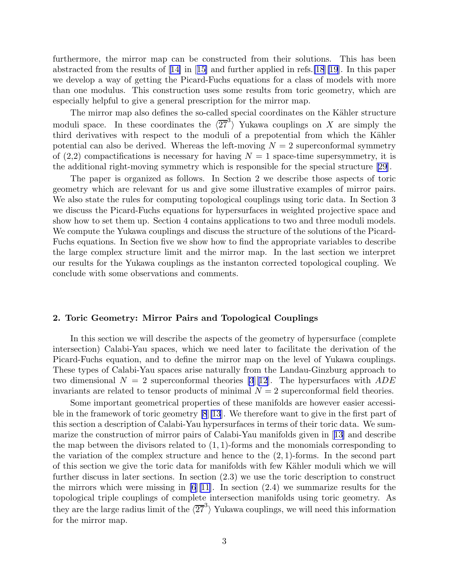furthermore, the mirror map can be constructed from their solutions. This has been abstractedfrom the results of  $[14]$  $[14]$  in  $[15]$  $[15]$  and further applied in refs. [\[18](#page-56-0)][\[19](#page-56-0)]. In this paper we develop a way of getting the Picard-Fuchs equations for a class of models with more than one modulus. This construction uses some results from toric geometry, which are especially helpful to give a general prescription for the mirror map.

The mirror map also defines the so-called special coordinates on the Kähler structure moduli space. In these coordinates the  $\langle 2\overline{7}^3 \rangle$  Yukawa couplings on X are simply the third derivatives with respect to the moduli of a prepotential from which the Kähler potential can also be derived. Whereas the left-moving  $N = 2$  superconformal symmetry of  $(2,2)$  compactifications is necessary for having  $N = 1$  space-time supersymmetry, it is the additional right-moving symmetry which is responsible for the special structure[[29](#page-57-0)].

The paper is organized as follows. In Section 2 we describe those aspects of toric geometry which are relevant for us and give some illustrative examples of mirror pairs. We also state the rules for computing topological couplings using toric data. In Section 3 we discuss the Picard-Fuchs equations for hypersurfaces in weighted projective space and show how to set them up. Section 4 contains applications to two and three moduli models. We compute the Yukawa couplings and discuss the structure of the solutions of the Picard-Fuchs equations. In Section five we show how to find the appropriate variables to describe the large complex structure limit and the mirror map. In the last section we interpret our results for the Yukawa couplings as the instanton corrected topological coupling. We conclude with some observations and comments.

## 2. Toric Geometry: Mirror Pairs and Topological Couplings

In this section we will describe the aspects of the geometry of hypersurface (complete intersection) Calabi-Yau spaces, which we need later to facilitate the derivation of the Picard-Fuchs equation, and to define the mirror map on the level of Yukawa couplings. These types of Calabi-Yau spaces arise naturally from the Landau-Ginzburg approach to two dimensional  $N = 2$  superconformal theories [\[3](#page-56-0)][\[12](#page-56-0)]. The hypersurfaces with  $ADE$ invariants are related to tensor products of minimal  $N = 2$  superconformal field theories.

Some important geometrical properties of these manifolds are however easier accessible in the framework of toric geometry [\[8](#page-56-0)][\[13](#page-56-0)]. We therefore want to give in the first part of this section a description of Calabi-Yau hypersurfaces in terms of their toric data. We summarize the construction of mirror pairs of Calabi-Yau manifolds given in[[13\]](#page-56-0) and describe the map between the divisors related to  $(1,1)$ -forms and the monomials corresponding to the variation of the complex structure and hence to the  $(2, 1)$ -forms. In the second part of this section we give the toric data for manifolds with few K¨ahler moduli which we will further discuss in later sections. In section (2.3) we use the toric description to construct the mirrors which were missing in  $[6][11]$  $[6][11]$  $[6][11]$ . In section  $(2.4)$  we summarize results for the topological triple couplings of complete intersection manifolds using toric geometry. As they are the large radius limit of the  $\langle 27^3 \rangle$  Yukawa couplings, we will need this information for the mirror map.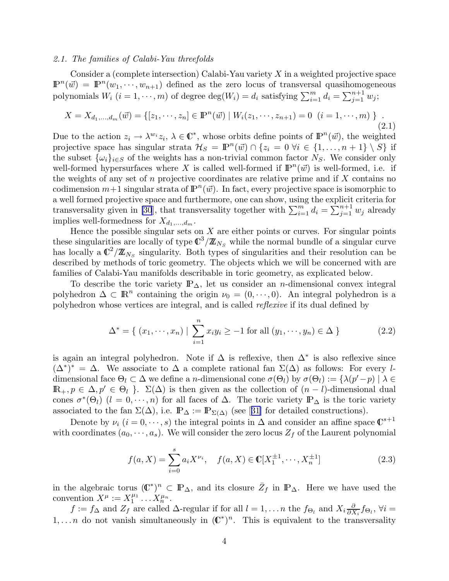#### <span id="page-4-0"></span>2.1. The families of Calabi-Yau threefolds

Consider a (complete intersection) Calabi-Yau variety  $X$  in a weighted projective space  $\mathbb{P}^n(\vec{w}) = \mathbb{P}^n(w_1, \dots, w_{n+1})$  defined as the zero locus of transversal quasihomogeneous polynomials  $W_i$   $(i = 1, \dots, m)$  of degree  $\deg(W_i) = d_i$  satisfying  $\sum_{i=1}^{m} d_i = \sum_{j=1}^{n+1} w_j$ ;

$$
X = X_{d_1,\dots,d_m}(\vec{w}) = \{ [z_1,\dots,z_n] \in \mathbb{P}^n(\vec{w}) \mid W_i(z_1,\dots,z_{n+1}) = 0 \ (i = 1,\dots,m) \}.
$$
\n(2.1)

Due to the action  $z_i \to \lambda^{w_i} z_i$ ,  $\lambda \in \mathbb{C}^*$ , whose orbits define points of  $\mathbb{P}^n(\vec{w})$ , the weighted projective space has singular strata  $\mathcal{H}_S = \mathbb{P}^n(\vec{w}) \cap \{z_i = 0 \; \forall i \in \{1, ..., n+1\} \setminus S\}$  if the subset  $\{\omega_i\}_{i\in S}$  of the weights has a non-trivial common factor  $N_S$ . We consider only well-formed hypersurfaces where X is called well-formed if  $\mathbb{P}^n(\vec{w})$  is well-formed, i.e. if the weights of any set of n projective coordinates are relative prime and if  $X$  contains no codimension  $m+1$  singular strata of  $\mathbb{P}^n(\vec{w})$ . In fact, every projective space is isomorphic to a well formed projective space and furthermore, one can show, using the explicit criteria for transversality given in [\[30](#page-57-0)], that transversality together with  $\sum_{i=1}^{m} d_i = \sum_{j=1}^{n+1} w_j$  already implies well-formedness for  $X_{d_1,\ldots,d_m}$ .

Hence the possible singular sets on  $X$  are either points or curves. For singular points these singularities are locally of type  $\mathbb{C}^3/\mathbb{Z}_{N_S}$  while the normal bundle of a singular curve has locally a  $\mathbb{C}^2/\mathbb{Z}_{N_S}$  singularity. Both types of singularities and their resolution can be described by methods of toric geometry. The objects which we will be concerned with are families of Calabi-Yau manifolds describable in toric geometry, as explicated below.

To describe the toric variety  $\mathbb{P}_{\Delta}$ , let us consider an *n*-dimensional convex integral polyhedron  $\Delta \subset \mathbb{R}^n$  containing the origin  $\nu_0 = (0, \dots, 0)$ . An integral polyhedron is a polyhedron whose vertices are integral, and is called reflexive if its dual defined by

$$
\Delta^* = \{ (x_1, \dots, x_n) \mid \sum_{i=1}^n x_i y_i \ge -1 \text{ for all } (y_1, \dots, y_n) \in \Delta \}
$$
 (2.2)

is again an integral polyhedron. Note if  $\Delta$  is reflexive, then  $\Delta^*$  is also reflexive since  $(\Delta^*)^* = \Delta$ . We associate to  $\Delta$  a complete rational fan  $\Sigma(\Delta)$  as follows: For every ldimensional face  $\Theta_l \subset \Delta$  we define a *n*-dimensional cone  $\sigma(\Theta_l)$  by  $\sigma(\Theta_l) := {\lambda(p'-p) \mid \lambda \in \Delta}$  $\mathbb{R}_+, p \in \Delta, p' \in \Theta_l$ .  $\Sigma(\Delta)$  is then given as the collection of  $(n-l)$ -dimensional dual cones  $\sigma^*(\Theta_l)$  ( $l = 0, \dots, n$ ) for all faces of  $\Delta$ . The toric variety  $\mathbb{P}_{\Delta}$  is the toric variety associatedto the fan  $\Sigma(\Delta)$ , i.e.  $\mathbb{P}_{\Delta} := \mathbb{P}_{\Sigma(\Delta)}$  (see [[31\]](#page-57-0) for detailed constructions).

Denote by  $\nu_i$   $(i = 0, \dots, s)$  the integral points in  $\Delta$  and consider an affine space  $\mathbb{C}^{s+1}$ with coordinates  $(a_0, \dots, a_s)$ . We will consider the zero locus  $Z_f$  of the Laurent polynomial

$$
f(a, X) = \sum_{i=0}^{s} a_i X^{\nu_i}, \quad f(a, X) \in \mathbb{C}[X_1^{\pm 1}, \cdots, X_n^{\pm 1}]
$$
 (2.3)

in the algebraic torus  $(\mathbb{C}^*)^n \subset \mathbb{P}_{\Delta}$ , and its closure  $\bar{Z}_f$  in  $\mathbb{P}_{\Delta}$ . Here we have used the convention  $X^{\mu} := X_1^{\mu_1}$  $x_1^{\mu_1}\ldots x_n^{\mu_n}.$ 

 $f := f_{\Delta}$  and  $Z_f$  are called  $\Delta$ -regular if for all  $l = 1, ..., n$  the  $f_{\Theta_l}$  and  $X_i \frac{\partial}{\partial X_i}$  $\frac{\partial}{\partial X_i} f_{\Theta_l}, \forall i =$  $1, \ldots n$  do not vanish simultaneously in  $(\mathbb{C}^*)^n$ . This is equivalent to the transversality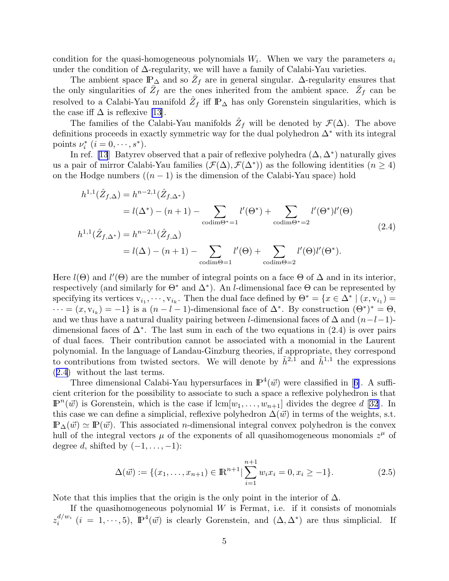<span id="page-5-0"></span>condition for the quasi-homogeneous polynomials  $W_i$ . When we vary the parameters  $a_i$ under the condition of ∆-regularity, we will have a family of Calabi-Yau varieties.

The ambient space  $\mathbb{P}_{\Delta}$  and so  $\bar{Z}_f$  are in general singular.  $\Delta$ -regularity ensures that the only singularities of  $\bar{Z}_f$  are the ones inherited from the ambient space.  $\bar{Z}_f$  can be resolved to a Calabi-Yau manifold  $\hat{Z}_f$  iff  $\mathbb{P}_{\Delta}$  has only Gorenstein singularities, which is the case iff  $\Delta$  is reflexive [\[13](#page-56-0)].

The families of the Calabi-Yau manifolds  $\hat{Z}_f$  will be denoted by  $\mathcal{F}(\Delta)$ . The above definitions proceeds in exactly symmetric way for the dual polyhedron ∆<sup>∗</sup> with its integral points  $\nu_i^*$   $(i = 0, \dots, s^*)$ .

In ref. [\[13](#page-56-0)] Batyrev observed that a pair of reflexive polyhedra  $(\Delta, \Delta^*)$  naturally gives us a pair of mirror Calabi-Yau families  $(\mathcal{F}(\Delta), \mathcal{F}(\Delta^*))$  as the following identities  $(n \geq 4)$ on the Hodge numbers  $((n-1)$  is the dimension of the Calabi-Yau space) hold

$$
h^{1,1}(\hat{Z}_{f,\Delta}) = h^{n-2,1}(\hat{Z}_{f,\Delta^*})
$$
  
\n
$$
= l(\Delta^*) - (n+1) - \sum_{\text{codim}\Theta^* = 1} l'(\Theta^*) + \sum_{\text{codim}\Theta^* = 2} l'(\Theta^*)l'(\Theta)
$$
  
\n
$$
h^{1,1}(\hat{Z}_{f,\Delta^*}) = h^{n-2,1}(\hat{Z}_{f,\Delta})
$$
  
\n
$$
= l(\Delta) - (n+1) - \sum_{\text{codim}\Theta = 1} l'(\Theta) + \sum_{\text{codim}\Theta = 2} l'(\Theta)l'(\Theta^*).
$$
\n(2.4)

Here  $l(\Theta)$  and  $l'(\Theta)$  are the number of integral points on a face  $\Theta$  of  $\Delta$  and in its interior, respectively (and similarly for  $\Theta^*$  and  $\Delta^*$ ). An *l*-dimensional face  $\Theta$  can be represented by specifying its vertices  $v_{i_1}, \dots, v_{i_k}$ . Then the dual face defined by  $\Theta^* = \{x \in \Delta^* \mid (x, v_{i_1}) =$  $\cdots = (x, v_{i_k}) = -1$  is a  $(n - l - 1)$ -dimensional face of  $\Delta^*$ . By construction  $(\Theta^*)^* = \Theta$ , and we thus have a natural duality pairing between l-dimensional faces of  $\Delta$  and  $(n-l-1)$ dimensional faces of  $\Delta^*$ . The last sum in each of the two equations in (2.4) is over pairs of dual faces. Their contribution cannot be associated with a monomial in the Laurent polynomial. In the language of Landau-Ginzburg theories, if appropriate, they correspond to contributions from twisted sectors. We will denote by  $\tilde{h}^{2,1}$  and  $\tilde{h}^{1,1}$  the expressions (2.4) without the last terms.

Threedimensional Calabi-Yau hypersurfaces in  $\mathbb{P}^4(\vec{w})$  were classified in [[6\]](#page-56-0). A sufficient criterion for the possibility to associate to such a space a reflexive polyhedron is that  $\mathbb{P}^n(\vec{w})$  is Gorenstein, which is the case if  $\text{lcm}[w_1,\ldots,w_{n+1}]$  divides the degree d [[32](#page-57-0)]. In this case we can define a simplicial, reflexive polyhedron  $\Delta(\vec{w})$  in terms of the weights, s.t.  $\mathbb{P}_{\Delta}(\vec{w}) \simeq \mathbb{P}(\vec{w})$ . This associated *n*-dimensional integral convex polyhedron is the convex hull of the integral vectors  $\mu$  of the exponents of all quasihomogeneous monomials  $z^{\mu}$  of degree d, shifted by  $(-1, \ldots, -1)$ :

$$
\Delta(\vec{w}) := \{(x_1, \dots, x_{n+1}) \in \mathbb{R}^{n+1} | \sum_{i=1}^{n+1} w_i x_i = 0, x_i \ge -1\}.
$$
\n(2.5)

Note that this implies that the origin is the only point in the interior of  $\Delta$ .

If the quasihomogeneous polynomial  $W$  is Fermat, i.e. if it consists of monomials  $z_i^{d/w_i}$  $i^{d/w_i}$   $(i = 1, \dots, 5)$ ,  $\mathbb{P}^4(\vec{w})$  is clearly Gorenstein, and  $(\Delta, \Delta^*)$  are thus simplicial. If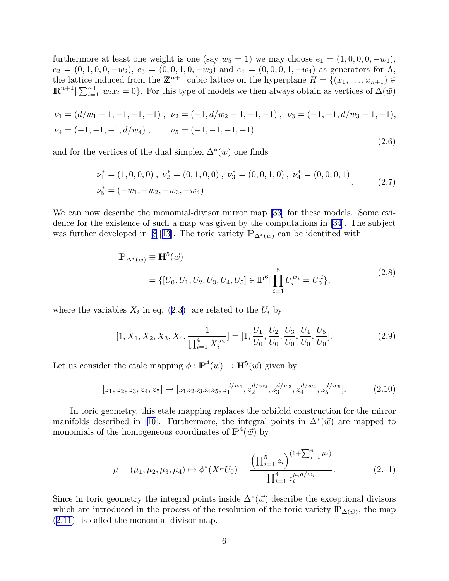<span id="page-6-0"></span>furthermore at least one weight is one (say  $w_5 = 1$ ) we may choose  $e_1 = (1, 0, 0, 0, -w_1)$ ,  $e_2 = (0, 1, 0, 0, -w_2), e_3 = (0, 0, 1, 0, -w_3)$  and  $e_4 = (0, 0, 0, 1, -w_4)$  as generators for  $\Lambda$ , the lattice induced from the  $\mathbb{Z}^{n+1}$  cubic lattice on the hyperplane  $H = \{(x_1, \ldots, x_{n+1}) \in$  $\mathbb{R}^{n+1}|\sum_{i=1}^{n+1} w_i x_i = 0\}$ . For this type of models we then always obtain as vertices of  $\Delta(\vec{w})$ 

$$
\nu_1 = (d/w_1 - 1, -1, -1, -1), \quad \nu_2 = (-1, d/w_2 - 1, -1, -1), \quad \nu_3 = (-1, -1, d/w_3 - 1, -1),
$$
  

$$
\nu_4 = (-1, -1, -1, d/w_4), \qquad \nu_5 = (-1, -1, -1, -1)
$$
\n(2.6)

and for the vertices of the dual simplex  $\Delta^*(w)$  one finds

$$
\nu_1^* = (1, 0, 0, 0), \quad \nu_2^* = (0, 1, 0, 0), \quad \nu_3^* = (0, 0, 1, 0), \quad \nu_4^* = (0, 0, 0, 1)
$$
\n
$$
\nu_5^* = (-w_1, -w_2, -w_3, -w_4)
$$
\n(2.7)

We can now describe the monomial-divisor mirror map [\[33](#page-57-0)] for these models. Some evidence for the existence of such a map was given by the computations in [\[34](#page-57-0)]. The subject wasfurther developed in [[8\]](#page-56-0)[[13\]](#page-56-0). The toric variety  $\mathbb{P}_{\Delta^*(w)}$  can be identified with

$$
\mathbb{P}_{\Delta^*(w)} \equiv \mathbf{H}^5(\vec{w})
$$
\n
$$
= \{ [U_0, U_1, U_2, U_3, U_4, U_5] \in \mathbb{P}^6 \mid \prod_{i=1}^5 U_i^{w_i} = U_0^d \},
$$
\n(2.8)

wherethe variables  $X_i$  in eq. ([2.3\)](#page-4-0) are related to the  $U_i$  by

$$
[1, X_1, X_2, X_3, X_4, \frac{1}{\prod_{i=1}^4 X_i^{w_i}}] = [1, \frac{U_1}{U_0}, \frac{U_2}{U_0}, \frac{U_3}{U_0}, \frac{U_4}{U_0}, \frac{U_5}{U_0}].
$$
\n(2.9)

Let us consider the etale mapping  $\phi : \mathbb{P}^4(\vec{w}) \to \mathbb{H}^5(\vec{w})$  given by

$$
[z_1, z_2, z_3, z_4, z_5] \mapsto [z_1 z_2 z_3 z_4 z_5, z_1^{d/w_1}, z_2^{d/w_2}, z_3^{d/w_3}, z_4^{d/w_4}, z_5^{d/w_5}].
$$
 (2.10)

In toric geometry, this etale mapping replaces the orbifold construction for the mirror manifoldsdescribed in [[10\]](#page-56-0). Furthermore, the integral points in  $\Delta^*(\vec{w})$  are mapped to monomials of the homogeneous coordinates of  $\mathbb{P}^4(\vec{w})$  by

$$
\mu = (\mu_1, \mu_2, \mu_3, \mu_4) \mapsto \phi^*(X^{\mu}U_0) = \frac{\left(\prod_{i=1}^5 z_i\right)^{(1 + \sum_{i=1}^4 \mu_i)}}{\prod_{i=1}^4 z_i^{\mu_i d/w_i}}.
$$
\n(2.11)

Since in toric geometry the integral points inside  $\Delta^*(\vec{w})$  describe the exceptional divisors which are introduced in the process of the resolution of the toric variety  $\mathbb{P}_{\Delta(\vec{w})}$ , the map (2.11) is called the monomial-divisor map.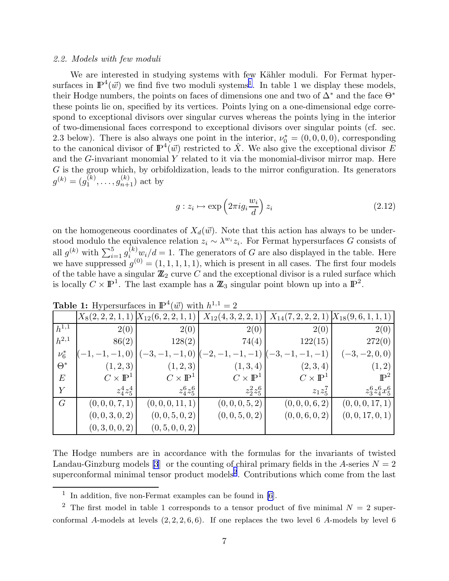#### 2.2. Models with few moduli

We are interested in studying systems with few Kähler moduli. For Fermat hypersurfaces in  $\mathbb{P}^4(\vec{w})$  we find five two moduli systems<sup>1</sup>. In table 1 we display these models, their Hodge numbers, the points on faces of dimensions one and two of ∆<sup>∗</sup> and the face Θ<sup>∗</sup> these points lie on, specified by its vertices. Points lying on a one-dimensional edge correspond to exceptional divisors over singular curves whereas the points lying in the interior of two-dimensional faces correspond to exceptional divisors over singular points (cf. sec. 2.3 below). There is also always one point in the interior,  $\nu_0^* = (0, 0, 0, 0)$ , corresponding to the canonical divisor of  $\mathbb{P}^4(\vec{w})$  restricted to  $\hat{X}$ . We also give the exceptional divisor E and the G-invariant monomial Y related to it via the monomial-divisor mirror map. Here  $G$  is the group which, by orbifoldization, leads to the mirror configuration. Its generators  $g^{(k)} = (g_1^{(k)}$  $j_1^{(k)}, \ldots, g_{n+1}^{(k)}$  act by

$$
g: z_i \mapsto \exp\left(2\pi i g_i \frac{w_i}{d}\right) z_i \tag{2.12}
$$

on the homogeneous coordinates of  $X_d(\vec{w})$ . Note that this action has always to be understood modulo the equivalence relation  $z_i \sim \lambda^{w_i} z_i$ . For Fermat hypersurfaces G consists of all  $g^{(k)}$  with  $\sum_{i=1}^{5} g^{(k)}_{i} w_i/d = 1$ . The generators of G are also displayed in the table. Here we have suppressed  $g^{(0)} = (1, 1, 1, 1, 1)$ , which is present in all cases. The first four models of the table have a singular  $\mathbb{Z}_2$  curve C and the exceptional divisor is a ruled surface which is locally  $C \times \mathbb{P}^1$ . The last example has a  $\mathbb{Z}_3$  singular point blown up into a  $\mathbb{P}^2$ .

|                  | $X_8(2,2,2,1,1)$      | $X_{12}(6, 2, 2, 1,$  | $X_{12}(4,3,2,2,1)$   | $X_{14}(7,2,2,2,1)$     | $X_{18}(9,6,1,1,1)$              |
|------------------|-----------------------|-----------------------|-----------------------|-------------------------|----------------------------------|
| $h^{1,1}$        | 2(0)                  | 2(0)                  | 2(0)                  | 2(0)                    | 2(0)                             |
| $h^{2,1}$        | 86(2)                 | 128(2)                | 74(4)                 | 122(15)                 | 272(0)                           |
| $\nu_6^*$        | $-1,0$                | $(-1,0)$              |                       |                         | $-2, 0, 0)$<br>$\left[-3\right]$ |
| $\Theta^*$       | (1, 2, 3)             | (1,2,3)               | (1, 3, 4)             | (2, 3, 4)               | (1, 2)                           |
| $\,E$            | $C\times\mathbb{P}^1$ | $C\times\mathbb{P}^1$ | $C\times\mathbb{P}^1$ | $C \times \mathbb{P}^1$ | $\mathbb{P}^2$                   |
| $\boldsymbol{Y}$ | $z_4^4 z_5^4$         | $z_4^6 z_5^6$         | $z_2^2 z_5^6$         | $z_1z_5^7$              | $z_3^6z_4^6x_5^6$                |
| G                | (0,0,0,7,1)           | (0,0,0,11,1)          | (0,0,0,5,2)           | (0,0,0,6,2)             | (0, 0, 0, 17, 1)                 |
|                  | (0,0,3,0,2)           | (0, 0, 5, 0, 2)       | (0,0,5,0,2)           | (0,0,6,0,2)             | (0, 0, 17, 0, 1)                 |
|                  | (0,3,0,0,2)           | (0, 5, 0, 0, 2)       |                       |                         |                                  |

**Table 1:** Hypersurfaces in  $\mathbb{P}^4(\vec{w})$  with  $h^{1,1} = 2$ 

The Hodge numbers are in accordance with the formulas for the invariants of twisted Landau-Ginzburg models [\[3](#page-56-0)] or the counting of chiral primary fields in the A-series  $N = 2$ superconformal minimal tensor product models<sup>2</sup>. Contributions which come from the last

<sup>1</sup> In addition, five non-Fermat examples can be found in [\[6\]](#page-56-0).

<sup>&</sup>lt;sup>2</sup> The first model in table 1 corresponds to a tensor product of five minimal  $N = 2$  superconformal A-models at levels  $(2, 2, 2, 6, 6)$ . If one replaces the two level 6 A-models by level 6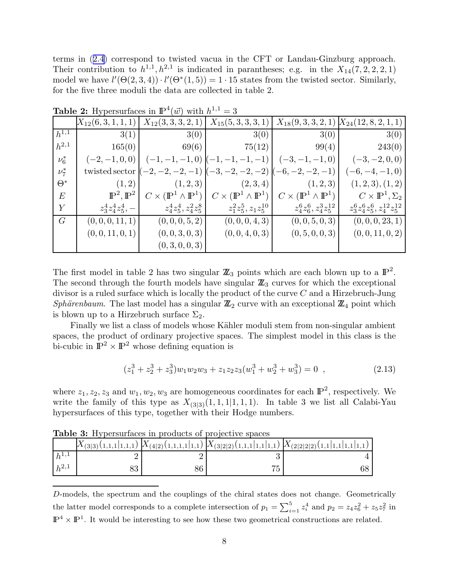<span id="page-8-0"></span>terms in([2.4](#page-5-0)) correspond to twisted vacua in the CFT or Landau-Ginzburg approach. Their contribution to  $h^{1,1}, h^{2,1}$  is indicated in parantheses; e.g. in the  $X_{14}(7,2,2,2,1)$ model we have  $l'(\Theta(2,3,4)) \cdot l'(\Theta^*(1,5)) = 1 \cdot 15$  states from the twisted sector. Similarly, for the five three moduli the data are collected in table 2.

|            | $X_{12}(6,3,1,1,1)$          | $X_{12}(3,3,3,2,1)$                           | $X_{15}(5,3,3,3,1)$                           | $X_{18}(9,3,3,2,1)$                             | $X_{24}(12,8,2,1,1)$                |
|------------|------------------------------|-----------------------------------------------|-----------------------------------------------|-------------------------------------------------|-------------------------------------|
| $h^{1,1}$  | 3(1)                         | 3(0)                                          | 3(0)                                          | 3(0)                                            | 3(0)                                |
| $h^{2,1}$  | 165(0)                       | 69(6)                                         | 75(12)                                        | 99(4)                                           | 243(0)                              |
| $\nu_6^*$  | $(-2,-1,0,0)$                | $(-1,0)$                                      | $-1)$                                         | $(-3,-1,-1,0)$                                  | $(-3,-2,0,0)$                       |
| $\nu^*$    | twisted sector               |                                               | $-3,$<br>$-2)$<br>$-2,$                       |                                                 | $(-6, -4, -1, 0)$                   |
| $\Theta^*$ | (1, 2)                       | (1, 2, 3)                                     | (2,3,4)                                       | (1,2,3)                                         | (1, 2, 3), (1, 2)                   |
| $\,E$      | $\mathbb{P}^2, \mathbb{P}^2$ | $C \times (\mathbb{P}^1 \wedge \mathbb{P}^1)$ | $C \times (\mathbb{P}^1 \wedge \mathbb{P}^1)$ | $\times$ ( $\mathbb{P}^1 \wedge \mathbb{P}^1$ ) | $C \times \mathbb{P}^1, \Sigma_2$   |
| Y          | $z_3^4 z_4^4 z_5^4$ , -      | $ z_4^4z_5^4, z_4^2z_5^8 $                    | $z_1^2z_5^5, z_1z_5^{10}$                     | $z_4^6z_6^6, z_4^3z_5^{12}$                     | $z_3^6z_4^6z_5^6, z_4^{12}z_5^{12}$ |
| G          | (0,0,0,11,1)                 | (0,0,0,5,2)                                   | (0,0,0,4,3)                                   | (0,0,5,0,3)                                     | (0, 0, 0, 23, 1)                    |
|            | (0, 0, 11, 0, 1)             | (0,0,3,0,3)                                   | (0,0,4,0,3)                                   | (0, 5, 0, 0, 3)                                 | (0,0,11,0,2)                        |
|            |                              | (0,3,0,0,3)                                   |                                               |                                                 |                                     |

**Table 2:** Hypersurfaces in  $\mathbb{P}^4(\vec{w})$  with  $h^{1,1} = 3$ 

The first model in table 2 has two singular  $\mathbb{Z}_3$  points which are each blown up to a  $\mathbb{P}^2$ . The second through the fourth models have singular  $\mathbb{Z}_3$  curves for which the exceptional divisor is a ruled surface which is locally the product of the curve  $C$  and a Hirzebruch-Jung Sphärenbaum. The last model has a singular  $\mathbb{Z}_2$  curve with an exceptional  $\mathbb{Z}_4$  point which is blown up to a Hirzebruch surface  $\Sigma_2$ .

Finally we list a class of models whose Kähler moduli stem from non-singular ambient spaces, the product of ordinary projective spaces. The simplest model in this class is the bi-cubic in  $\mathbb{P}^2 \times \mathbb{P}^2$  whose defining equation is

$$
(z_1^3 + z_2^3 + z_3^3)w_1w_2w_3 + z_1z_2z_3(w_1^3 + w_2^3 + w_3^3) = 0 , \qquad (2.13)
$$

where  $z_1, z_2, z_3$  and  $w_1, w_2, w_3$  are homogeneous coordinates for each  $\mathbb{P}^2$ , respectively. We write the family of this type as  $X_{(3|3)}(1,1,1|1,1,1)$ . In table 3 we list all Calabi-Yau hypersurfaces of this type, together with their Hodge numbers.

|           |  |    | $X_{(3 3)}(1,1,1 1,1,1)$ $X_{(4 2)}(1,1,1,1 1,1)$ $X_{(3 2 2)}(1,1,1 1,1)$ $X_{(2 2 2)}(1,1 1,1 1,1 1,1)$ |
|-----------|--|----|-----------------------------------------------------------------------------------------------------------|
| $h^{1,1}$ |  |    |                                                                                                           |
| $h^{2,1}$ |  | -- |                                                                                                           |

Table 3: Hypersurfaces in products of projective spaces

D-models, the spectrum and the couplings of the chiral states does not change. Geometrically the latter model corresponds to a complete intersection of  $p_1 = \sum_{i=1}^5 z_i^4$  and  $p_2 = z_4 z_6^2 + z_5 z_7^2$  in  $\mathbb{P}^4 \times \mathbb{P}^1$ . It would be interesting to see how these two geometrical constructions are related.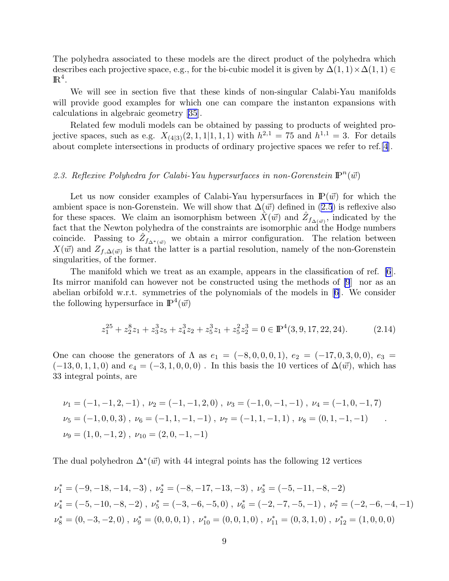<span id="page-9-0"></span>The polyhedra associated to these models are the direct product of the polyhedra which describes each projective space, e.g., for the bi-cubic model it is given by  $\Delta(1,1)\times\Delta(1,1) \in$  $\mathbb{R}^4$ .

We will see in section five that these kinds of non-singular Calabi-Yau manifolds will provide good examples for which one can compare the instanton expansions with calculations in algebraic geometry [\[35](#page-57-0)].

Related few moduli models can be obtained by passing to products of weighted projective spaces, such as e.g.  $X_{(4|3)}(2,1,1|1,1,1)$  with  $h^{2,1} = 75$  and  $h^{1,1} = 3$ . For details about complete intersections in products of ordinary projective spaces we refer to ref.[\[4](#page-56-0)].

## 2.3. Reflexive Polyhedra for Calabi-Yau hypersurfaces in non-Gorenstein  $\mathbb{P}^n(\vec{w})$

Let us now consider examples of Calabi-Yau hypersurfaces in  $\mathbb{P}(\vec{w})$  for which the ambient space is non-Gorenstein. We will show that  $\Delta(\vec{w})$  defined in [\(2.5](#page-5-0)) is reflexive also for these spaces. We claim an isomorphism between  $\hat{X}(\vec{w})$  and  $\hat{Z}_{f_{\Delta(\vec{w})}}$ , indicated by the fact that the Newton polyhedra of the constraints are isomorphic and the Hodge numbers coincide. Passing to  $\hat{Z}_{f_{\Delta^*(\vec{w})}}$  we obtain a mirror configuration. The relation between  $X(\vec{w})$  and  $Z_{f,\Delta(\vec{w})}$  is that the latter is a partial resolution, namely of the non-Gorenstein singularities, of the former.

The manifold which we treat as an example, appears in the classification of ref. [\[6](#page-56-0)]. Its mirror manifold can however not be constructed using the methods of [\[9](#page-56-0)] nor as an abelian orbifold w.r.t. symmetries of the polynomials of the models in[[6\]](#page-56-0). We consider the following hypersurface in  $\mathbb{P}^4(\vec{w})$ 

$$
z_1^{25} + z_2^{8}z_1 + z_3^{3}z_5 + z_4^{3}z_2 + z_5^{3}z_1 + z_5^{2}z_2^{3} = 0 \in \mathbb{P}^{4}(3, 9, 17, 22, 24). \tag{2.14}
$$

.

One can choose the generators of  $\Lambda$  as  $e_1 = (-8, 0, 0, 0, 1), e_2 = (-17, 0, 3, 0, 0), e_3 =$  $(-13, 0, 1, 1, 0)$  and  $e_4 = (-3, 1, 0, 0, 0)$ . In this basis the 10 vertices of  $\Delta(\vec{w})$ , which has 33 integral points, are

$$
\nu_1 = (-1, -1, 2, -1), \quad \nu_2 = (-1, -1, 2, 0), \quad \nu_3 = (-1, 0, -1, -1), \quad \nu_4 = (-1, 0, -1, 7)
$$
\n
$$
\nu_5 = (-1, 0, 0, 3), \quad \nu_6 = (-1, 1, -1, -1), \quad \nu_7 = (-1, 1, -1, 1), \quad \nu_8 = (0, 1, -1, -1)
$$
\n
$$
\nu_9 = (1, 0, -1, 2), \quad \nu_{10} = (2, 0, -1, -1)
$$

The dual polyhedron  $\Delta^*(\vec{w})$  with 44 integral points has the following 12 vertices

$$
\nu_1^* = (-9, -18, -14, -3), \quad \nu_2^* = (-8, -17, -13, -3), \quad \nu_3^* = (-5, -11, -8, -2)
$$
\n
$$
\nu_4^* = (-5, -10, -8, -2), \quad \nu_5^* = (-3, -6, -5, 0), \quad \nu_6^* = (-2, -7, -5, -1), \quad \nu_7^* = (-2, -6, -4, -1)
$$
\n
$$
\nu_8^* = (0, -3, -2, 0), \quad \nu_9^* = (0, 0, 0, 1), \quad \nu_{10}^* = (0, 0, 1, 0), \quad \nu_{11}^* = (0, 3, 1, 0), \quad \nu_{12}^* = (1, 0, 0, 0)
$$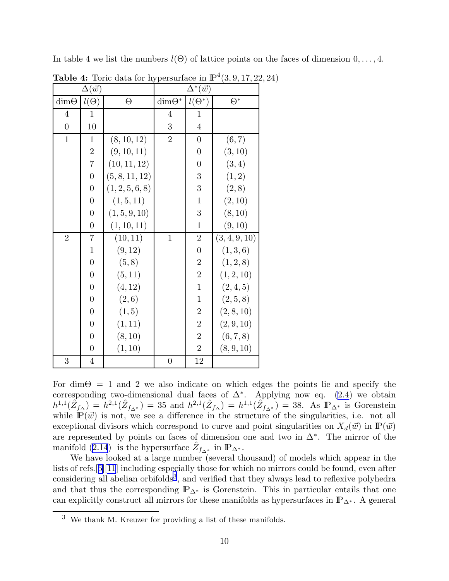| <b>Table 4:</b> Toric data for hypersurface in $\mathbb{P}^4(3, 9, 17, 22, 24)$ |                   |                 |                |                         |               |  |  |  |  |  |
|---------------------------------------------------------------------------------|-------------------|-----------------|----------------|-------------------------|---------------|--|--|--|--|--|
|                                                                                 | $\Delta(\vec{w})$ |                 |                | $\Delta^*(\vec{w})$     |               |  |  |  |  |  |
| $dim\Theta$                                                                     | $l(\Theta)$       | $\Theta$        | $\dim\Theta^*$ | $l(\Theta^*)$           | $\Theta^*$    |  |  |  |  |  |
| $\overline{4}$                                                                  | $\mathbf{1}$      |                 | 4              | $\mathbf{1}$            |               |  |  |  |  |  |
| $\overline{0}$                                                                  | 10                |                 | 3              | $\overline{4}$          |               |  |  |  |  |  |
| $\mathbf{1}$                                                                    | $\mathbf{1}$      | (8, 10, 12)     | $\overline{2}$ | $\overline{0}$          | (6, 7)        |  |  |  |  |  |
|                                                                                 | $\overline{2}$    | (9, 10, 11)     |                | $\overline{0}$          | (3, 10)       |  |  |  |  |  |
|                                                                                 | $\overline{7}$    | (10, 11, 12)    |                | $\boldsymbol{0}$        | (3,4)         |  |  |  |  |  |
|                                                                                 | $\overline{0}$    | (5, 8, 11, 12)  |                | 3                       | (1, 2)        |  |  |  |  |  |
|                                                                                 | $\boldsymbol{0}$  | (1, 2, 5, 6, 8) |                | $\boldsymbol{3}$        | (2, 8)        |  |  |  |  |  |
|                                                                                 | $\overline{0}$    | (1, 5, 11)      |                | $\mathbf{1}$            | (2, 10)       |  |  |  |  |  |
|                                                                                 | $\overline{0}$    | (1, 5, 9, 10)   |                | 3                       | (8, 10)       |  |  |  |  |  |
|                                                                                 | $\boldsymbol{0}$  | (1, 10, 11)     |                | $\mathbf{1}$            | (9, 10)       |  |  |  |  |  |
| $\overline{2}$                                                                  | $\overline{7}$    | (10, 11)        | $\mathbf{1}$   | $\sqrt{2}$              | (3, 4, 9, 10) |  |  |  |  |  |
|                                                                                 | $\mathbf{1}$      | (9, 12)         |                | $\boldsymbol{0}$        | (1,3,6)       |  |  |  |  |  |
|                                                                                 | $\overline{0}$    | (5, 8)          |                | $\overline{2}$          | (1, 2, 8)     |  |  |  |  |  |
|                                                                                 | $\overline{0}$    | (5, 11)         |                | $\overline{2}$          | (1, 2, 10)    |  |  |  |  |  |
|                                                                                 | $\overline{0}$    | (4, 12)         |                | $\mathbf{1}$            | (2, 4, 5)     |  |  |  |  |  |
|                                                                                 | $\overline{0}$    | (2,6)           |                | $\mathbf{1}$            | (2, 5, 8)     |  |  |  |  |  |
|                                                                                 | $\overline{0}$    | (1, 5)          |                | $\overline{\mathbf{c}}$ | (2, 8, 10)    |  |  |  |  |  |
|                                                                                 | $\overline{0}$    | (1, 11)         |                | $\overline{2}$          | (2, 9, 10)    |  |  |  |  |  |
|                                                                                 | $\overline{0}$    | (8, 10)         |                | $\overline{2}$          | (6, 7, 8)     |  |  |  |  |  |
|                                                                                 | $\overline{0}$    | (1, 10)         |                | $\overline{2}$          | (8, 9, 10)    |  |  |  |  |  |
| 3                                                                               | $\overline{4}$    |                 | $\overline{0}$ | 12                      |               |  |  |  |  |  |

In table 4 we list the numbers  $l(\Theta)$  of lattice points on the faces of dimension  $0, \ldots, 4$ .

For dim $\Theta = 1$  and 2 we also indicate on which edges the points lie and specify the correspondingtwo-dimensional dual faces of  $\Delta^*$ . Applying now eq. ([2.4](#page-5-0)) we obtain  $h^{1,1}(\hat{Z}_{f_{\Delta}}) = h^{2,1}(\hat{Z}_{f_{\Delta^*}}) = 35$  and  $h^{2,1}(\hat{Z}_{f_{\Delta}}) = h^{1,1}(\hat{Z}_{f_{\Delta^*}}) = 38$ . As  $\mathbb{P}_{\Delta^*}$  is Gorenstein while  $\mathbb{P}(\vec{w})$  is not, we see a difference in the structure of the singularities, i.e. not all exceptional divisors which correspond to curve and point singularities on  $X_d(\vec{w})$  in  $\mathbb{P}(\vec{w})$ are represented by points on faces of dimension one and two in ∆<sup>∗</sup> . The mirror of the manifold [\(2.14](#page-9-0)) is the hypersurface  $\hat{Z}_{f_{\Delta^*}}$  in  $\mathbb{P}_{\Delta^*}$ .

We have looked at a large number (several thousand) of models which appear in the lists of refs.[[6\]\[11](#page-56-0)] including especially those for which no mirrors could be found, even after considering all abelian orbifolds<sup>3</sup>, and verified that they always lead to reflexive polyhedra and that thus the corresponding  $\mathbb{P}_{\Delta^*}$  is Gorenstein. This in particular entails that one can explicitly construct all mirrors for these manifolds as hypersurfaces in  $\mathbb{P}_{\Delta^*}$ . A general

<sup>3</sup> We thank M. Kreuzer for providing a list of these manifolds.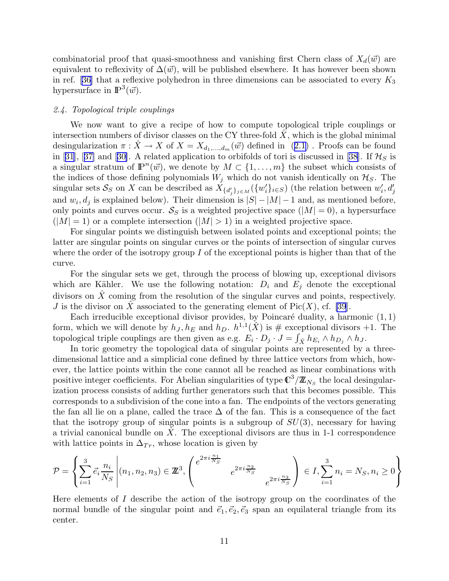combinatorial proof that quasi-smoothness and vanishing first Chern class of  $X_d(\vec{w})$  are equivalent to reflexivity of  $\Delta(\vec{w})$ , will be published elsewhere. It has however been shown inref. [[36\]](#page-57-0) that a reflexive polyhedron in three dimensions can be associated to every  $K_3$ hypersurface in  $\mathbb{P}^3(\vec{w})$ .

### 2.4. Topological triple couplings

We now want to give a recipe of how to compute topological triple couplings or intersection numbers of divisor classes on the CY three-fold  $X$ , which is the global minimal desingularization $\pi : \hat{X} \to X$  of  $X = X_{d_1,...,d_m}(\vec{w})$  defined in  $(2.1)$  $(2.1)$ . Proofs can be found in[[31\]](#page-57-0), [[37\]](#page-57-0) and [[30\]](#page-57-0). A related application to orbifolds of tori is discussed in [[38\]](#page-57-0). If  $\mathcal{H}_S$  is a singular stratum of  $\mathbb{P}^n(\vec{w})$ , we denote by  $M \subset \{1, \ldots, m\}$  the subset which consists of the indices of those defining polynomials  $W_j$  which do not vanish identically on  $\mathcal{H}_S$ . The singular sets  $\mathcal{S}_S$  on X can be described as  $X_{\{d'_j\}_{j\in M}}(\{w'_i\}_{i\in S})$  (the relation between  $w'_i, d'_j$ and  $w_i, d_j$  is explained below). Their dimension is  $|S| - |M| - 1$  and, as mentioned before, only points and curves occur.  $S_S$  is a weighted projective space  $(|M| = 0)$ , a hypersurface  $(|M| = 1)$  or a complete intersection  $(|M| > 1)$  in a weighted projective space.

For singular points we distinguish between isolated points and exceptional points; the latter are singular points on singular curves or the points of intersection of singular curves where the order of the isotropy group I of the exceptional points is higher than that of the curve.

For the singular sets we get, through the process of blowing up, exceptional divisors which are Kähler. We use the following notation:  $D_i$  and  $E_j$  denote the exceptional divisors on  $\tilde{X}$  coming from the resolution of the singular curves and points, respectively. J is the divisor on X associated to the generating element of  $Pic(X)$ , cf. [\[39](#page-57-0)].

Each irreducible exceptional divisor provides, by Poincaré duality, a harmonic  $(1, 1)$ form, which we will denote by  $h_J, h_E$  and  $h_D$ .  $h^{1,1}(\hat{X})$  is # exceptional divisors +1. The topological triple couplings are then given as e.g.  $E_i \cdot D_j \cdot J = \int_{\hat{X}} h_{E_i} \wedge h_{D_j} \wedge h_J$ .

In toric geometry the topological data of singular points are represented by a threedimensional lattice and a simplicial cone defined by three lattice vectors from which, however, the lattice points within the cone cannot all be reached as linear combinations with positive integer coefficients. For Abelian singularities of type  $\mathbb{C}^3/\mathbb{Z}_{N_S}$  the local desingularization process consists of adding further generators such that this becomes possible. This corresponds to a subdivision of the cone into a fan. The endpoints of the vectors generating the fan all lie on a plane, called the trace  $\Delta$  of the fan. This is a consequence of the fact that the isotropy group of singular points is a subgroup of  $SU(3)$ , necessary for having a trivial canonical bundle on  $X$ . The exceptional divisors are thus in 1-1 correspondence with lattice points in  $\Delta_{Tr}$ , whose location is given by

$$
\mathcal{P} = \left\{ \sum_{i=1}^{3} \vec{e}_i \frac{n_i}{N_S} \middle| (n_1, n_2, n_3) \in \mathbb{Z}^3, \left( \begin{matrix} e^{2\pi i \frac{n_1}{N_S}} & e^{2\pi i \frac{n_2}{N_S}} \\ & e^{2\pi i \frac{n_3}{N_S}} \end{matrix} \right) \in I, \sum_{i=1}^{3} n_i = N_S, n_i \ge 0 \right\}
$$

Here elements of I describe the action of the isotropy group on the coordinates of the normal bundle of the singular point and  $\vec{e}_1, \vec{e}_2, \vec{e}_3$  span an equilateral triangle from its center.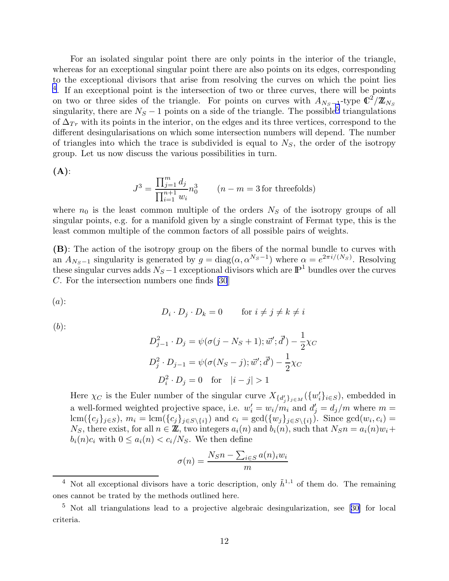For an isolated singular point there are only points in the interior of the triangle, whereas for an exceptional singular point there are also points on its edges, corresponding to the exceptional divisors that arise from resolving the curves on which the point lies <sup>4</sup>. If an exceptional point is the intersection of two or three curves, there will be points on two or three sides of the triangle. For points on curves with  $A_{N_S-1}$ -type  $\mathbb{C}^2/\mathbb{Z}_{N_S}$ singularity, there are  $N_S - 1$  points on a side of the triangle. The possible<sup>5</sup> triangulations of  $\Delta_{Tr}$  with its points in the interior, on the edges and its three vertices, correspond to the different desingularisations on which some intersection numbers will depend. The number of triangles into which the trace is subdivided is equal to  $N<sub>S</sub>$ , the order of the isotropy group. Let us now discuss the various possibilities in turn.

 $(A)$ :

$$
J^{3} = \frac{\prod_{j=1}^{m} d_{j}}{\prod_{i=1}^{n+1} w_{i}} n_{0}^{3}
$$
 (*n* - *m* = 3 for threefolds)

where  $n_0$  is the least common multiple of the orders  $N<sub>S</sub>$  of the isotropy groups of all singular points, e.g. for a manifold given by a single constraint of Fermat type, this is the least common multiple of the common factors of all possible pairs of weights.

(B): The action of the isotropy group on the fibers of the normal bundle to curves with an  $A_{N_S-1}$  singularity is generated by  $g = diag(\alpha, \alpha^{N_S-1})$  where  $\alpha = e^{2\pi i/(N_S)}$ . Resolving these singular curves adds  $N_S-1$  exceptional divisors which are  $\mathbb{P}^1$  bundles over the curves C. For the intersection numbers one finds [\[30](#page-57-0)]

 $(a)$ :

$$
D_i \cdot D_j \cdot D_k = 0 \qquad \text{for } i \neq j \neq k \neq i
$$

 $(b)$ :

$$
D_{j-1}^{2} \cdot D_{j} = \psi(\sigma(j - N_{S} + 1); \vec{w}'; \vec{d}') - \frac{1}{2}\chi_{C}
$$
  

$$
D_{j}^{2} \cdot D_{j-1} = \psi(\sigma(N_{S} - j); \vec{w}'; \vec{d}') - \frac{1}{2}\chi_{C}
$$
  

$$
D_{i}^{2} \cdot D_{j} = 0 \text{ for } |i - j| > 1
$$

Here  $\chi_C$  is the Euler number of the singular curve  $X_{\{d'_j\}_{j\in M}}(\{w'_i\}_{i\in S})$ , embedded in a well-formed weighted projective space, i.e.  $w'_i = w_i/m_i$  and  $d'_j = d_j/m$  where  $m =$  $\text{lcm}(\{c_j\}_{j\in S}), m_i = \text{lcm}(\{c_j\}_{j\in S\setminus\{i\}})$  and  $c_i = \text{gcd}(\{w_j\}_{j\in S\setminus\{i\}})$ . Since  $\text{gcd}(w_i, c_i) =$  $N_S$ , there exist, for all  $n \in \mathbb{Z}$ , two integers  $a_i(n)$  and  $b_i(n)$ , such that  $N_S n = a_i(n)w_i +$  $b_i(n)c_i$  with  $0 \leq a_i(n) < c_i/N_S$ . We then define

$$
\sigma(n) = \frac{N_S n - \sum_{i \in S} a(n)_i w_i}{m}
$$

<sup>&</sup>lt;sup>4</sup> Not all exceptional divisors have a toric description, only  $\tilde{h}^{1,1}$  of them do. The remaining ones cannot be trated by the methods outlined here.

<sup>&</sup>lt;sup>5</sup>Not all triangulations lead to a projective algebraic desingularization, see [[30\]](#page-57-0) for local criteria.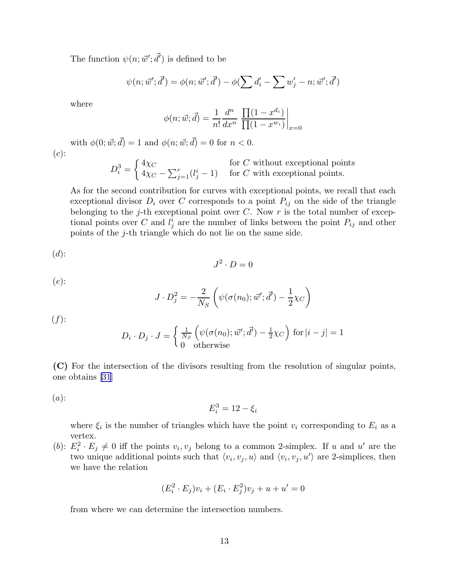The function  $\psi(n; \vec{w}'; \vec{d}')$  is defined to be

$$
\psi(n; \vec{w}'; \vec{d}') = \phi(n; \vec{w}'; \vec{d}') - \phi(\sum d'_i - \sum w'_j - n; \vec{w}'; \vec{d}')
$$

where

$$
\phi(n; \vec{w}; \vec{d}) = \frac{1}{n!} \frac{d^n}{dx^n} \left. \frac{\prod (1 - x^{d_i})}{\prod (1 - x^{w_i})} \right|_{x=0}
$$

with  $\phi(0; \vec{w}; \vec{d}) = 1$  and  $\phi(n; \vec{w}; \vec{d}) = 0$  for  $n < 0$ .  $(c):$ 

$$
D_i^3 = \begin{cases} 4\chi_C & \text{for } C \text{ without exceptional points} \\ 4\chi_C - \sum_{j=1}^r (l_j^i - 1) & \text{for } C \text{ with exceptional points.} \end{cases}
$$

As for the second contribution for curves with exceptional points, we recall that each exceptional divisor  $D_i$  over C corresponds to a point  $P_{ij}$  on the side of the triangle belonging to the j-th exceptional point over  $C$ . Now  $r$  is the total number of exceptional points over C and  $l_j^i$  are the number of links between the point  $P_{ij}$  and other points of the j-th triangle which do not lie on the same side.

(d): 
$$
J^2 \cdot D = 0
$$

$$
(e)
$$
:

$$
J \cdot D_j^2 = -\frac{2}{N_S} \left( \psi(\sigma(n_0); \vec{w}'; \vec{d}') - \frac{1}{2}\chi_C \right)
$$

 $(f)$ :

$$
D_i \cdot D_j \cdot J = \begin{cases} \frac{1}{N_S} \left( \psi(\sigma(n_0); \vec{w}'; \vec{d}') - \frac{1}{2}\chi_C \right) \text{ for } |i - j| = 1\\ 0 \quad \text{otherwise} \end{cases}
$$

(C) For the intersection of the divisors resulting from the resolution of singular points, one obtains [\[31](#page-57-0)]

 $(a)$ :

$$
E_i^3 = 12 - \xi_i
$$

where  $\xi_i$  is the number of triangles which have the point  $v_i$  corresponding to  $E_i$  as a vertex.

(b):  $E_i^2 \cdot E_j \neq 0$  iff the points  $v_i, v_j$  belong to a common 2-simplex. If u and u' are the two unique additional points such that  $\langle v_i, v_j, u \rangle$  and  $\langle v_i, v_j, u' \rangle$  are 2-simplices, then we have the relation

$$
(E_i^2 \cdot E_j)v_i + (E_i \cdot E_j^2)v_j + u + u' = 0
$$

from where we can determine the intersection numbers.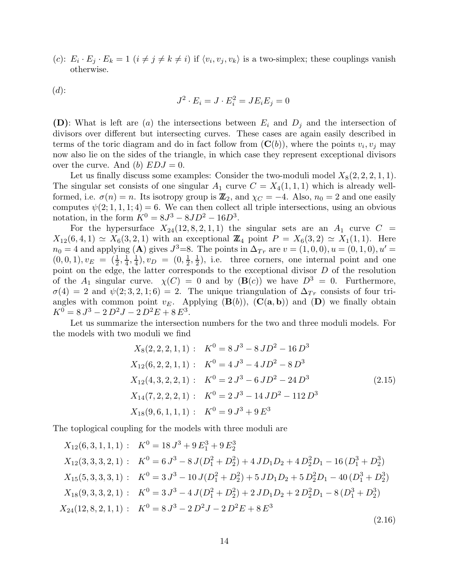<span id="page-14-0"></span>(c):  $E_i \cdot E_j \cdot E_k = 1$   $(i \neq j \neq k \neq i)$  if  $\langle v_i, v_j, v_k \rangle$  is a two-simplex; these couplings vanish otherwise.

 $(d)$ :

$$
J^2 \cdot E_i = J \cdot E_i^2 = JE_i E_j = 0
$$

(D): What is left are (a) the intersections between  $E_i$  and  $D_j$  and the intersection of divisors over different but intersecting curves. These cases are again easily described in terms of the toric diagram and do in fact follow from  $(C(b))$ , where the points  $v_i, v_j$  may now also lie on the sides of the triangle, in which case they represent exceptional divisors over the curve. And (b)  $EDJ = 0$ .

Let us finally discuss some examples: Consider the two-moduli model  $X_8(2, 2, 2, 1, 1)$ . The singular set consists of one singular  $A_1$  curve  $C = X_4(1, 1, 1)$  which is already wellformed, i.e.  $\sigma(n) = n$ . Its isotropy group is  $\mathbb{Z}_2$ , and  $\chi_C = -4$ . Also,  $n_0 = 2$  and one easily computes  $\psi(2; 1, 1, 1; 4) = 6$ . We can then collect all triple intersections, using an obvious notation, in the form  $K^0 = 8J^3 - 8JD^2 - 16D^3$ .

For the hypersurface  $X_{24}(12, 8, 2, 1, 1)$  the singular sets are an  $A_1$  curve  $C =$  $X_{12}(6, 4, 1) \simeq X_6(3, 2, 1)$  with an exceptional  $\mathbb{Z}_4$  point  $P = X_6(3, 2) \simeq X_1(1, 1)$ . Here  $n_0 = 4$  and applying (A) gives  $J^3 = 8$ . The points in  $\Delta_{Tr}$  are  $v = (1, 0, 0), u = (0, 1, 0), u' =$  $(0,0,1), v_E = (\frac{1}{2}, \frac{1}{4})$  $\frac{1}{4}, \frac{1}{4}$  $(\frac{1}{4}), v_D = (0, \frac{1}{2})$  $\frac{1}{2}, \frac{1}{2}$  $\frac{1}{2}$ , i.e. three corners, one internal point and one point on the edge, the latter corresponds to the exceptional divisor D of the resolution of the  $A_1$  singular curve.  $\chi(C) = 0$  and by  $(\mathbf{B}(c))$  we have  $D^3 = 0$ . Furthermore,  $\sigma(4) = 2$  and  $\psi(2; 3, 2, 1; 6) = 2$ . The unique triangulation of  $\Delta_{Tr}$  consists of four triangles with common point  $v_E$ . Applying  $(\mathbf{B}(b))$ ,  $(\mathbf{C}(\mathbf{a}, \mathbf{b}))$  and  $(\mathbf{D})$  we finally obtain  $K^0 = 8 J^3 - 2 D^2 J - 2 D^2 E + 8 E^3.$ 

Let us summarize the intersection numbers for the two and three moduli models. For the models with two moduli we find

$$
X_8(2, 2, 2, 1, 1): K^0 = 8J^3 - 8JD^2 - 16D^3
$$
  
\n
$$
X_{12}(6, 2, 2, 1, 1): K^0 = 4J^3 - 4JD^2 - 8D^3
$$
  
\n
$$
X_{12}(4, 3, 2, 2, 1): K^0 = 2J^3 - 6JD^2 - 24D^3
$$
  
\n
$$
X_{14}(7, 2, 2, 2, 1): K^0 = 2J^3 - 14JD^2 - 112D^3
$$
  
\n
$$
X_{18}(9, 6, 1, 1, 1): K^0 = 9J^3 + 9E^3
$$
  
\n(2.15)

The toplogical coupling for the models with three moduli are

$$
X_{12}(6,3,1,1,1): K^{0} = 18J^{3} + 9E_{1}^{3} + 9E_{2}^{3}
$$
  
\n
$$
X_{12}(3,3,3,2,1): K^{0} = 6J^{3} - 8J(D_{1}^{2} + D_{2}^{2}) + 4JD_{1}D_{2} + 4D_{2}^{2}D_{1} - 16(D_{1}^{3} + D_{2}^{3})
$$
  
\n
$$
X_{15}(5,3,3,3,1): K^{0} = 3J^{3} - 10J(D_{1}^{2} + D_{2}^{2}) + 5JD_{1}D_{2} + 5D_{2}^{2}D_{1} - 40(D_{1}^{3} + D_{2}^{3})
$$
  
\n
$$
X_{18}(9,3,3,2,1): K^{0} = 3J^{3} - 4J(D_{1}^{2} + D_{2}^{2}) + 2JD_{1}D_{2} + 2D_{2}^{2}D_{1} - 8(D_{1}^{3} + D_{2}^{3})
$$
  
\n
$$
X_{24}(12,8,2,1,1): K^{0} = 8J^{3} - 2D^{2}J - 2D^{2}E + 8E^{3}
$$
  
\n(2.16)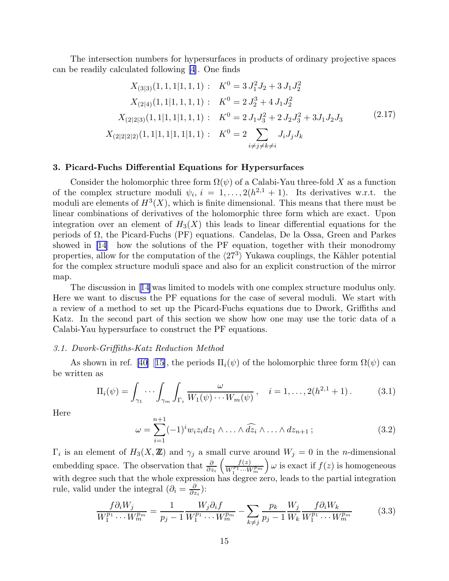<span id="page-15-0"></span>The intersection numbers for hypersurfaces in products of ordinary projective spaces can be readily calculated following [\[4](#page-56-0)]. One finds

$$
X_{(3|3)}(1,1,1|1,1,1): K^{0} = 3 J_{1}^{2} J_{2} + 3 J_{1} J_{2}^{2}
$$
  
\n
$$
X_{(2|4)}(1,1|1,1,1,1): K^{0} = 2 J_{2}^{3} + 4 J_{1} J_{2}^{2}
$$
  
\n
$$
X_{(2|2|3)}(1,1|1,1|1,1,1): K^{0} = 2 J_{1} J_{3}^{2} + 2 J_{2} J_{3}^{2} + 3 J_{1} J_{2} J_{3}
$$
  
\n
$$
X_{(2|2|2|2)}(1,1|1,1|1,1|1,1): K^{0} = 2 \sum_{i \neq j \neq k \neq i} J_{i} J_{j} J_{k}
$$
  
\n(2.17)

## 3. Picard-Fuchs Differential Equations for Hypersurfaces

Consider the holomorphic three form  $\Omega(\psi)$  of a Calabi-Yau three-fold X as a function of the complex structure moduli  $\psi_i$ ,  $i = 1, \ldots, 2(h^{2,1} + 1)$ . Its derivatives w.r.t. the moduli are elements of  $H^3(X)$ , which is finite dimensional. This means that there must be linear combinations of derivatives of the holomorphic three form which are exact. Upon integration over an element of  $H_3(X)$  this leads to linear differential equations for the periods of Ω, the Picard-Fuchs (PF) equations. Candelas, De la Ossa, Green and Parkes showed in [\[14](#page-56-0)] how the solutions of the PF equation, together with their monodromy properties, allow for the computation of the  $\langle 27^3 \rangle$  Yukawa couplings, the Kähler potential for the complex structure moduli space and also for an explicit construction of the mirror map.

The discussion in[[14\]](#page-56-0)was limited to models with one complex structure modulus only. Here we want to discuss the PF equations for the case of several moduli. We start with a review of a method to set up the Picard-Fuchs equations due to Dwork, Griffiths and Katz. In the second part of this section we show how one may use the toric data of a Calabi-Yau hypersurface to construct the PF equations.

### 3.1. Dwork-Griffiths-Katz Reduction Method

As shown in ref. [\[40](#page-57-0)][[15\]](#page-56-0), the periods  $\Pi_i(\psi)$  of the holomorphic three form  $\Omega(\psi)$  can be written as

$$
\Pi_i(\psi) = \int_{\gamma_1} \cdots \int_{\gamma_m} \int_{\Gamma_i} \frac{\omega}{W_1(\psi) \cdots W_m(\psi)}, \quad i = 1, \dots, 2(h^{2,1} + 1).
$$
 (3.1)

Here

$$
\omega = \sum_{i=1}^{n+1} (-1)^i w_i z_i dz_1 \wedge \ldots \wedge \widehat{dz_i} \wedge \ldots \wedge dz_{n+1};
$$
\n(3.2)

 $\Gamma_i$  is an element of  $H_3(X, \mathbb{Z})$  and  $\gamma_j$  a small curve around  $W_j = 0$  in the *n*-dimensional embedding space. The observation that  $\frac{\partial}{\partial z_i}$  $\int$   $f(z)$  $W_1^{\overline{p_1}}\cdots W_m^{\overline{p_m}}$  $\int \omega$  is exact if  $f(z)$  is homogeneous with degree such that the whole expression has degree zero, leads to the partial integration rule, valid under the integral  $\left(\partial_i = \frac{\partial}{\partial z}\right)$  $\frac{\partial}{\partial z_i})$ :

$$
\frac{f\partial_i W_j}{W_1^{p_1} \cdots W_m^{p_m}} = \frac{1}{p_j - 1} \frac{W_j \partial_i f}{W_1^{p_1} \cdots W_m^{p_m}} - \sum_{k \neq j} \frac{p_k}{p_j - 1} \frac{W_j}{W_k} \frac{f\partial_i W_k}{W_1^{p_1} \cdots W_m^{p_m}}
$$
(3.3)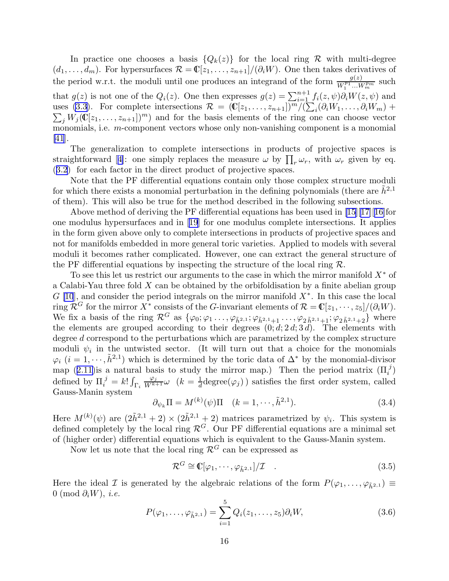<span id="page-16-0"></span>In practice one chooses a basis  ${Q_k(z)}$  for the local ring R with multi-degree  $(d_1, \ldots, d_m)$ . For hypersurfaces  $\mathcal{R} = \mathbb{C}[z_1, \ldots, z_{n+1}]/(\partial_i W)$ . One then takes derivatives of the period w.r.t. the moduli until one produces an integrand of the form  $\frac{g(z)}{W_1^{p_1} \dots W_m^{p_m}}$  such that  $g(z)$  is not one of the  $Q_i(z)$ . One then expresses  $g(z) = \sum_{i=1}^{n+1} f_i(z, \psi) \partial_i W(z, \psi)$  and uses [\(3.3\)](#page-15-0). For complete intersections  $\mathcal{R} = (\mathbb{C}[z_1, \ldots, z_{n+1}])^m / (\sum_i$ <br>  $\sum_i W_i(\mathbb{C}[z_1, \ldots, z_{n+1}])^m)$  and for the basis elements of the ring on  $(\partial_i W_1,\ldots,\partial_i W_m) +$  $j W_j(\mathbb{C}[z_1,\ldots,z_{n+1}])^m$  and for the basis elements of the ring one can choose vector monomials, i.e. m-component vectors whose only non-vanishing component is a monomial [\[41](#page-57-0)].

The generalization to complete intersections in products of projective spaces is straightforward[[4\]](#page-56-0): one simply replaces the measure  $\omega$  by  $\prod_r \omega_r$ , with  $\omega_r$  given by eq. ([3.2](#page-15-0)) for each factor in the direct product of projective spaces.

Note that the PF differential equations contain only those complex structure moduli for which there exists a monomial perturbation in the defining polynomials (there are  $\tilde{h}^{2,1}$ of them). This will also be true for the method described in the following subsections.

Above method of deriving the PF differential equations has been used in  $[15][17][16]$  $[15][17][16]$  $[15][17][16]$  $[15][17][16]$  for one modulus hypersurfaces and in[[19](#page-56-0)] for one modulus complete intersections. It applies in the form given above only to complete intersections in products of projective spaces and not for manifolds embedded in more general toric varieties. Applied to models with several moduli it becomes rather complicated. However, one can extract the general structure of the PF differential equations by inspecting the structure of the local ring  $\mathcal{R}$ .

To see this let us restrict our arguments to the case in which the mirror manifold  $X^*$  of a Calabi-Yau three fold  $X$  can be obtained by the orbifoldisation by a finite abelian group  $G$  [\[10](#page-56-0)], and consider the period integrals on the mirror manifold  $X^*$ . In this case the local ring  $\mathcal{R}^G$  for the mirror  $X^*$  consists of the G-invariant elements of  $\mathcal{R} = \mathbb{C}[z_1,\dots,z_5]/(\partial_i W)$ . We fix a basis of the ring  $\mathcal{R}^G$  as  $\{\varphi_0; \varphi_1 \ldots, \varphi_{\tilde{h}^{2,1}}; \varphi_{\tilde{h}^{2,1}+1} \ldots, \varphi_{2 \tilde{h}^{2,1}+1}; \varphi_{2 \tilde{h}^{2,1}+2}\}$  where the elements are grouped according to their degrees  $(0; d; 2 d; 3 d)$ . The elements with degree d correspond to the perturbations which are parametrized by the complex structure moduli  $\psi_i$  in the untwisted sector. (It will turn out that a choice for the monomials  $\varphi_i$   $(i = 1, \dots, \tilde{h}^{2,1})$  which is determined by the toric data of  $\Delta^*$  by the monomial-divisor map([2.11](#page-6-0)) is a natural basis to study the mirror map.) Then the period matrix  $(\Pi_i^{\ j})$ defined by  $\Pi_i^{\ j} = k! \int_{\Gamma_i}$  $\frac{\varphi_j}{W^{k+1}}\omega$   $(k=\frac{1}{d})$  $\frac{1}{d}$ degree $(\varphi_j)$ ) satisfies the first order system, called Gauss-Manin system

$$
\partial_{\psi_k} \Pi = M^{(k)}(\psi) \Pi \quad (k = 1, \cdots, \tilde{h}^{2,1}).
$$
\n(3.4)

Here  $M^{(k)}(\psi)$  are  $(2\tilde{h}^{2,1}+2) \times (2\tilde{h}^{2,1}+2)$  matrices parametrized by  $\psi_i$ . This system is defined completely by the local ring  $\mathcal{R}^G$ . Our PF differential equations are a minimal set of (higher order) differential equations which is equivalent to the Gauss-Manin system.

Now let us note that the local ring  $\mathcal{R}^G$  can be expressed as

$$
\mathcal{R}^G \cong \mathbb{C}[\varphi_1, \cdots, \varphi_{\tilde{h}^{2,1}}]/\mathcal{I} \quad . \tag{3.5}
$$

Here the ideal I is generated by the algebraic relations of the form  $P(\varphi_1, \ldots, \varphi_{\tilde{h}^{2,1}}) \equiv$  $0 \pmod{\partial_i W}, i.e.$ 

$$
P(\varphi_1,\ldots,\varphi_{\tilde{h}^{2,1}}) = \sum_{i=1}^5 Q_i(z_1,\ldots,z_5)\partial_i W,\tag{3.6}
$$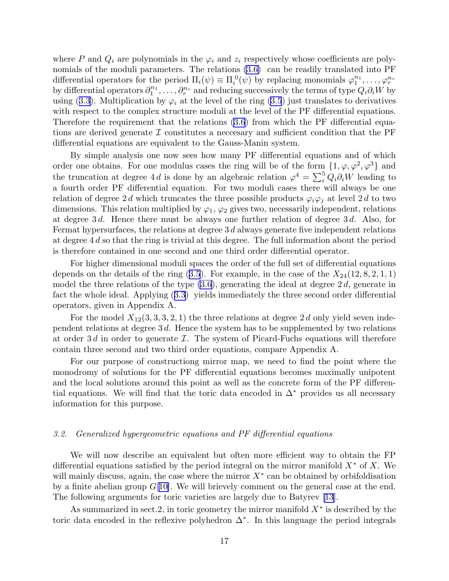where P and  $Q_i$  are polynomials in the  $\varphi_i$  and  $z_i$  respectively whose coefficients are polynomials of the moduli parameters. The relations  $(3.6)$  can be readily translated into PF differential operators for the period  $\Pi_i(\psi) \equiv \Pi_i^0(\psi)$  by replacing monomials  $\varphi_1^{n_1}, \ldots, \varphi_r^{n_r}$ by differential operators  $\partial_1^{n_1}, \ldots, \partial_r^{n_r}$  and reducing successively the terms of type  $Q_i \partial_i W$  by using([3.3](#page-15-0)). Multiplication by  $\varphi_i$  at the level of the ring [\(3.5](#page-16-0)) just translates to derivatives with respect to the complex structure moduli at the level of the PF differential equations. Therefore the requirement that the relations [\(3.6](#page-16-0)) from which the PF differential equations are derived generate  $\mathcal I$  constitutes a neccesary and sufficient condition that the PF differential equations are equivalent to the Gauss-Manin system.

By simple analysis one now sees how many PF differential equations and of which order one obtains. For one modulus cases the ring will be of the form  $\{1, \varphi, \varphi^2, \varphi^3\}$  and the truncation at degree 4 d is done by an algebraic relation  $\varphi^4 = \sum_i^5 Q_i \partial_i W$  leading to a fourth order PF differential equation. For two moduli cases there will always be one relation of degree 2d which truncates the three possible products  $\varphi_i\varphi_j$  at level 2d to two dimensions. This relation multiplied by  $\varphi_1, \varphi_2$  gives two, necessarily independent, relations at degree 3 d. Hence there must be always one further relation of degree 3 d. Also, for Fermat hypersurfaces, the relations at degree  $3 d$  always generate five independent relations at degree 4 d so that the ring is trivial at this degree. The full information about the period is therefore contained in one second and one third order differential operator.

For higher dimensional moduli spaces the order of the full set of differential equations dependson the details of the ring  $(3.5)$  $(3.5)$  $(3.5)$ . For example, in the case of the  $X_{24}(12, 8, 2, 1, 1)$ model the three relations of the type  $(3.6)$ , generating the ideal at degree 2d, generate in fact the whole ideal. Applying([3.3](#page-15-0)) yields immediately the three second order differential operators, given in Appendix A.

For the model  $X_{12}(3,3,3,2,1)$  the three relations at degree 2d only yield seven independent relations at degree 3 d. Hence the system has to be supplemented by two relations at order 3d in order to generate  $\mathcal I$ . The system of Picard-Fuchs equations will therefore contain three second and two third order equations, compare Appendix A.

For our purpose of constructiong mirror map, we need to find the point where the monodromy of solutions for the PF differential equations becomes maximally unipotent and the local solutions around this point as well as the concrete form of the PF differential equations. We will find that the toric data encoded in  $\Delta^*$  provides us all necessary information for this purpose.

## 3.2. Generalized hypergeometric equations and PF differential equations

We will now describe an equivalent but often more efficient way to obtain the FP differential equations satisfied by the period integral on the mirror manifold  $X^*$  of X. We will mainly discuss, again, the case where the mirror  $X^*$  can be obtained by orbifoldisation by a finite abelian group  $G[10]$  $G[10]$ . We will brievely comment on the general case at the end. The following arguments for toric varieties are largely due to Batyrev [\[13](#page-56-0)].

As summarized in sect.2, in toric geometry the mirror manifold  $X^*$  is described by the toric data encoded in the reflexive polyhedron  $\Delta^*$ . In this language the period integrals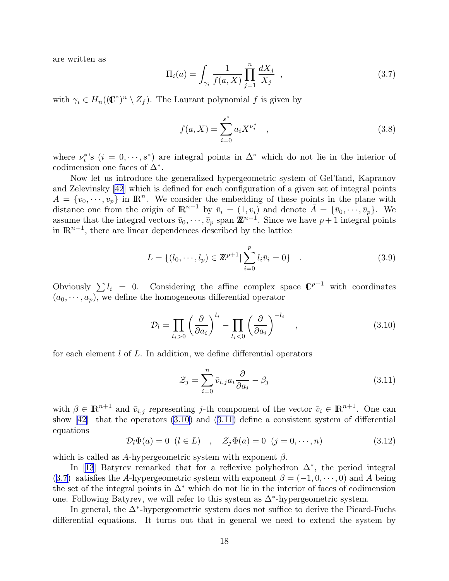<span id="page-18-0"></span>are written as

$$
\Pi_i(a) = \int_{\gamma_i} \frac{1}{f(a, X)} \prod_{j=1}^n \frac{dX_j}{X_j} , \qquad (3.7)
$$

with  $\gamma_i \in H_n((\mathbb{C}^*)^n \setminus Z_f)$ . The Laurant polynomial f is given by

$$
f(a, X) = \sum_{i=0}^{s^*} a_i X^{\nu_i^*} \quad , \tag{3.8}
$$

where  $\nu_i^*$ 's  $(i = 0, \dots, s^*)$  are integral points in  $\Delta^*$  which do not lie in the interior of codimension one faces of  $\Delta^*$ .

Now let us introduce the generalized hypergeometric system of Gel'fand, Kapranov and Zelevinsky[[42\]](#page-58-0) which is defined for each configuration of a given set of integral points  $A = \{v_0, \dots, v_p\}$  in  $\mathbb{R}^n$ . We consider the embedding of these points in the plane with distance one from the origin of  $\mathbb{R}^{n+1}$  by  $\bar{v}_i = (1, v_i)$  and denote  $\bar{A} = {\bar{v}_0, \dots, \bar{v}_p}$ . We assume that the integral vectors  $\bar{v}_0, \dots, \bar{v}_p$  span  $\mathbb{Z}^{n+1}$ . Since we have  $p+1$  integral points in  $\mathbb{R}^{n+1}$ , there are linear dependences described by the lattice

$$
L = \{ (l_0, \dots, l_p) \in \mathbb{Z}^{p+1} | \sum_{i=0}^{p} l_i \bar{v}_i = 0 \} .
$$
 (3.9)

Obviously  $\sum l_i = 0$ . Considering the affine complex space  $\mathbb{C}^{p+1}$  with coordinates  $(a_0, \dots, a_p)$ , we define the homogeneous differential operator

$$
\mathcal{D}_l = \prod_{l_i>0} \left(\frac{\partial}{\partial a_i}\right)^{l_i} - \prod_{l_i<0} \left(\frac{\partial}{\partial a_i}\right)^{-l_i} \quad , \tag{3.10}
$$

for each element  $l$  of  $L$ . In addition, we define differential operators

$$
\mathcal{Z}_j = \sum_{i=0}^n \bar{v}_{i,j} a_i \frac{\partial}{\partial a_i} - \beta_j \tag{3.11}
$$

with  $\beta \in \mathbb{R}^{n+1}$  and  $\bar{v}_{i,j}$  representing j-th component of the vector  $\bar{v}_i \in \mathbb{R}^{n+1}$ . One can show[[42\]](#page-58-0) that the operators (3.10) and (3.11) define a consistent system of differential equations

$$
\mathcal{D}_l \Phi(a) = 0 \ (l \in L) \quad , \quad \mathcal{Z}_j \Phi(a) = 0 \ (j = 0, \cdots, n) \tag{3.12}
$$

which is called as A-hypergeometric system with exponent  $\beta$ .

In [\[13](#page-56-0)] Batyrev remarked that for a reflexive polyhedron  $\Delta^*$ , the period integral (3.7) satisfies the A-hypergeometric system with exponent  $\beta = (-1, 0, \dots, 0)$  and A being the set of the integral points in  $\Delta^*$  which do not lie in the interior of faces of codimension one. Following Batyrev, we will refer to this system as  $\Delta^*$ -hypergeometric system.

In general, the ∆<sup>∗</sup> -hypergeometric system does not suffice to derive the Picard-Fuchs differential equations. It turns out that in general we need to extend the system by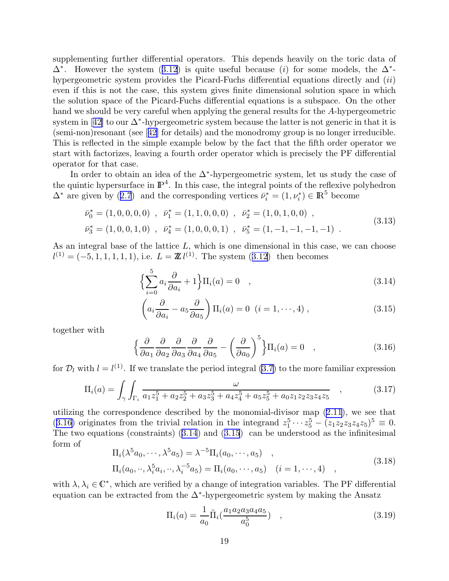<span id="page-19-0"></span>supplementing further differential operators. This depends heavily on the toric data of  $\Delta^*$ .However the system ([3.12](#page-18-0)) is quite useful because (i) for some models, the  $\Delta^*$ hypergeometric system provides the Picard-Fuchs differential equations directly and (ii) even if this is not the case, this system gives finite dimensional solution space in which the solution space of the Picard-Fuchs differential equations is a subspace. On the other hand we should be very careful when applying the general results for the A-hypergeometric systemin [[42\]](#page-58-0) to our  $\Delta^*$ -hypergeometric system because the latter is not generic in that it is (semi-non)resonant (see[[42\]](#page-58-0) for details) and the monodromy group is no longer irreducible. This is reflected in the simple example below by the fact that the fifth order operator we start with factorizes, leaving a fourth order operator which is precisely the PF differential operator for that case.

In order to obtain an idea of the  $\Delta^*$ -hypergeometric system, let us study the case of the quintic hypersurface in  $\mathbb{P}^4$ . In this case, the integral points of the reflexive polyhedron  $\Delta^*$ are given by ([2.7](#page-6-0)) and the corresponding vertices  $\bar{\nu}_i^* = (1, \nu_i^*) \in \mathbb{R}^5$  become

$$
\bar{\nu}_0^* = (1, 0, 0, 0, 0), \quad \bar{\nu}_1^* = (1, 1, 0, 0, 0), \quad \bar{\nu}_2^* = (1, 0, 1, 0, 0), \n\bar{\nu}_3^* = (1, 0, 0, 1, 0), \quad \bar{\nu}_4^* = (1, 0, 0, 0, 1), \quad \bar{\nu}_5^* = (1, -1, -1, -1, -1).
$$
\n(3.13)

As an integral base of the lattice L, which is one dimensional in this case, we can choose  $l^{(1)} = (-5, 1, 1, 1, 1, 1),$  $l^{(1)} = (-5, 1, 1, 1, 1, 1),$  $l^{(1)} = (-5, 1, 1, 1, 1, 1),$  i.e.  $L = \mathbb{Z} l^{(1)}$ . The system  $(3.12)$  $(3.12)$  then becomes

$$
\left\{\sum_{i=0}^{5} a_i \frac{\partial}{\partial a_i} + 1\right\} \Pi_i(a) = 0 \quad , \tag{3.14}
$$

$$
\left(a_i \frac{\partial}{\partial a_i} - a_5 \frac{\partial}{\partial a_5}\right) \Pi_i(a) = 0 \ \ (i = 1, \cdots, 4) \,,\tag{3.15}
$$

together with

$$
\left\{\frac{\partial}{\partial a_1} \frac{\partial}{\partial a_2} \frac{\partial}{\partial a_3} \frac{\partial}{\partial a_4} \frac{\partial}{\partial a_5} - \left(\frac{\partial}{\partial a_0}\right)^5\right\} \Pi_i(a) = 0 \quad , \tag{3.16}
$$

for  $\mathcal{D}_l$  with  $l = l^{(1)}$ . If we translate the period integral [\(3.7\)](#page-18-0) to the more familiar expression

$$
\Pi_i(a) = \int_{\gamma} \int_{\Gamma_i} \frac{\omega}{a_1 z_1^5 + a_2 z_2^5 + a_3 z_3^5 + a_4 z_4^5 + a_5 z_5^5 + a_0 z_1 z_2 z_3 z_4 z_5} \quad , \tag{3.17}
$$

utilizing the correspondence described by the monomial-divisor map [\(2.11](#page-6-0)), we see that (3.16) originates from the trivial relation in the integrand  $z_1^5 \cdots z_5^5 - (z_1 z_2 z_3 z_4 z_5)^5 \equiv 0$ . The two equations (constraints) (3.14) and (3.15) can be understood as the infinitesimal form of

$$
\Pi_i(\lambda^5 a_0, \cdots, \lambda^5 a_5) = \lambda^{-5} \Pi_i(a_0, \cdots, a_5) ,
$$
  
\n
$$
\Pi_i(a_0, \cdots, \lambda_i^5 a_i, \cdots, \lambda_i^{-5} a_5) = \Pi_i(a_0, \cdots, a_5) \quad (i = 1, \cdots, 4) ,
$$
\n(3.18)

with  $\lambda, \lambda_i \in \mathbb{C}^*$ , which are verified by a change of integration variables. The PF differential equation can be extracted from the  $\Delta^*$ -hypergeometric system by making the Ansatz

$$
\Pi_i(a) = \frac{1}{a_0} \tilde{\Pi}_i(\frac{a_1 a_2 a_3 a_4 a_5}{a_0^5}) \quad , \tag{3.19}
$$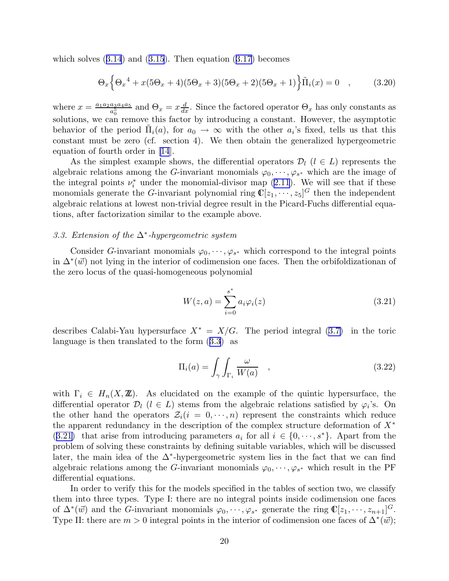<span id="page-20-0"></span>whichsolves  $(3.14)$  $(3.14)$  $(3.14)$  and  $(3.15)$  $(3.15)$  $(3.15)$ . Then equation  $(3.17)$  $(3.17)$  $(3.17)$  becomes

$$
\Theta_x \Big\{ \Theta_x^4 + x(5\Theta_x + 4)(5\Theta_x + 3)(5\Theta_x + 2)(5\Theta_x + 1) \Big\} \tilde{\Pi}_i(x) = 0 \quad , \tag{3.20}
$$

where  $x = \frac{a_1 a_2 a_3 a_4 a_5}{a^5}$  $\frac{a_3a_4a_5}{a_0^5}$  and  $\Theta_x = x\frac{d}{dx}$ . Since the factored operator  $\Theta_x$  has only constants as solutions, we can remove this factor by introducing a constant. However, the asymptotic behavior of the period  $\tilde{\Pi}_i(a)$ , for  $a_0 \to \infty$  with the other  $a_i$ 's fixed, tells us that this constant must be zero (cf. section 4). We then obtain the generalized hypergeometric equation of fourth order in [\[14](#page-56-0)].

As the simplest example shows, the differential operators  $\mathcal{D}_l$  ( $l \in L$ ) represents the algebraic relations among the G-invariant monomials  $\varphi_0, \dots, \varphi_{s^*}$  which are the image of theintegral points  $\nu_i^*$  under the monomial-divisor map ([2.11](#page-6-0)). We will see that if these monomials generate the *G*-invariant polynomial ring  $\mathbb{C}[z_1,\dots,z_5]^G$  then the independent algebraic relations at lowest non-trivial degree result in the Picard-Fuchs differential equations, after factorization similar to the example above.

## 3.3. Extension of the  $\Delta^*$ -hypergeometric system

Consider G-invariant monomials  $\varphi_0, \dots, \varphi_{s^*}$  which correspond to the integral points in  $\Delta^*(\vec{w})$  not lying in the interior of codimension one faces. Then the orbifoldizationan of the zero locus of the quasi-homogeneous polynomial

$$
W(z, a) = \sum_{i=0}^{s^*} a_i \varphi_i(z)
$$
 (3.21)

describes Calabi-Yau hypersurface  $X^* = X/G$ . The period integral [\(3.7\)](#page-18-0) in the toric language is then translated to the form([3.3](#page-15-0)) as

$$
\Pi_i(a) = \int_{\gamma} \int_{\Gamma_i} \frac{\omega}{W(a)} , \qquad (3.22)
$$

with  $\Gamma_i \in H_n(X, \mathbb{Z})$ . As elucidated on the example of the quintic hypersurface, the differential operator  $\mathcal{D}_l$  ( $l \in L$ ) stems from the algebraic relations satisfied by  $\varphi_i$ 's. On the other hand the operators  $\mathcal{Z}_i(i = 0, \dots, n)$  represent the constraints which reduce the apparent redundancy in the description of the complex structure deformation of  $X^*$ (3.21) that arise from introducing parameters  $a_i$  for all  $i \in \{0, \dots, s^*\}$ . Apart from the problem of solving these constraints by defining suitable variables, which will be discussed later, the main idea of the ∆<sup>∗</sup> -hypergeometric system lies in the fact that we can find algebraic relations among the G-invariant monomials  $\varphi_0, \dots, \varphi_{s^*}$  which result in the PF differential equations.

In order to verify this for the models specified in the tables of section two, we classify them into three types. Type I: there are no integral points inside codimension one faces of  $\Delta^*(\vec{w})$  and the G-invariant monomials  $\varphi_0, \dots, \varphi_{s^*}$  generate the ring  $\mathbb{C}[z_1, \dots, z_{n+1}]^G$ . Type II: there are  $m > 0$  integral points in the interior of codimension one faces of  $\Delta^*(\vec{w})$ ;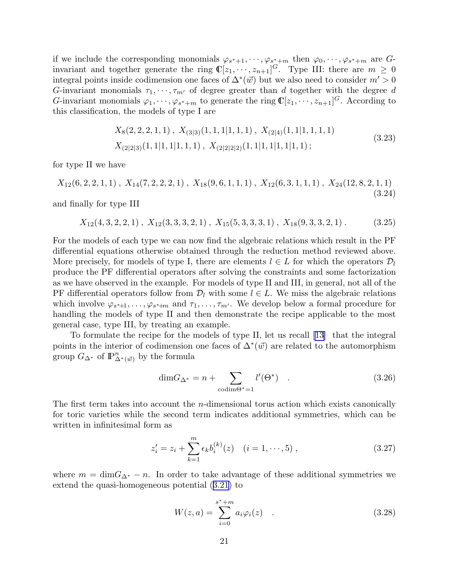<span id="page-21-0"></span>if we include the corresponding monomials  $\varphi_{s^*+1}, \dots, \varphi_{s^*+m}$  then  $\varphi_0, \dots, \varphi_{s^*+m}$  are Ginvariant and together generate the ring  $\mathbb{C}[z_1,\dots,z_{n+1}]^G$ . Type III: there are  $m \geq 0$ integral points inside codimension one faces of  $\Delta^*(\vec{w})$  but we also need to consider  $m' > 0$ G-invariant monomials  $\tau_1, \dots, \tau_{m'}$  of degree greater than d together with the degree d G-invariant monomials  $\varphi_1, \dots, \varphi_{s^*+m}$  to generate the ring  $\mathbb{C}[z_1, \dots, z_{n+1}]^G$ . According to this classification, the models of type I are

$$
X_8(2,2,2,1,1), X_{(3|3)}(1,1,1|1,1,1), X_{(2|4)}(1,1|1,1,1,1)
$$
  
\n
$$
X_{(2|2|3)}(1,1|1,1|1,1,1), X_{(2|2|2|2)}(1,1|1,1|1,1|1,1);
$$
\n(3.23)

for type II we have

 $X_{12}(6, 2, 2, 1, 1)$ ,  $X_{14}(7, 2, 2, 2, 1)$ ,  $X_{18}(9, 6, 1, 1, 1)$ ,  $X_{12}(6, 3, 1, 1, 1)$ ,  $X_{24}(12, 8, 2, 1, 1)$ (3.24)

and finally for type III

 $X_{12}(4, 3, 2, 2, 1)$ ,  $X_{12}(3, 3, 3, 2, 1)$ ,  $X_{15}(5, 3, 3, 3, 1)$ ,  $X_{18}(9, 3, 3, 2, 1)$ . (3.25)

For the models of each type we can now find the algebraic relations which result in the PF differential equations otherwise obtained through the reduction method reviewed above. More precisely, for models of type I, there are elements  $l \in L$  for which the operators  $\mathcal{D}_l$ produce the PF differential operators after solving the constraints and some factorization as we have observed in the example. For models of type II and III, in general, not all of the PF differential operators follow from  $\mathcal{D}_l$  with some  $l \in L$ . We miss the algebraic relations which involve  $\varphi_{s^*+1}, \ldots, \varphi_{s^*+m}$  and  $\tau_1, \ldots, \tau_{m'}$ . We develop below a formal procedure for handling the models of type II and then demonstrate the recipe applicable to the most general case, type III, by treating an example.

To formulate the recipe for the models of type II, let us recall[[13\]](#page-56-0) that the integral points in the interior of codimension one faces of  $\Delta^*(\vec{w})$  are related to the automorphism group  $G_{\Delta^*}$  of  $\mathbb{P}^n_{\Delta^*(\vec{w})}$  by the formula

$$
\dim G_{\Delta^*} = n + \sum_{\text{codim}\Theta^* = 1} l'(\Theta^*) \quad . \tag{3.26}
$$

The first term takes into account the *n*-dimensional torus action which exists canonically for toric varieties while the second term indicates additional symmetries, which can be written in infinitesimal form as

$$
z'_{i} = z_{i} + \sum_{k=1}^{m} \epsilon_{k} b_{i}^{(k)}(z) \quad (i = 1, \cdots, 5), \qquad (3.27)
$$

where  $m = \dim G_{\Delta^*} - n$ . In order to take advantage of these additional symmetries we extend the quasi-homogeneous potential([3.21](#page-20-0)) to

$$
W(z, a) = \sum_{i=0}^{s^* + m} a_i \varphi_i(z) \quad . \tag{3.28}
$$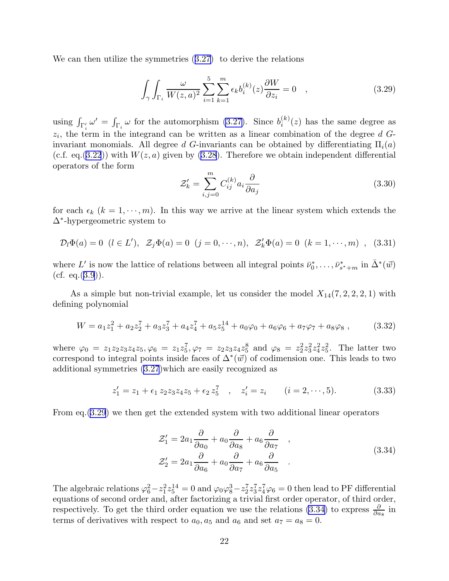<span id="page-22-0"></span>Wecan then utilize the symmetries  $(3.27)$  $(3.27)$  $(3.27)$  to derive the relations

$$
\int_{\gamma} \int_{\Gamma_i} \frac{\omega}{W(z,a)^2} \sum_{i=1}^5 \sum_{k=1}^m \epsilon_k b_i^{(k)}(z) \frac{\partial W}{\partial z_i} = 0 \quad , \tag{3.29}
$$

using  $\int_{\Gamma'_i} \omega' = \int_{\Gamma_i} \omega$  for the automorphism [\(3.27\)](#page-21-0). Since  $b_i^{(k)}$  $i^{(k)}(z)$  has the same degree as  $z_i$ , the term in the integrand can be written as a linear combination of the degree  $d$   $G$ invariant monomials. All degree d G-invariants can be obtained by differentiating  $\Pi_i(a)$ (c.f. eq.[\(3.22](#page-20-0))) with  $W(z, a)$  given by [\(3.28](#page-21-0)). Therefore we obtain independent differential operators of the form

$$
\mathcal{Z}'_k = \sum_{i,j=0}^m C_{ij}^{(k)} a_i \frac{\partial}{\partial a_j} \tag{3.30}
$$

for each  $\epsilon_k$  ( $k = 1, \dots, m$ ). In this way we arrive at the linear system which extends the ∆<sup>∗</sup> -hypergeometric system to

$$
\mathcal{D}_l \Phi(a) = 0 \ (l \in L'), \ \mathcal{Z}_j \Phi(a) = 0 \ (j = 0, \cdots, n), \ \mathcal{Z}'_k \Phi(a) = 0 \ (k = 1, \cdots, m) \ , \ (3.31)
$$

where L' is now the lattice of relations between all integral points  $\bar{\nu}_0^*, \ldots, \bar{\nu}_{s^*+m}^*$  in  $\bar{\Delta}^*(\vec{w})$ (cf. eq. $(3.9)$  $(3.9)$  $(3.9)$ ).

As a simple but non-trivial example, let us consider the model  $X_{14}(7, 2, 2, 2, 1)$  with defining polynomial

$$
W = a_1 z_1^2 + a_2 z_2^7 + a_3 z_3^7 + a_4 z_4^7 + a_5 z_5^{14} + a_0 \varphi_0 + a_6 \varphi_6 + a_7 \varphi_7 + a_8 \varphi_8 , \qquad (3.32)
$$

where  $\varphi_0 = z_1 z_2 z_3 z_4 z_5, \varphi_6 = z_1 z_5^7, \varphi_7 = z_2 z_3 z_4 z_5^8$  and  $\varphi_8 = z_2^2 z_3^2 z_4^2 z_5^2$ . The latter two correspond to integral points inside faces of  $\Delta^*(\vec{w})$  of codimension one. This leads to two additional symmetries [\(3.27](#page-21-0))which are easily recognized as

$$
z'_1 = z_1 + \epsilon_1 z_2 z_3 z_4 z_5 + \epsilon_2 z_5^7 \quad , \quad z'_i = z_i \qquad (i = 2, \cdots, 5). \tag{3.33}
$$

From eq.(3.29) we then get the extended system with two additional linear operators

$$
\mathcal{Z}'_1 = 2a_1 \frac{\partial}{\partial a_0} + a_0 \frac{\partial}{\partial a_8} + a_6 \frac{\partial}{\partial a_7} ,
$$
  

$$
\mathcal{Z}'_2 = 2a_1 \frac{\partial}{\partial a_6} + a_0 \frac{\partial}{\partial a_7} + a_6 \frac{\partial}{\partial a_5} .
$$
 (3.34)

The algebraic relations  $\varphi_6^2 - z_1^2 z_5^{14} = 0$  and  $\varphi_0 \varphi_8^3 - z_2^7 z_3^7 z_4^7 \varphi_6 = 0$  then lead to PF differential equations of second order and, after factorizing a trivial first order operator, of third order, respectively. To get the third order equation we use the relations (3.34) to express  $\frac{\partial}{\partial a_8}$  in terms of derivatives with respect to  $a_0$ ,  $a_5$  and  $a_6$  and set  $a_7 = a_8 = 0$ .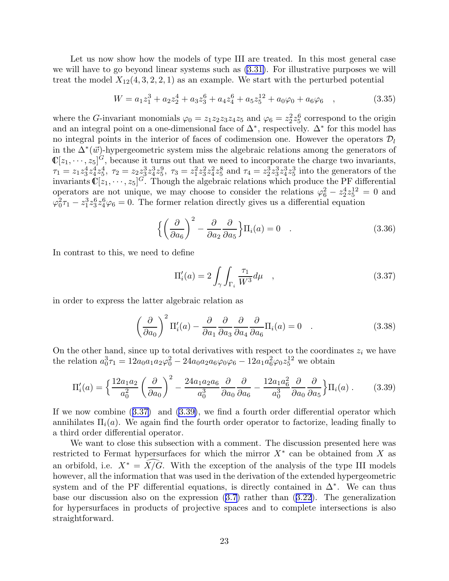Let us now show how the models of type III are treated. In this most general case we will have to go beyond linear systems such as [\(3.31\)](#page-22-0). For illustrative purposes we will treat the model  $X_{12}(4,3,2,2,1)$  as an example. We start with the perturbed potential

$$
W = a_1 z_1^3 + a_2 z_2^4 + a_3 z_3^6 + a_4 z_4^6 + a_5 z_5^{12} + a_0 \varphi_0 + a_6 \varphi_6 \quad , \tag{3.35}
$$

where the G-invariant monomials  $\varphi_0 = z_1 z_2 z_3 z_4 z_5$  and  $\varphi_6 = z_2^2 z_5^6$  correspond to the origin and an integral point on a one-dimensional face of  $\Delta^*$ , respectively.  $\Delta^*$  for this model has no integral points in the interior of faces of codimension one. However the operators  $\mathcal{D}_l$ in the  $\Delta^*(\vec{w})$ -hypergeometric system miss the algebraic relations among the generators of  $\mathbb{C}[z_1,\dots,z_5]^G$ , because it turns out that we need to incorporate the charge two invariants,  $\tau_1 = z_1 z_3^4 z_4^4 z_5^4$ ,  $\tau_2 = z_2 z_3^3 z_4^3 z_5^9$ ,  $\tau_3 = z_1^2 z_3^2 z_4^2 z_5^8$  and  $\tau_4 = z_2^3 z_3^3 z_4^3 z_5^3$  into the generators of the invariants  $\mathbb{C}[z_1,\dots,z_5]^G$ . Though the algebraic relations which produce the PF differential operators are not unique, we may choose to consider the relations  $\varphi_6^2 - z_2^4 z_5^{12} = 0$  and  $\varphi_0^2 \tau_1 - z_1^3 z_3^6 z_4^6 \varphi_6 = 0$ . The former relation directly gives us a differential equation

$$
\left\{ \left( \frac{\partial}{\partial a_6} \right)^2 - \frac{\partial}{\partial a_2} \frac{\partial}{\partial a_5} \right\} \Pi_i(a) = 0 \quad . \tag{3.36}
$$

In contrast to this, we need to define

$$
\Pi_i'(a) = 2 \int_{\gamma} \int_{\Gamma_i} \frac{\tau_1}{W^3} d\mu \quad , \tag{3.37}
$$

in order to express the latter algebraic relation as

$$
\left(\frac{\partial}{\partial a_0}\right)^2 \Pi_i'(a) - \frac{\partial}{\partial a_1} \frac{\partial}{\partial a_3} \frac{\partial}{\partial a_4} \frac{\partial}{\partial a_6} \Pi_i(a) = 0 \quad . \tag{3.38}
$$

On the other hand, since up to total derivatives with respect to the coordinates  $z_i$  we have the relation  $a_0^3 \tau_1 = 12a_0a_1a_2\varphi_0^2 - 24a_0a_2a_6\varphi_0\varphi_6 - 12a_1a_6^2\varphi_0z_5^{12}$  we obtain

$$
\Pi_i'(a) = \left\{ \frac{12a_1a_2}{a_0^2} \left( \frac{\partial}{\partial a_0} \right)^2 - \frac{24a_1a_2a_6}{a_0^3} \frac{\partial}{\partial a_0} \frac{\partial}{\partial a_6} - \frac{12a_1a_6^2}{a_0^3} \frac{\partial}{\partial a_0} \frac{\partial}{\partial a_5} \right\} \Pi_i(a) \,. \tag{3.39}
$$

If we now combine (3.37) and (3.39), we find a fourth order differential operator which annihilates  $\Pi_i(a)$ . We again find the fourth order operator to factorize, leading finally to a third order differential operator.

We want to close this subsection with a comment. The discussion presented here was restricted to Fermat hypersurfaces for which the mirror  $X^*$  can be obtained from X as an orbifold, i.e.  $X^* = \widehat{X/G}$ . With the exception of the analysis of the type III models however, all the information that was used in the derivation of the extended hypergeometric system and of the PF differential equations, is directly contained in  $\Delta^*$ . We can thus base our discussion also on the expression([3.7](#page-18-0)) rather than ([3.22](#page-20-0)). The generalization for hypersurfaces in products of projective spaces and to complete intersections is also straightforward.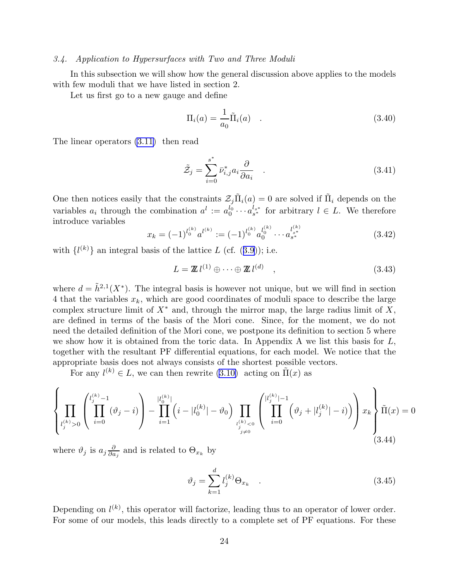#### <span id="page-24-0"></span>3.4. Application to Hypersurfaces with Two and Three Moduli

In this subsection we will show how the general discussion above applies to the models with few moduli that we have listed in section 2.

Let us first go to a new gauge and define

$$
\Pi_i(a) = \frac{1}{a_0} \tilde{\Pi}_i(a) \quad . \tag{3.40}
$$

The linear operators [\(3.11\)](#page-18-0) then read

$$
\tilde{\mathcal{Z}}_j = \sum_{i=0}^{s^*} \bar{\nu}_{i,j}^* a_i \frac{\partial}{\partial a_i} . \tag{3.41}
$$

One then notices easily that the constraints  $\mathcal{Z}_j \tilde{\Pi}_i(a) = 0$  are solved if  $\tilde{\Pi}_i$  depends on the variables  $a_i$  through the combination  $a^l := a_0^{l_0} \cdots a_{s^*}^{l_{s^*}}$  for arbitrary  $l \in L$ . We therefore introduce variables

$$
x_k = (-1)^{l_0^{(k)}} a^{l^{(k)}} := (-1)^{l_0^{(k)}} a_0^{l_0^{(k)}} \cdots a_{s^*}^{l_{s^*}^{(k)}} \tag{3.42}
$$

with $\{l^{(k)}\}$  an integral basis of the lattice L (cf. ([3.9\)](#page-18-0)); i.e.

$$
L = \mathbb{Z} \, l^{(1)} \oplus \cdots \oplus \mathbb{Z} \, l^{(d)} \quad , \tag{3.43}
$$

where  $d = \tilde{h}^{2,1}(X^*)$ . The integral basis is however not unique, but we will find in section 4 that the variables  $x_k$ , which are good coordinates of moduli space to describe the large complex structure limit of  $X^*$  and, through the mirror map, the large radius limit of X, are defined in terms of the basis of the Mori cone. Since, for the moment, we do not need the detailed definition of the Mori cone, we postpone its definition to section 5 where we show how it is obtained from the toric data. In Appendix A we list this basis for  $L$ , together with the resultant PF differential equations, for each model. We notice that the appropriate basis does not always consists of the shortest possible vectors.

For any  $l^{(k)} \in L$ , we can then rewrite [\(3.10\)](#page-18-0) acting on  $\tilde{\Pi}(x)$  as

$$
\left\{\prod_{\substack{l_j^{(k)} > 0}} \left( \prod_{i=0}^{l_j^{(k)} - 1} (\vartheta_j - i) \right) - \prod_{i=1}^{|l_0^{(k)}|} \left(i - |l_0^{(k)}| - \vartheta_0\right) \prod_{\substack{l_j^{(k)} < 0 \\ j \neq 0}} \left(\prod_{i=0}^{|l_j^{(k)}| - 1} \left(\vartheta_j + |l_j^{(k)}| - i\right)\right) x_k \right\} \tilde{\Pi}(x) = 0
$$
\n(3.44)

where  $\vartheta_j$  is  $a_j \frac{\partial}{\partial a}$  $\frac{\partial}{\partial a_j}$  and is related to  $\Theta_{x_k}$  by

$$
\vartheta_j = \sum_{k=1}^d l_j^{(k)} \Theta_{x_k} \quad . \tag{3.45}
$$

Depending on  $l^{(k)}$ , this operator will factorize, leading thus to an operator of lower order. For some of our models, this leads directly to a complete set of PF equations. For these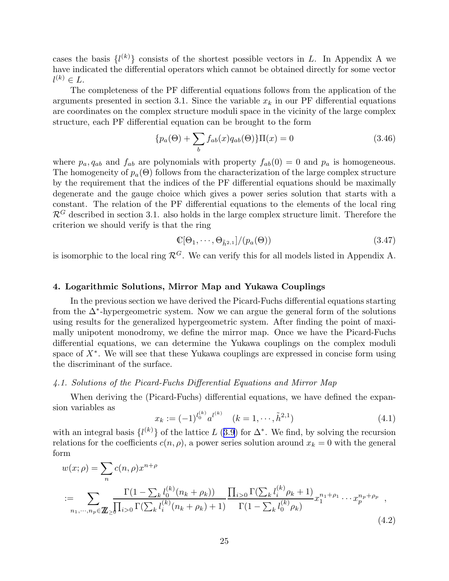<span id="page-25-0"></span>cases the basis  $\{l^{(k)}\}$  consists of the shortest possible vectors in L. In Appendix A we have indicated the differential operators which cannot be obtained directly for some vector  $l^{(k)} \in L.$ 

The completeness of the PF differential equations follows from the application of the arguments presented in section 3.1. Since the variable  $x_k$  in our PF differential equations are coordinates on the complex structure moduli space in the vicinity of the large complex structure, each PF differential equation can be brought to the form

$$
\{p_a(\Theta) + \sum_b f_{ab}(x)q_{ab}(\Theta)\}\Pi(x) = 0
$$
\n(3.46)

where  $p_a, q_{ab}$  and  $f_{ab}$  are polynomials with property  $f_{ab}(0) = 0$  and  $p_a$  is homogeneous. The homogeneity of  $p_a(\Theta)$  follows from the characterization of the large complex structure by the requirement that the indices of the PF differential equations should be maximally degenerate and the gauge choice which gives a power series solution that starts with a constant. The relation of the PF differential equations to the elements of the local ring  $\mathcal{R}^G$  described in section 3.1. also holds in the large complex structure limit. Therefore the criterion we should verify is that the ring

$$
\mathbb{C}[\Theta_1, \cdots, \Theta_{\tilde{h}^{2,1}}]/(p_a(\Theta))\tag{3.47}
$$

is isomorphic to the local ring  $\mathcal{R}^G$ . We can verify this for all models listed in Appendix A.

## 4. Logarithmic Solutions, Mirror Map and Yukawa Couplings

In the previous section we have derived the Picard-Fuchs differential equations starting from the  $\Delta^*$ -hypergeometric system. Now we can argue the general form of the solutions using results for the generalized hypergeometric system. After finding the point of maximally unipotent monodromy, we define the mirror map. Once we have the Picard-Fuchs differential equations, we can determine the Yukawa couplings on the complex moduli space of  $X^*$ . We will see that these Yukawa couplings are expressed in concise form using the discriminant of the surface.

### 4.1. Solutions of the Picard-Fuchs Differential Equations and Mirror Map

When deriving the (Picard-Fuchs) differential equations, we have defined the expansion variables as

$$
x_k := (-1)^{l_0^{(k)}} a^{l^{(k)}} \quad (k = 1, \cdots, \tilde{h}^{2,1})
$$
\n(4.1)

with an integral basis  $\{l^{(k)}\}$  of the lattice L ([3.9](#page-18-0)) for  $\Delta^*$ . We find, by solving the recursion relations for the coefficients  $c(n, \rho)$ , a power series solution around  $x_k = 0$  with the general form

$$
w(x; \rho) = \sum_{n} c(n, \rho) x^{n+\rho}
$$
  
:= 
$$
\sum_{n_1, \dots, n_p \in \mathbb{Z} \ge \sqrt{\prod_{i>0} \Gamma(\sum_{k} l_i^{(k)}(n_k + \rho_k) + 1)} \frac{\prod_{i>0} \Gamma(\sum_{k} l_i^{(k)}(\rho_k + 1))}{\Gamma(1 - \sum_{k} l_0^{(k)}(\rho_k))} x_1^{n_1 + \rho_1} \cdots x_p^{n_p + \rho_p},
$$
  
(4.2)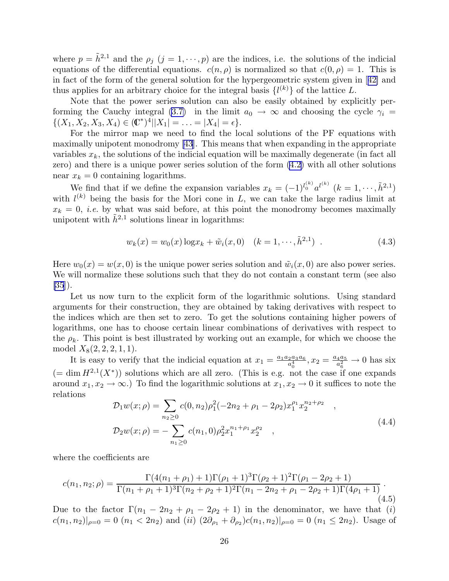where  $p = \tilde{h}^{2,1}$  and the  $\rho_j$   $(j = 1, \dots, p)$  are the indices, i.e. the solutions of the indicial equations of the differential equations.  $c(n, \rho)$  is normalized so that  $c(0, \rho) = 1$ . This is in fact of the form of the general solution for the hypergeometric system given in[[42\]](#page-58-0) and thus applies for an arbitrary choice for the integral basis  $\{l^{(k)}\}$  of the lattice L.

Note that the power series solution can also be easily obtained by explicitly per-forming the Cauchy integral [\(3.7\)](#page-18-0) in the limit  $a_0 \rightarrow \infty$  and choosing the cycle  $\gamma_i =$  $\{(X_1, X_2, X_3, X_4) \in (\mathbb{C}^*)^4 | |X_1| = \ldots = |X_4| = \epsilon\}.$ 

For the mirror map we need to find the local solutions of the PF equations with maximally unipotent monodromy[[43\]](#page-58-0). This means that when expanding in the appropriate variables  $x_k$ , the solutions of the indicial equation will be maximally degenerate (in fact all zero) and there is a unique power series solution of the form [\(4.2\)](#page-25-0) with all other solutions near  $x_k = 0$  containing logarithms.

We find that if we define the expansion variables  $x_k = (-1)^{l_0^{(k)}} a^{l^{(k)}}$   $(k = 1, \dots, \tilde{h}^{2,1})$ with  $l^{(k)}$  being the basis for the Mori cone in L, we can take the large radius limit at  $x_k = 0$ , *i.e.* by what was said before, at this point the monodromy becomes maximally unipotent with  $\tilde{h}^{2,1}$  solutions linear in logarithms:

$$
w_k(x) = w_0(x) \log x_k + \tilde{w}_i(x, 0) \quad (k = 1, \cdots, \tilde{h}^{2,1}) \tag{4.3}
$$

Here  $w_0(x) = w(x, 0)$  is the unique power series solution and  $\tilde{w}_i(x, 0)$  are also power series. We will normalize these solutions such that they do not contain a constant term (see also [\[35](#page-57-0)]).

Let us now turn to the explicit form of the logarithmic solutions. Using standard arguments for their construction, they are obtained by taking derivatives with respect to the indices which are then set to zero. To get the solutions containing higher powers of logarithms, one has to choose certain linear combinations of derivatives with respect to the  $\rho_k$ . This point is best illustrated by working out an example, for which we choose the model  $X_8(2, 2, 2, 1, 1)$ .

It is easy to verify that the indicial equation at  $x_1 = \frac{a_1 a_2 a_3 a_6}{a^4}$  $\frac{a_4a_3a_6}{a_0^4}, x_2 = \frac{a_4a_5}{a_6^2}$  $rac{4a_5}{a_6^2} \rightarrow 0$  has six  $($  = dim  $H^{2,1}(X^*)$  solutions which are all zero. (This is e.g. not the case if one expands around  $x_1, x_2 \to \infty$ .) To find the logarithmic solutions at  $x_1, x_2 \to 0$  it suffices to note the relations

$$
\mathcal{D}_1 w(x; \rho) = \sum_{n_2 \ge 0} c(0, n_2) \rho_1^2 (-2n_2 + \rho_1 - 2\rho_2) x_1^{\rho_1} x_2^{n_2 + \rho_2} ,
$$
  
\n
$$
\mathcal{D}_2 w(x; \rho) = -\sum_{n_1 \ge 0} c(n_1, 0) \rho_2^2 x_1^{n_1 + \rho_1} x_2^{\rho_2} ,
$$
\n(4.4)

where the coefficients are

$$
c(n_1, n_2; \rho) = \frac{\Gamma(4(n_1 + \rho_1) + 1)\Gamma(\rho_1 + 1)^3 \Gamma(\rho_2 + 1)^2 \Gamma(\rho_1 - 2\rho_2 + 1)}{\Gamma(n_1 + \rho_1 + 1)^3 \Gamma(n_2 + \rho_2 + 1)^2 \Gamma(n_1 - 2n_2 + \rho_1 - 2\rho_2 + 1) \Gamma(4\rho_1 + 1)}.
$$
\n(4.5)

Due to the factor  $\Gamma(n_1 - 2n_2 + \rho_1 - 2\rho_2 + 1)$  in the denominator, we have that (i)  $c(n_1, n_2)|_{\rho=0} = 0$   $(n_1 < 2n_2)$  and  $(ii)$   $(2\partial_{\rho_1} + \partial_{\rho_2})c(n_1, n_2)|_{\rho=0} = 0$   $(n_1 \leq 2n_2)$ . Usage of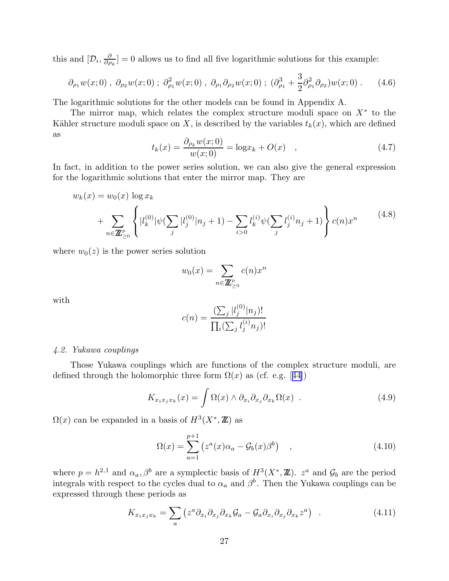<span id="page-27-0"></span>this and  $[\mathcal{D}_i, \frac{\partial}{\partial \rho}$  $\frac{\partial}{\partial \rho_k}$  = 0 allows us to find all five logarithmic solutions for this example:

$$
\partial_{\rho_1} w(x;0) , \ \partial_{\rho_2} w(x;0) ; \ \partial_{\rho_1}^2 w(x;0) , \ \partial_{\rho_1} \partial_{\rho_2} w(x;0) ; \ \left(\partial_{\rho_1}^3 + \frac{3}{2}\partial_{\rho_1}^2 \partial_{\rho_2}\right) w(x;0) . \tag{4.6}
$$

The logarithmic solutions for the other models can be found in Appendix A.

The mirror map, which relates the complex structure moduli space on  $X^*$  to the Kähler structure moduli space on X, is described by the variables  $t_k(x)$ , which are defined as

$$
t_k(x) = \frac{\partial_{\rho_k} w(x; 0)}{w(x; 0)} = \log x_k + O(x) \quad , \tag{4.7}
$$

In fact, in addition to the power series solution, we can also give the general expression for the logarithmic solutions that enter the mirror map. They are

$$
w_k(x) = w_0(x) \log x_k
$$
  
+ 
$$
\sum_{n \in \mathbb{Z}_{\geq 0}^p} \left\{ |l_k^{(0)}| \psi(\sum_j |l_j^{(0)}|n_j + 1) - \sum_{i>0} l_k^{(i)} \psi(\sum_j l_j^{(i)} n_j + 1) \right\} c(n) x^n
$$
(4.8)

where  $w_0(z)$  is the power series solution

$$
w_0(x) = \sum_{n \in \mathbb{Z}_{\geq 0}^p} c(n) x^n
$$

with

$$
c(n) = \frac{\left(\sum_{j} |l_j^{(0)}|n_j\right)!}{\prod_{i} \left(\sum_{j} l_j^{(i)} n_j\right)!}
$$

## 4.2. Yukawa couplings

Those Yukawa couplings which are functions of the complex structure moduli, are definedthrough the holomorphic three form  $\Omega(x)$  as (cf. e.g. [[44\]](#page-58-0))

$$
K_{x_ix_jx_k}(x) = \int \Omega(x) \wedge \partial_{x_i} \partial_{x_j} \partial_{x_k} \Omega(x) . \qquad (4.9)
$$

 $\Omega(x)$  can be expanded in a basis of  $H^3(X^*,\mathbb{Z})$  as

$$
\Omega(x) = \sum_{a=1}^{p+1} \left( z^a(x) \alpha_a - \mathcal{G}_b(x) \beta^b \right) , \qquad (4.10)
$$

where  $p = h^{2,1}$  and  $\alpha_a, \beta^b$  are a symplectic basis of  $H^3(X^*, \mathbb{Z})$ .  $z^a$  and  $\mathcal{G}_b$  are the period integrals with respect to the cycles dual to  $\alpha_a$  and  $\beta^b$ . Then the Yukawa couplings can be expressed through these periods as

$$
K_{x_ix_jx_k} = \sum_a \left( z^a \partial_{x_i} \partial_{x_j} \partial_{x_k} \mathcal{G}_a - \mathcal{G}_a \partial_{x_i} \partial_{x_j} \partial_{x_k} z^a \right) \quad . \tag{4.11}
$$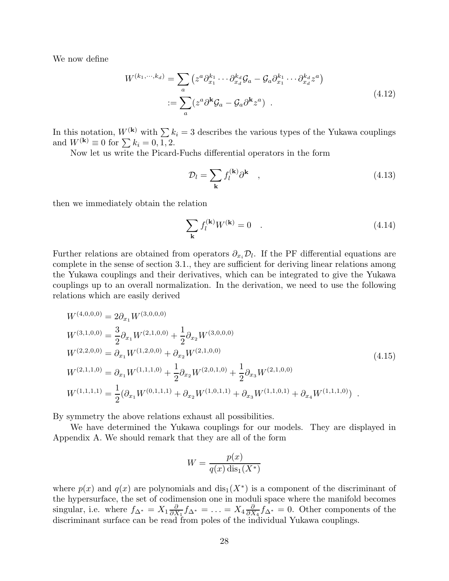We now define

$$
W^{(k_1,\cdots,k_d)} = \sum_a \left( z^a \partial_{x_1}^{k_1} \cdots \partial_{x_d}^{k_d} \mathcal{G}_a - \mathcal{G}_a \partial_{x_1}^{k_1} \cdots \partial_{x_d}^{k_d} z^a \right)
$$
  
 := 
$$
\sum_a \left( z^a \partial^k \mathcal{G}_a - \mathcal{G}_a \partial^k z^a \right) .
$$
 (4.12)

In this notation,  $W^{(k)}$  with  $\sum k_i = 3$  describes the various types of the Yukawa couplings and  $W^{(k)} \equiv 0$  for  $\sum k_i = 0, \overline{1, 2}$ .

Now let us write the Picard-Fuchs differential operators in the form

$$
\mathcal{D}_l = \sum_{\mathbf{k}} f_l^{(\mathbf{k})} \partial^{\mathbf{k}} \quad , \tag{4.13}
$$

then we immediately obtain the relation

$$
\sum_{\mathbf{k}} f_l^{(\mathbf{k})} W^{(\mathbf{k})} = 0 \quad . \tag{4.14}
$$

Further relations are obtained from operators  $\partial_{x_i}\mathcal{D}_l$ . If the PF differential equations are complete in the sense of section 3.1., they are sufficient for deriving linear relations among the Yukawa couplings and their derivatives, which can be integrated to give the Yukawa couplings up to an overall normalization. In the derivation, we need to use the following relations which are easily derived

$$
W^{(4,0,0,0)} = 2\partial_{x_1} W^{(3,0,0,0)}
$$
  
\n
$$
W^{(3,1,0,0)} = \frac{3}{2}\partial_{x_1} W^{(2,1,0,0)} + \frac{1}{2}\partial_{x_2} W^{(3,0,0,0)}
$$
  
\n
$$
W^{(2,2,0,0)} = \partial_{x_1} W^{(1,2,0,0)} + \partial_{x_2} W^{(2,1,0,0)}
$$
  
\n
$$
W^{(2,1,1,0)} = \partial_{x_1} W^{(1,1,1,0)} + \frac{1}{2}\partial_{x_2} W^{(2,0,1,0)} + \frac{1}{2}\partial_{x_3} W^{(2,1,0,0)}
$$
  
\n
$$
W^{(1,1,1,1)} = \frac{1}{2}(\partial_{x_1} W^{(0,1,1,1)} + \partial_{x_2} W^{(1,0,1,1)} + \partial_{x_3} W^{(1,1,0,1)} + \partial_{x_4} W^{(1,1,1,0)})
$$
 (4.15)

By symmetry the above relations exhaust all possibilities.

We have determined the Yukawa couplings for our models. They are displayed in Appendix A. We should remark that they are all of the form

$$
W = \frac{p(x)}{q(x)\operatorname{dis}_1(X^*)}
$$

where  $p(x)$  and  $q(x)$  are polynomials and  $dis_1(X^*)$  is a component of the discriminant of the hypersurface, the set of codimension one in moduli space where the manifold becomes singular, i.e. where  $f_{\Delta^*} = X_1 \frac{\partial}{\partial X}$  $\frac{\partial}{\partial X_1} f_{\Delta^*} = \ldots = X_4 \frac{\partial}{\partial X_5}$  $\frac{\partial}{\partial X_4} f_{\Delta^*} = 0$ . Other components of the discriminant surface can be read from poles of the individual Yukawa couplings.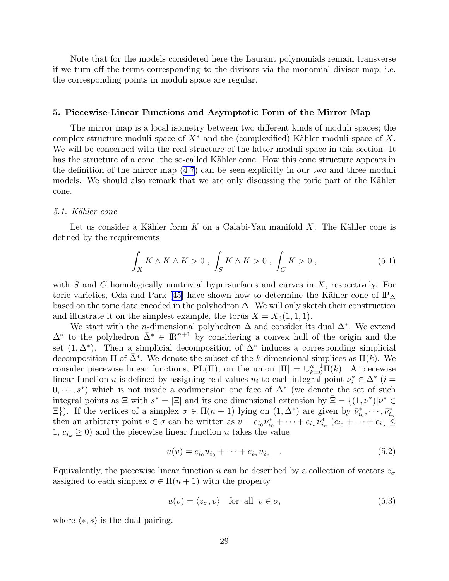<span id="page-29-0"></span>Note that for the models considered here the Laurant polynomials remain transverse if we turn off the terms corresponding to the divisors via the monomial divisor map, i.e. the corresponding points in moduli space are regular.

## 5. Piecewise-Linear Functions and Asymptotic Form of the Mirror Map

The mirror map is a local isometry between two different kinds of moduli spaces; the complex structure moduli space of  $X^*$  and the (complexified) Kähler moduli space of X. We will be concerned with the real structure of the latter moduli space in this section. It has the structure of a cone, the so-called Kähler cone. How this cone structure appears in the definition of the mirror map([4.7](#page-27-0)) can be seen explicitly in our two and three moduli models. We should also remark that we are only discussing the toric part of the Kähler cone.

### 5.1. Kähler cone

Let us consider a Kähler form  $K$  on a Calabi-Yau manifold  $X$ . The Kähler cone is defined by the requirements

$$
\int_{X} K \wedge K \wedge K > 0 \ , \ \int_{S} K \wedge K > 0 \ , \ \int_{C} K > 0 \ , \tag{5.1}
$$

with  $S$  and  $C$  homologically nontrivial hypersurfaces and curves in  $X$ , respectively. For toric varieties, Oda and Park [\[45](#page-58-0)] have shown how to determine the Kähler cone of  $\mathbb{P}_{\Delta}$ based on the toric data encoded in the polyhedron  $\Delta$ . We will only sketch their construction and illustrate it on the simplest example, the torus  $X = X_3(1, 1, 1)$ .

We start with the *n*-dimensional polyhedron  $\Delta$  and consider its dual  $\Delta^*$ . We extend  $\Delta^*$  to the polyhedron  $\bar{\Delta}^* \in \mathbb{R}^{n+1}$  by considering a convex hull of the origin and the set  $(1, \Delta^*)$ . Then a simplicial decomposition of  $\Delta^*$  induces a corresponding simplicial decomposition  $\Pi$  of  $\bar{\Delta}^*$ . We denote the subset of the k-dimensional simplices as  $\Pi(k)$ . We consider piecewise linear functions, PL(Π), on the union  $|\Pi| = \bigcup_{k=0}^{n+1} \Pi(k)$ . A piecewise linear function u is defined by assigning real values  $u_i$  to each integral point  $\nu_i^* \in \Delta^*$  (i =  $(0, \dots, s^*)$  which is not inside a codimension one face of  $\Delta^*$  (we denote the set of such integral points as  $\Xi$  with  $s^* = |\Xi|$  and its one dimensional extension by  $\bar{\Xi} = \{(1, \nu^*) | \nu^* \in \Xi\}$  $\Xi$ }). If the vertices of a simplex  $\sigma \in \Pi(n+1)$  lying on  $(1, \Delta^*)$  are given by  $\bar{\nu}_{i_0}^*, \cdots, \bar{\nu}_{i_n}^*$ then an arbitrary point  $v \in \sigma$  can be written as  $v = c_{i_0} \bar{\nu}_{i_0}^* + \cdots + c_{i_n} \bar{\nu}_{i_n}^*$   $(c_{i_0} + \cdots + c_{i_n} \leq$ 1,  $c_{i_k} \geq 0$ ) and the piecewise linear function u takes the value

$$
u(v) = c_{i_0} u_{i_0} + \dots + c_{i_n} u_{i_n} \quad . \tag{5.2}
$$

Equivalently, the piecewise linear function u can be described by a collection of vectors  $z_{\sigma}$ assigned to each simplex  $\sigma \in \Pi(n+1)$  with the property

$$
u(v) = \langle z_{\sigma}, v \rangle \quad \text{for all} \ \ v \in \sigma,
$$
\n
$$
(5.3)
$$

where  $\langle *, * \rangle$  is the dual pairing.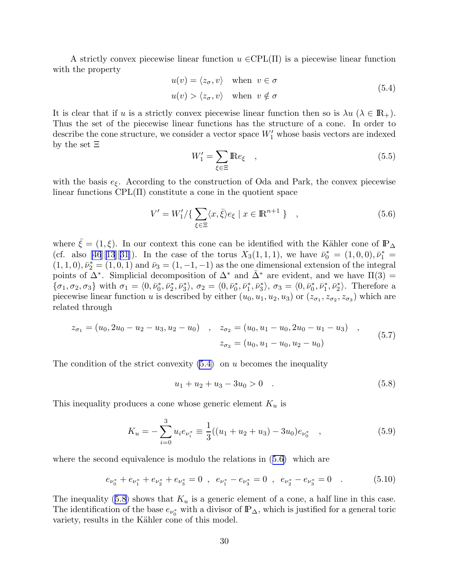<span id="page-30-0"></span>A strictly convex piecewise linear function  $u \in CPL(\Pi)$  is a piecewise linear function with the property

$$
u(v) = \langle z_{\sigma}, v \rangle \quad \text{when} \quad v \in \sigma
$$
  

$$
u(v) > \langle z_{\sigma}, v \rangle \quad \text{when} \quad v \notin \sigma
$$
 (5.4)

It is clear that if u is a strictly convex piecewise linear function then so is  $\lambda u$  ( $\lambda \in \mathbb{R}_+$ ). Thus the set of the piecewise linear functions has the structure of a cone. In order to describe the cone structure, we consider a vector space  $W'_1$  whose basis vectors are indexed by the set Ξ

$$
W_1' = \sum_{\xi \in \Xi} \mathbb{R} e_{\xi} \quad , \tag{5.5}
$$

with the basis  $e_{\xi}$ . According to the construction of Oda and Park, the convex piecewise linear functions  $\text{CPL}(\Pi)$  constitute a cone in the quotient space

$$
V' = W'_1 / \{ \sum_{\xi \in \Xi} \langle x, \bar{\xi} \rangle e_{\xi} \mid x \in \mathbb{R}^{n+1} \} , \qquad (5.6)
$$

where  $\bar{\xi} = (1, \xi)$ . In our context this cone can be identified with the Kähler cone of  $\mathbb{P}_{\Delta}$ (cf. also [\[46](#page-58-0)][\[13](#page-56-0)][[31\]](#page-57-0)). In the case of the torus  $X_3(1,1,1)$ , we have  $\bar{\nu}_0^* = (1,0,0), \bar{\nu}_1^* =$  $(1, 1, 0), \bar{\nu}_2^* = (1, 0, 1)$  and  $\bar{\nu}_3 = (1, -1, -1)$  as the one dimensional extension of the integral points of  $\Delta^*$ . Simplicial decomposition of  $\Delta^*$  and  $\bar{\Delta}^*$  are evident, and we have  $\Pi(3) =$  $\{\sigma_1, \sigma_2, \sigma_3\}$  with  $\sigma_1 = \langle 0, \bar{\nu}_0^*, \bar{\nu}_2^*, \bar{\nu}_3^* \rangle$ ,  $\sigma_2 = \langle 0, \bar{\nu}_0^*, \bar{\nu}_1^*, \bar{\nu}_3^* \rangle$ ,  $\sigma_3 = \langle 0, \bar{\nu}_0^*, \bar{\nu}_1^*, \bar{\nu}_2^* \rangle$ . Therefore a piecewise linear function u is described by either  $(u_0, u_1, u_2, u_3)$  or  $(z_{\sigma_1}, z_{\sigma_2}, z_{\sigma_3})$  which are related through

$$
z_{\sigma_1} = (u_0, 2u_0 - u_2 - u_3, u_2 - u_0) , \quad z_{\sigma_2} = (u_0, u_1 - u_0, 2u_0 - u_1 - u_3) ,
$$
  

$$
z_{\sigma_3} = (u_0, u_1 - u_0, u_2 - u_0)
$$
 (5.7)

The condition of the strict convexity  $(5.4)$  on u becomes the inequality

$$
u_1 + u_2 + u_3 - 3u_0 > 0 \t . \t (5.8)
$$

This inequality produces a cone whose generic element  $K_u$  is

$$
K_u = -\sum_{i=0}^{3} u_i e_{\nu_i^*} \equiv \frac{1}{3} ((u_1 + u_2 + u_3) - 3u_0) e_{\nu_0^*} \quad , \tag{5.9}
$$

where the second equivalence is modulo the relations in  $(5.6)$  which are

$$
e_{\nu_0^*} + e_{\nu_1^*} + e_{\nu_2^*} + e_{\nu_3^*} = 0 \ , \ e_{\nu_1^*} - e_{\nu_3^*} = 0 \ , \ e_{\nu_2^*} - e_{\nu_3^*} = 0 \ . \tag{5.10}
$$

The inequality (5.8) shows that  $K_u$  is a generic element of a cone, a half line in this case. The identification of the base  $e_{\nu_0^*}$  with a divisor of  $\mathbb{P}_{\Delta}$ , which is justified for a general toric variety, results in the Kähler cone of this model.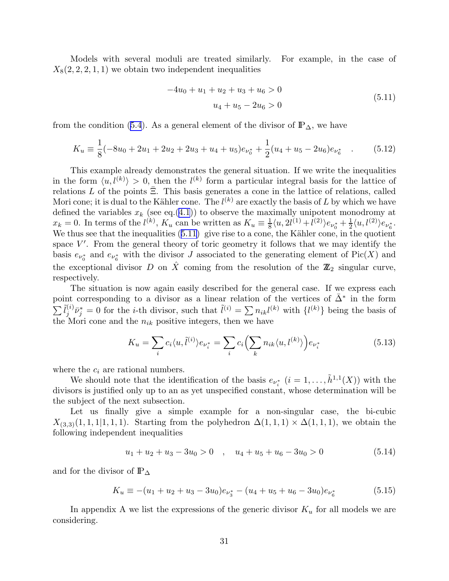<span id="page-31-0"></span>Models with several moduli are treated similarly. For example, in the case of  $X_8(2, 2, 2, 1, 1)$  we obtain two independent inequalities

$$
-4u_0 + u_1 + u_2 + u_3 + u_6 > 0
$$
  

$$
u_4 + u_5 - 2u_6 > 0
$$
 (5.11)

fromthe condition ([5.4](#page-30-0)). As a general element of the divisor of  $\mathbb{P}_{\Delta}$ , we have

$$
K_u \equiv \frac{1}{8}(-8u_0 + 2u_1 + 2u_2 + 2u_3 + u_4 + u_5)e_{\nu_0^*} + \frac{1}{2}(u_4 + u_5 - 2u_6)e_{\nu_6^*} \quad . \tag{5.12}
$$

This example already demonstrates the general situation. If we write the inequalities in the form  $\langle u, l^{(k)} \rangle > 0$ , then the  $l^{(k)}$  form a particular integral basis for the lattice of relations L of the points  $\bar{\Xi}$ . This basis generates a cone in the lattice of relations, called Mori cone; it is dual to the Kähler cone. The  $l^{(k)}$  are exactly the basis of L by which we have defined the variables  $x_k$  (see eq.([4.1](#page-25-0))) to observe the maximally unipotent monodromy at  $x_k = 0$ . In terms of the  $l^{(k)}$ ,  $K_u$  can be written as  $K_u \equiv \frac{1}{8}$  $\frac{1}{8}\langle u, 2l^{(1)}+l^{(2)}\rangle e_{\nu_0^*}+\frac{1}{2}$  $\frac{1}{2}\langle u, l^{(2)}\rangle e_{\nu_6^*}.$ We thus see that the inequalities  $(5.11)$  give rise to a cone, the Kähler cone, in the quotient space  $V'$ . From the general theory of toric geometry it follows that we may identify the basis  $e_{\nu_0^*}$  and  $e_{\nu_6^*}$  with the divisor J associated to the generating element of Pic(X) and the exceptional divisor D on  $\hat{X}$  coming from the resolution of the  $\mathbb{Z}_2$  singular curve, respectively.

The situation is now again easily described for the general case. If we express each point corresponding to a divisor as a linear relation of the vertices of  $\bar{\Delta}^*$  in the form  $\sum \tilde l_i^{(i)}$  $\tilde{l}^{(i)}_j \bar{\nu}^*_{j} = 0$  for the *i*-th divisor, such that  $\tilde{l}^{(i)} = \sum n_{ik} l^{(k)}$  with  $\{l^{(k)}\}$  being the basis of the Mori cone and the  $n_{ik}$  positive integers, then we have

$$
K_u = \sum_i c_i \langle u, \tilde{l}^{(i)} \rangle e_{\nu_i^*} = \sum_i c_i \left( \sum_k n_{ik} \langle u, l^{(k)} \rangle \right) e_{\nu_i^*}
$$
(5.13)

where the  $c_i$  are rational numbers.

We should note that the identification of the basis  $e_{\nu_i^*}$   $(i = 1, \ldots, \tilde{h}^{1,1}(X))$  with the divisors is justified only up to an as yet unspecified constant, whose determination will be the subject of the next subsection.

Let us finally give a simple example for a non-singular case, the bi-cubic  $X_{(3,3)}(1,1,1|1,1,1)$ . Starting from the polyhedron  $\Delta(1,1,1) \times \Delta(1,1,1)$ , we obtain the following independent inequalities

$$
u_1 + u_2 + u_3 - 3u_0 > 0 \quad , \quad u_4 + u_5 + u_6 - 3u_0 > 0 \tag{5.14}
$$

and for the divisor of  $\mathbb{P}_\Delta$ 

$$
K_u \equiv -(u_1 + u_2 + u_3 - 3u_0)e_{\nu_3^*} - (u_4 + u_5 + u_6 - 3u_0)e_{\nu_6^*}
$$
(5.15)

In appendix A we list the expressions of the generic divisor  $K_u$  for all models we are considering.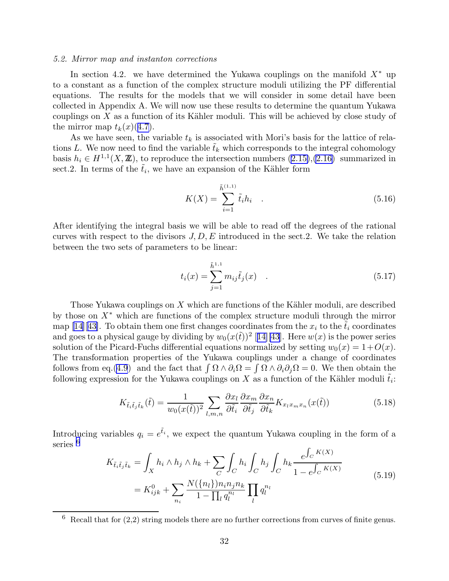#### <span id="page-32-0"></span>5.2. Mirror map and instanton corrections

In section 4.2. we have determined the Yukawa couplings on the manifold  $X^*$  up to a constant as a function of the complex structure moduli utilizing the PF differential equations. The results for the models that we will consider in some detail have been collected in Appendix A. We will now use these results to determine the quantum Yukawa couplings on  $X$  as a function of its Kähler moduli. This will be achieved by close study of the mirror map  $t_k(x)(4.7)$  $t_k(x)(4.7)$ .

As we have seen, the variable  $t_k$  is associated with Mori's basis for the lattice of relations L. We now need to find the variable  $t_k$  which corresponds to the integral cohomology basis  $h_i \in H^{1,1}(X,\mathbb{Z})$ , to reproduce the intersection numbers  $(2.15),(2.16)$  $(2.15),(2.16)$  summarized in sect. 2. In terms of the  $\tilde{t}_i$ , we have an expansion of the Kähler form

$$
K(X) = \sum_{i=1}^{\tilde{h}^{(1,1)}} \tilde{t}_i h_i \quad . \tag{5.16}
$$

After identifying the integral basis we will be able to read off the degrees of the rational curves with respect to the divisors  $J, D, E$  introduced in the sect. 2. We take the relation between the two sets of parameters to be linear:

$$
t_i(x) = \sum_{j=1}^{\tilde{h}^{1,1}} m_{ij} \tilde{t}_j(x) \quad . \tag{5.17}
$$

Those Yukawa couplings on X which are functions of the Kähler moduli, are described by those on  $X^*$  which are functions of the complex structure moduli through the mirror map[[14\]](#page-56-0)[[43\]](#page-58-0). To obtain them one first changes coordinates from the  $x_i$  to the  $\tilde{t}_i$  coordinates and goes to a physical gauge by dividing by  $w_0(x(\tilde{t}))^2$  [[14\]](#page-56-0)[\[43](#page-58-0)]. Here  $w(x)$  is the power series solution of the Picard-Fuchs differential equations normalized by setting  $w_0(x) = 1+O(x)$ . The transformation properties of the Yukawa couplings under a change of coordinates follows from eq.([4.9](#page-27-0)) and the fact that  $\int \Omega \wedge \partial_i \Omega = \int \Omega \wedge \partial_i \partial_j \Omega = 0$ . We then obtain the following expression for the Yukawa couplings on X as a function of the Kähler moduli  $\tilde{t}_i$ :

$$
K_{\tilde{t}_i\tilde{t}_j\tilde{t}_k}(\tilde{t}) = \frac{1}{w_0(x(\tilde{t}))^2} \sum_{l,m,n} \frac{\partial x_l}{\partial \tilde{t}_i} \frac{\partial x_m}{\partial \tilde{t}_j} \frac{\partial x_n}{\partial \tilde{t}_k} K_{x_l x_m x_n}(x(\tilde{t})) \tag{5.18}
$$

Introducing variables  $q_i = e^{\tilde{t}_i}$ , we expect the quantum Yukawa coupling in the form of a series<sup>6</sup> R

$$
K_{\tilde{t}_i \tilde{t}_j \tilde{t}_k} = \int_X h_i \wedge h_j \wedge h_k + \sum_C \int_C h_i \int_C h_j \int_C h_k \frac{e^{\int_C K(X)}}{1 - e^{\int_C K(X)}} = K_{ijk}^0 + \sum_{n_i} \frac{N(\{n_l\}) n_i n_j n_k}{1 - \prod_l q_l^{n_l}} \prod_l q_l^{n_l}
$$
(5.19)

 $6$  Recall that for  $(2,2)$  string models there are no further corrections from curves of finite genus.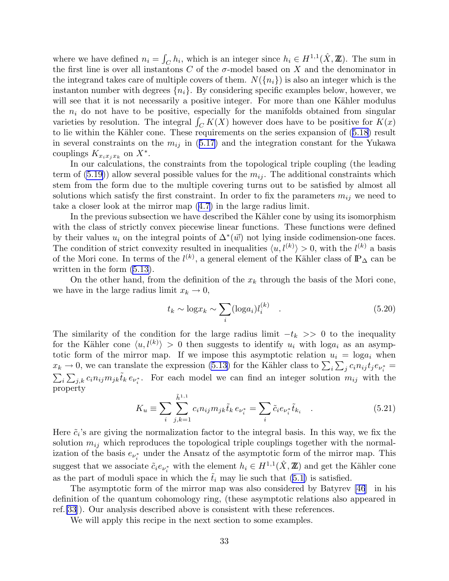<span id="page-33-0"></span>where we have defined  $n_i = \int_C h_i$ , which is an integer since  $h_i \in H^{1,1}(\hat{X}, \mathbb{Z})$ . The sum in the first line is over all instantons C of the  $\sigma$ -model based on X and the denominator in the integrand takes care of multiple covers of them.  $N({n_i})$  is also an integer which is the instanton number with degrees  $\{n_i\}$ . By considering specific examples below, however, we will see that it is not necessarily a positive integer. For more than one Kähler modulus the  $n_i$  do not have to be positive, especially for the manifolds obtained from singular varieties by resolution. The integral  $\int_C K(X)$  however does have to be positive for  $K(x)$ tolie within the Kähler cone. These requirements on the series expansion of  $(5.18)$  $(5.18)$  $(5.18)$  result inseveral constraints on the  $m_{ij}$  in ([5.17\)](#page-32-0) and the integration constant for the Yukawa couplings  $K_{x_ix_jx_k}$  on  $X^*$ .

In our calculations, the constraints from the topological triple coupling (the leading term of  $(5.19)$ ) allow several possible values for the  $m_{ij}$ . The additional constraints which stem from the form due to the multiple covering turns out to be satisfied by almost all solutions which satisfy the first constraint. In order to fix the parameters  $m_{ij}$  we need to take a closer look at the mirror map([4.7](#page-27-0)) in the large radius limit.

In the previous subsection we have described the Kähler cone by using its isomorphism with the class of strictly convex piecewise linear functions. These functions were defined by their values  $u_i$  on the integral points of  $\Delta^*(\vec{w})$  not lying inside codimension-one faces. The condition of strict convexity resulted in inequalities  $\langle u, l^{(k)} \rangle > 0$ , with the  $l^{(k)}$  a basis of the Mori cone. In terms of the  $l^{(k)}$ , a general element of the Kähler class of  $\mathbb{P}_{\Delta}$  can be written in the form [\(5.13\)](#page-31-0).

On the other hand, from the definition of the  $x_k$  through the basis of the Mori cone, we have in the large radius limit  $x_k \to 0$ ,

$$
t_k \sim \log x_k \sim \sum_i (\log a_i) l_i^{(k)} \quad . \tag{5.20}
$$

The similarity of the condition for the large radius limit  $-t_k \geq 0$  to the inequality for the Kähler cone  $\langle u, l^{(k)} \rangle > 0$  then suggests to identify  $u_i$  with  $\log a_i$  as an asymptotic form of the mirror map. If we impose this asymptotic relation  $u_i = \log a_i$  when  $x_k \to 0$ , we can translate the expression [\(5.13\)](#page-31-0) for the Kähler class to  $\sum_i \sum_j c_i n_{ij} t_j e_{\nu_i^*} =$  $\sum_i \sum_{j,k} c_i n_{ij} m_{jk} \tilde{t}_k e_{\nu_i^*}$ . For each model we can find an integer solution  $m_{ij}$  with the property

$$
K_u \equiv \sum_{i} \sum_{j,k=1}^{\tilde{h}^{1,1}} c_i n_{ij} m_{jk} \tilde{t}_k \, e_{\nu_i^*} = \sum_{i} \tilde{c}_i e_{\nu_i^*} \tilde{t}_{k_i} \quad . \tag{5.21}
$$

Here  $\tilde{c}_i$ 's are giving the normalization factor to the integral basis. In this way, we fix the solution  $m_{ij}$  which reproduces the topological triple couplings together with the normalization of the basis  $e_{\nu_i^*}$  under the Ansatz of the asymptotic form of the mirror map. This suggest that we associate  $\tilde{c}_i e_{\nu_i^*}$  with the element  $h_i \in H^{1,1}(\hat{X}, \mathbb{Z})$  and get the Kähler cone as the part of moduli space in which the  $t_i$  may lie such that [\(5.1\)](#page-29-0) is satisfied.

The asymptotic form of the mirror map was also considered by Batyrev [\[46](#page-58-0)] in his definition of the quantum cohomology ring, (these asymptotic relations also appeared in ref.[\[33](#page-57-0)]). Our analysis described above is consistent with these references.

We will apply this recipe in the next section to some examples.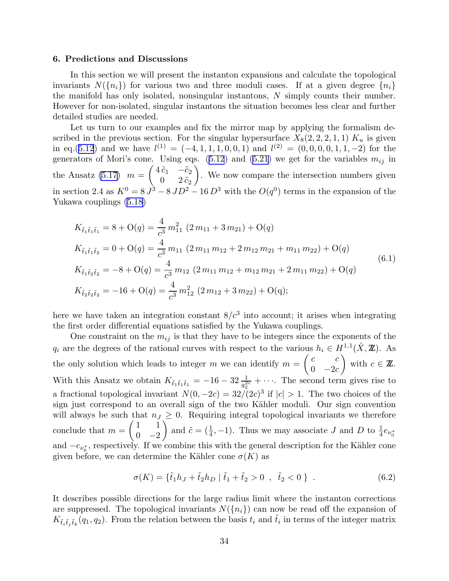#### 6. Predictions and Discussions

In this section we will present the instanton expansions and calculate the topological invariants  $N({n_i})$  for various two and three moduli cases. If at a given degree  ${n_i}$ the manifold has only isolated, nonsingular instantons,  $N$  simply counts their number. However for non-isolated, singular instantons the situation becomes less clear and further detailed studies are needed.

Let us turn to our examples and fix the mirror map by applying the formalism described in the previous section. For the singular hypersurface  $X_8(2, 2, 2, 1, 1)$   $K_u$  is given in eq.([5.12](#page-31-0)) and we have  $l^{(1)} = (-4, 1, 1, 1, 0, 0, 1)$  and  $l^{(2)} = (0, 0, 0, 0, 1, 1, -2)$  for the generatorsof Mori's cone. Using eqs. ([5.12](#page-31-0)) and ([5.21](#page-33-0)) we get for the variables  $m_{ij}$  in the Ansatz  $(5.17)$  m =  $\begin{pmatrix} 4 \tilde{c}_1 & -\tilde{c}_2 \end{pmatrix}$  $0 \quad 2 \, \tilde c_2$  $\overline{ }$ . We now compare the intersection numbers given in section 2.4 as  $K^0 = 8 J^3 - 8 JD^2 - 16 D^3$  with the  $O(q^0)$  terms in the expansion of the Yukawa couplings [\(5.18\)](#page-32-0)

$$
K_{\tilde{t}_1\tilde{t}_1\tilde{t}_1} = 8 + O(q) = \frac{4}{c^3} m_{11}^2 (2 m_{11} + 3 m_{21}) + O(q)
$$
  
\n
$$
K_{\tilde{t}_1\tilde{t}_1\tilde{t}_2} = 0 + O(q) = \frac{4}{c^3} m_{11} (2 m_{11} m_{12} + 2 m_{12} m_{21} + m_{11} m_{22}) + O(q)
$$
  
\n
$$
K_{\tilde{t}_1\tilde{t}_2\tilde{t}_2} = -8 + O(q) = \frac{4}{c^3} m_{12} (2 m_{11} m_{12} + m_{12} m_{21} + 2 m_{11} m_{22}) + O(q)
$$
  
\n
$$
K_{\tilde{t}_2\tilde{t}_2\tilde{t}_2} = -16 + O(q) = \frac{4}{c^3} m_{12}^2 (2 m_{12} + 3 m_{22}) + O(q);
$$
  
\n(6.1)

here we have taken an integration constant  $8/c<sup>3</sup>$  into account; it arises when integrating the first order differential equations satisfied by the Yukawa couplings.

One constraint on the  $m_{ij}$  is that they have to be integers since the exponents of the  $q_i$  are the degrees of the rational curves with respect to the various  $h_i \in H^{1,1}(\hat{X}, \mathbb{Z})$ . As the only solution which leads to integer  $m$  we can identify  $m =$  $\int c$  c  $0 \quad -2c$  $\overline{ }$ with  $c \in \mathbb{Z}$ . With this Ansatz we obtain  $K_{\tilde{t}_1\tilde{t}_1\tilde{t}_1} = -16 - 32 \frac{1}{q_2^{2c}} + \cdots$ . The second term gives rise to a fractional topological invariant  $N(0, -2c) = 32/(2c)^3$  if  $|c| > 1$ . The two choices of the sign just correspond to an overall sign of the two Kähler moduli. Our sign convention will always be such that  $n_j \geq 0$ . Requiring integral topological invariants we therefore conclude that  $m =$  $\begin{pmatrix} 1 & 1 \end{pmatrix}$  $0 -2$  $\sqrt{ }$ and  $\tilde{c} = (\frac{1}{4}, -1)$ . Thus we may associate J and D to  $\frac{1}{4}e_{\nu_0^*}$ and  $-e_{\nu_6^*}$ , respectively. If we combine this with the general description for the Kähler cone given before, we can determine the Kähler cone  $\sigma(K)$  as

$$
\sigma(K) = \{\tilde{t}_1 h_J + \tilde{t}_2 h_D \mid \tilde{t}_1 + \tilde{t}_2 > 0 \ , \ \tilde{t}_2 < 0 \} \ . \tag{6.2}
$$

It describes possible directions for the large radius limit where the instanton corrections are suppressed. The topological invariants  $N(\lbrace n_i \rbrace)$  can now be read off the expansion of  $K_{\tilde{t}_i\tilde{t}_j\tilde{t}_k}(q_1, q_2)$ . From the relation between the basis  $t_i$  and  $\tilde{t}_i$  in terms of the integer matrix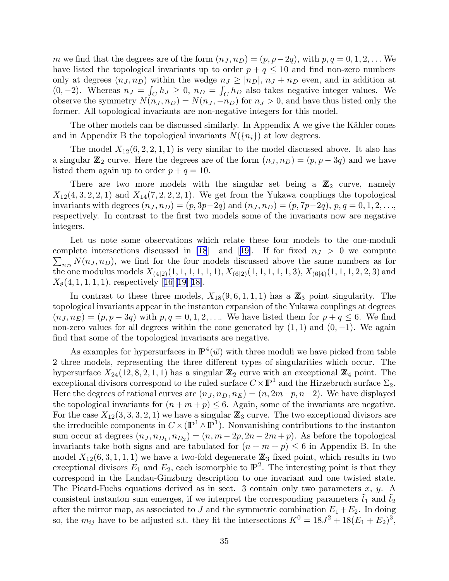m we find that the degrees are of the form  $(n_J, n_D) = (p, p-2q)$ , with  $p, q = 0, 1, 2, \ldots$  We have listed the topological invariants up to order  $p + q \leq 10$  and find non-zero numbers only at degrees  $(n_J, n_D)$  within the wedge  $n_J \geq |n_D|$ ,  $n_J + n_D$  even, and in addition at (0, -2). Whereas  $n_J = \int_C h_J \ge 0$ ,  $n_D = \int_C h_D$  also takes negative integer values. We observe the symmetry  $N(n_J, n_D) = N(n_J, -n_D)$  for  $n_J > 0$ , and have thus listed only the former. All topological invariants are non-negative integers for this model.

The other models can be discussed similarly. In Appendix A we give the Kähler cones and in Appendix B the topological invariants  $N({n_i})$  at low degrees.

The model  $X_{12}(6, 2, 2, 1, 1)$  is very similar to the model discussed above. It also has a singular  $\mathbb{Z}_2$  curve. Here the degrees are of the form  $(n_J, n_D) = (p, p - 3q)$  and we have listed them again up to order  $p + q = 10$ .

There are two more models with the singular set being a  $\mathbb{Z}_2$  curve, namely  $X_{12}(4, 3, 2, 2, 1)$  and  $X_{14}(7, 2, 2, 2, 1)$ . We get from the Yukawa couplings the topological invariants with degrees  $(n_J, n_D) = (p, 3p-2q)$  and  $(n_J, n_D) = (p, 7p-2q)$ ,  $p, q = 0, 1, 2, \ldots$ respectively. In contrast to the first two models some of the invariants now are negative integers.

Let us note some observations which relate these four models to the one-moduli complete intersections discussed in [\[18](#page-56-0)]and [[19\]](#page-56-0). If for fixed  $n_J > 0$  we compute  $\sum_{n_D} N(n_J, n_D)$ , we find for the four models discussed above the same numbers as for the one modulus models  $X_{(4|2)}(1, 1, 1, 1, 1, 1), X_{(6|2)}(1, 1, 1, 1, 1, 3), X_{(6|4)}(1, 1, 1, 2, 2, 3)$  and  $X_8(4, 1, 1, 1, 1)$  $X_8(4, 1, 1, 1, 1)$  $X_8(4, 1, 1, 1, 1)$ , respectively [[16\]\[19](#page-56-0)][[18](#page-56-0)].

In contrast to these three models,  $X_{18}(9, 6, 1, 1, 1)$  has a  $\mathbb{Z}_3$  point singularity. The topological invariants appear in the instanton expansion of the Yukawa couplings at degrees  $(n_J, n_E) = (p, p - 3q)$  with  $p, q = 0, 1, 2, \ldots$  We have listed them for  $p + q \leq 6$ . We find non-zero values for all degrees within the cone generated by  $(1, 1)$  and  $(0, -1)$ . We again find that some of the topological invariants are negative.

As examples for hypersurfaces in  $\mathbb{P}^4(\vec{w})$  with three moduli we have picked from table 2 three models, representing the three different types of singularities which occur. The hypersurface  $X_{24}(12, 8, 2, 1, 1)$  has a singular  $\mathbb{Z}_2$  curve with an exceptional  $\mathbb{Z}_4$  point. The exceptional divisors correspond to the ruled surface  $C \times \mathbb{P}^1$  and the Hirzebruch surface  $\Sigma_2$ . Here the degrees of rational curves are  $(n_J, n_D, n_E) = (n, 2m-p, n-2)$ . We have displayed the topological invariants for  $(n + m + p) \leq 6$ . Again, some of the invariants are negative. For the case  $X_{12}(3,3,3,2,1)$  we have a singular  $\mathbb{Z}_3$  curve. The two exceptional divisors are the irreducible components in  $C \times (\mathbb{P}^1 \wedge \mathbb{P}^1)$ . Nonvanishing contributions to the instanton sum occur at degrees  $(n_J, n_{D_1}, n_{D_2}) = (n, m - 2p, 2n - 2m + p)$ . As before the topological invariants take both signs and are tabulated for  $(n + m + p) \leq 6$  in Appendix B. In the model  $X_{12}(6, 3, 1, 1, 1)$  we have a two-fold degenerate  $\mathbb{Z}_3$  fixed point, which results in two exceptional divisors  $E_1$  and  $E_2$ , each isomorphic to  $\mathbb{P}^2$ . The interesting point is that they correspond in the Landau-Ginzburg description to one invariant and one twisted state. The Picard-Fuchs equations derived as in sect. 3 contain only two parameters  $x, y$ . A consistent instanton sum emerges, if we interpret the corresponding parameters  $\tilde{t}_1$  and  $\tilde{t}_2$ after the mirror map, as associated to J and the symmetric combination  $E_1 + E_2$ . In doing so, the  $m_{ij}$  have to be adjusted s.t. they fit the intersections  $K^0 = 18J^2 + 18(E_1 + E_2)^3$ ,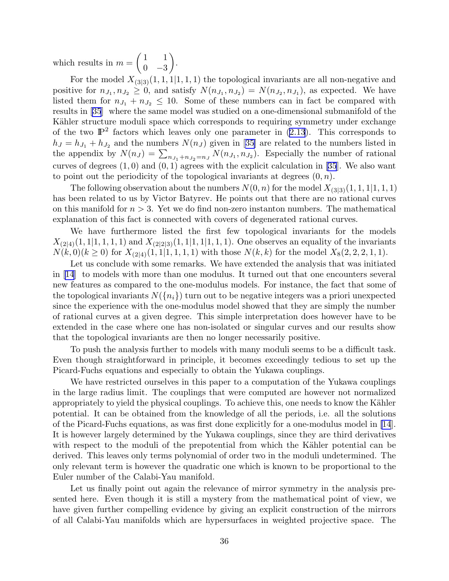which results in  $m =$  $\begin{pmatrix} 1 & 1 \end{pmatrix}$  $0 -3$  $\overline{ }$ .

For the model  $X_{(3|3)}(1,1,1|1,1,1)$  the topological invariants are all non-negative and positive for  $n_{J_1}, n_{J_2} \geq 0$ , and satisfy  $N(n_{J_1}, n_{J_2}) = N(n_{J_2}, n_{J_1})$ , as expected. We have listed them for  $n_{J_1} + n_{J_2} \leq 10$ . Some of these numbers can in fact be compared with results in [\[35](#page-57-0)] where the same model was studied on a one-dimensional submanifold of the Kähler structure moduli space which corresponds to requiring symmetry under exchange of the two  $\mathbb{P}^2$  factors which leaves only one parameter in [\(2.13](#page-8-0)). This corresponds to  $h_J = h_{J_1} + h_{J_2}$  $h_J = h_{J_1} + h_{J_2}$  $h_J = h_{J_1} + h_{J_2}$  and the numbers  $N(n_J)$  given in [[35\]](#page-57-0) are related to the numbers listed in the appendix by  $N(n_j) = \sum_{n_{j_1}+n_{j_2}=n_j} N(n_{j_1}, n_{j_2})$ . Especially the number of rational curves of degrees  $(1,0)$  and  $(0,1)$  agrees with the explicit calculation in [\[35](#page-57-0)]. We also want to point out the periodicity of the topological invariants at degrees  $(0, n)$ .

The following observation about the numbers  $N(0, n)$  for the model  $X_{(3|3)}(1, 1, 1|1, 1, 1)$ has been related to us by Victor Batyrev. He points out that there are no rational curves on this manifold for  $n > 3$ . Yet we do find non-zero instanton numbers. The mathematical explanation of this fact is connected with covers of degenerated rational curves.

We have furthermore listed the first few topological invariants for the models  $X_{(2|4)}(1, 1|1, 1, 1, 1)$  and  $X_{(2|2|3)}(1, 1|1, 1|1, 1, 1)$ . One observes an equality of the invariants  $N(k,0)(k \geq 0)$  for  $X_{(2|4)}(1,1|1,1,1,1)$  with those  $N(k,k)$  for the model  $X_8(2,2,2,1,1)$ .

Let us conclude with some remarks. We have extended the analysis that was initiated in [\[14](#page-56-0)] to models with more than one modulus. It turned out that one encounters several new features as compared to the one-modulus models. For instance, the fact that some of the topological invariants  $N({n_i})$  turn out to be negative integers was a priori unexpected since the experience with the one-modulus model showed that they are simply the number of rational curves at a given degree. This simple interpretation does however have to be extended in the case where one has non-isolated or singular curves and our results show that the topological invariants are then no longer necessarily positive.

To push the analysis further to models with many moduli seems to be a difficult task. Even though straightforward in principle, it becomes exceedingly tedious to set up the Picard-Fuchs equations and especially to obtain the Yukawa couplings.

We have restricted ourselves in this paper to a computation of the Yukawa couplings in the large radius limit. The couplings that were computed are however not normalized appropriately to yield the physical couplings. To achieve this, one needs to know the Kähler potential. It can be obtained from the knowledge of all the periods, i.e. all the solutions of the Picard-Fuchs equations, as was first done explicitly for a one-modulus model in [\[14](#page-56-0)]. It is however largely determined by the Yukawa couplings, since they are third derivatives with respect to the moduli of the prepotential from which the Kähler potential can be derived. This leaves only terms polynomial of order two in the moduli undetermined. The only relevant term is however the quadratic one which is known to be proportional to the Euler number of the Calabi-Yau manifold.

Let us finally point out again the relevance of mirror symmetry in the analysis presented here. Even though it is still a mystery from the mathematical point of view, we have given further compelling evidence by giving an explicit construction of the mirrors of all Calabi-Yau manifolds which are hypersurfaces in weighted projective space. The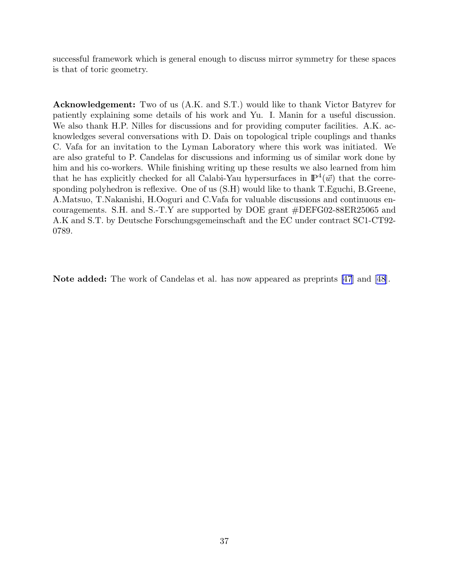successful framework which is general enough to discuss mirror symmetry for these spaces is that of toric geometry.

Acknowledgement: Two of us (A.K. and S.T.) would like to thank Victor Batyrev for patiently explaining some details of his work and Yu. I. Manin for a useful discussion. We also thank H.P. Nilles for discussions and for providing computer facilities. A.K. acknowledges several conversations with D. Dais on topological triple couplings and thanks C. Vafa for an invitation to the Lyman Laboratory where this work was initiated. We are also grateful to P. Candelas for discussions and informing us of similar work done by him and his co-workers. While finishing writing up these results we also learned from him that he has explicitly checked for all Calabi-Yau hypersurfaces in  $\mathbb{P}^4(\vec{w})$  that the corresponding polyhedron is reflexive. One of us (S.H) would like to thank T.Eguchi, B.Greene, A.Matsuo, T.Nakanishi, H.Ooguri and C.Vafa for valuable discussions and continuous encouragements. S.H. and S.-T.Y are supported by DOE grant #DEFG02-88ER25065 and A.K and S.T. by Deutsche Forschungsgemeinschaft and the EC under contract SC1-CT92- 0789.

Note added: The work of Candelas et al. has now appeared as preprints [\[47](#page-58-0)] and[[48\]](#page-58-0).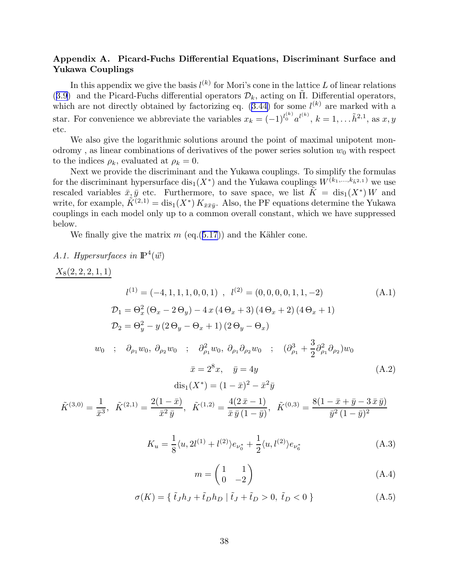## Appendix A. Picard-Fuchs Differential Equations, Discriminant Surface and Yukawa Couplings

In this appendix we give the basis  $l^{(k)}$  for Mori's cone in the lattice L of linear relations ([3.9](#page-18-0)) and the Picard-Fuchs differential operators  $\mathcal{D}_k$ , acting on  $\Pi$ . Differential operators, which are not directly obtained by factorizing eq.  $(3.44)$  for some  $l^{(k)}$  are marked with a star. For convenience we abbreviate the variables  $x_k = (-1)^{l_0^{(k)}} a^{l^{(k)}}, k = 1, \ldots, \tilde{h}^{2,1}$ , as  $x, y$ etc.

We also give the logarithmic solutions around the point of maximal unipotent monodromy, as linear combinations of derivatives of the power series solution  $w_0$  with respect to the indices  $\rho_k$ , evaluated at  $\rho_k = 0$ .

Next we provide the discriminant and the Yukawa couplings. To simplify the formulas for the discriminant hypersurface  $dis_1(X^*)$  and the Yukawa couplings  $W^{(k_1,...,k_{\tilde{h}^2,1})}$  we use rescaled variables  $\bar{x}, \bar{y}$  etc. Furthermore, to save space, we list  $\tilde{K} = \text{dis}_1(X^*) W$  and write, for example,  $\tilde{K}^{(2,1)} = \text{dis}_1(X^*) K_{\bar{x}\bar{x}\bar{y}}$ . Also, the PF equations determine the Yukawa couplings in each model only up to a common overall constant, which we have suppressed below.

We finally give the matrix  $m(\text{eq}.(5.17))$  $m(\text{eq}.(5.17))$  $m(\text{eq}.(5.17))$  and the Kähler cone.

## A.1. Hypersurfaces in  $\mathbb{P}^4(\vec{w})$

$$
\frac{X_8(2,2,2,1,1)}{D_1 = \Theta_x^2 (\Theta_x - 2\Theta_y) - 4x(4\Theta_x + 3)(4\Theta_x + 2)(4\Theta_x + 1)}
$$
\n
$$
D_1 = \Theta_x^2 (\Theta_x - 2\Theta_y) - 4x(4\Theta_x + 3)(4\Theta_x + 2)(4\Theta_x + 1)
$$
\n
$$
D_2 = \Theta_y^2 - y(2\Theta_y - \Theta_x + 1)(2\Theta_y - \Theta_x)
$$
\n
$$
w_0 \; ; \; \partial_{\rho_1} w_0, \partial_{\rho_2} w_0 \; ; \; \partial_{\rho_1}^2 w_0, \partial_{\rho_1} \partial_{\rho_2} w_0 \; ; \; (\partial_{\rho_1}^3 + \frac{3}{2}\partial_{\rho_1}^2 \partial_{\rho_2})w_0
$$
\n
$$
\bar{x} = 2^8 x, \quad \bar{y} = 4y
$$
\n
$$
\text{dis}_1(X^*) = (1 - \bar{x})^2 - \bar{x}^2 \bar{y}
$$
\n
$$
\tilde{K}^{(3,0)} = \frac{1}{\bar{x}^3}, \quad \tilde{K}^{(2,1)} = \frac{2(1 - \bar{x})}{\bar{x}^2 \bar{y}}, \quad \tilde{K}^{(1,2)} = \frac{4(2\bar{x} - 1)}{\bar{x} \bar{y}(1 - \bar{y})}, \quad \tilde{K}^{(0,3)} = \frac{8(1 - \bar{x} + \bar{y} - 3\bar{x} \bar{y})}{\bar{y}^2(1 - \bar{y})^2}
$$
\n
$$
K_u = \frac{1}{8} \langle u, 2l^{(1)} + l^{(2)} \rangle e_{\nu_0^*} + \frac{1}{2} \langle u, l^{(2)} \rangle e_{\nu_0^*}
$$
\n(A.3)

$$
\frac{1}{8}\langle u, 2l^{(1)} + l^{(2)}\rangle e_{\nu_0^*} + \frac{1}{2}\langle u, l^{(2)}\rangle e_{\nu_6^*}
$$
\n(A.3)

$$
m = \begin{pmatrix} 1 & 1 \\ 0 & -2 \end{pmatrix}
$$
 (A.4)

$$
\sigma(K) = \{ \tilde{t}_J h_J + \tilde{t}_D h_D \mid \tilde{t}_J + \tilde{t}_D > 0, \tilde{t}_D < 0 \}
$$
 (A.5)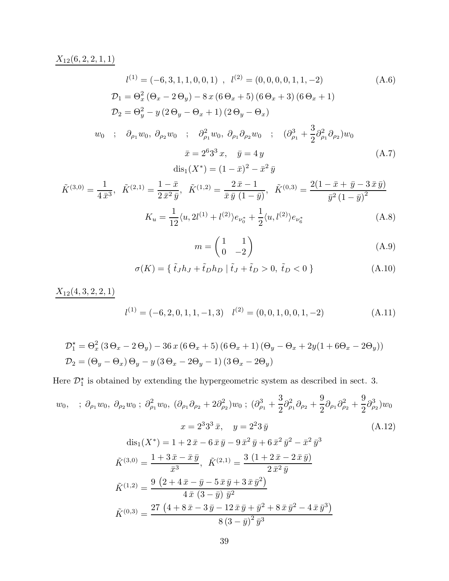# $X_{12}(6, 2, 2, 1, 1)$

$$
l^{(1)} = (-6, 3, 1, 1, 0, 0, 1) , l^{(2)} = (0, 0, 0, 0, 1, 1, -2)
$$
(A.6)  
\n
$$
\mathcal{D}_1 = \Theta_x^2 (\Theta_x - 2\Theta_y) - 8x (6\Theta_x + 5) (6\Theta_x + 3) (6\Theta_x + 1)
$$
  
\n
$$
\mathcal{D}_2 = \Theta_y^2 - y (2\Theta_y - \Theta_x + 1) (2\Theta_y - \Theta_x)
$$
  
\n
$$
w_0 ; \partial_{\rho_1} w_0, \partial_{\rho_2} w_0 ; \partial_{\rho_1}^2 w_0, \partial_{\rho_1} \partial_{\rho_2} w_0 ; (\partial_{\rho_1}^3 + \frac{3}{2} \partial_{\rho_1}^2 \partial_{\rho_2}) w_0
$$
  
\n
$$
\bar{x} = 2^6 3^3 x, \quad \bar{y} = 4 y
$$
  
\n
$$
dis_1(X^*) = (1 - \bar{x})^2 - \bar{x}^2 \bar{y}
$$
 (A.7)

$$
\tilde{K}^{(3,0)} = \frac{1}{4\,\bar{x}^3}, \quad \tilde{K}^{(2,1)} = \frac{1-\bar{x}}{2\,\bar{x}^2\,\bar{y}}, \quad \tilde{K}^{(1,2)} = \frac{2\,\bar{x}-1}{\bar{x}\,\bar{y}\,\left(1-\bar{y}\right)}, \quad \tilde{K}^{(0,3)} = \frac{2\left(1-\bar{x}+\bar{y}-3\,\bar{x}\,\bar{y}\right)}{\bar{y}^2\left(1-\bar{y}\right)^2}
$$
\n
$$
K_u = \frac{1}{12}\langle u, 2l^{(1)} + l^{(2)}\rangle e_{\nu_0^*} + \frac{1}{2}\langle u, l^{(2)}\rangle e_{\nu_6^*} \tag{A.8}
$$

$$
m = \begin{pmatrix} 1 & 1 \\ 0 & -2 \end{pmatrix} \tag{A.9}
$$

$$
\sigma(K) = \{ \tilde{t}_J h_J + \tilde{t}_D h_D \mid \tilde{t}_J + \tilde{t}_D > 0, \tilde{t}_D < 0 \}
$$
 (A.10)

$$
\frac{X_{12}(4,3,2,2,1)}{l^{(1)} = (-6,2,0,1,1,-1,3)} \quad l^{(2)} = (0,0,1,0,0,1,-2)
$$
\n(A.11)

$$
\mathcal{D}_1^* = \Theta_x^2 (3 \Theta_x - 2 \Theta_y) - 36 x (6 \Theta_x + 5) (6 \Theta_x + 1) (\Theta_y - \Theta_x + 2y(1 + 6 \Theta_x - 2 \Theta_y))
$$
  

$$
\mathcal{D}_2 = (\Theta_y - \Theta_x) \Theta_y - y (3 \Theta_x - 2 \Theta_y - 1) (3 \Theta_x - 2 \Theta_y)
$$

Here  $\mathcal{D}_1^{\star}$  is obtained by extending the hypergeometric system as described in sect. 3.

$$
w_0, \quad ; \quad \partial_{\rho_1} w_0, \quad \partial_{\rho_2} w_0 \; ; \quad \partial_{\rho_1}^2 w_0, \quad (\partial_{\rho_1} \partial_{\rho_2} + 2 \partial_{\rho_2}^2) w_0 \; ; \quad (\partial_{\rho_1}^3 + \frac{3}{2} \partial_{\rho_1}^2 \partial_{\rho_2} + \frac{9}{2} \partial_{\rho_1} \partial_{\rho_2}^2 + \frac{9}{2} \partial_{\rho_2}^3) w_0
$$
\n
$$
x = 2^3 3^3 \bar{x}, \quad y = 2^2 3 \bar{y} \tag{A.12}
$$
\n
$$
\text{dis}_1(X^*) = 1 + 2 \bar{x} - 6 \bar{x} \bar{y} - 9 \bar{x}^2 \bar{y} + 6 \bar{x}^2 \bar{y}^2 - \bar{x}^2 \bar{y}^3
$$
\n
$$
\tilde{K}^{(3,0)} = \frac{1 + 3 \bar{x} - \bar{x} \bar{y}}{\bar{x}^3}, \quad \tilde{K}^{(2,1)} = \frac{3 (1 + 2 \bar{x} - 2 \bar{x} \bar{y})}{2 \bar{x}^2 \bar{y}}
$$
\n
$$
\tilde{K}^{(1,2)} = \frac{9 (2 + 4 \bar{x} - \bar{y} - 5 \bar{x} \bar{y} + 3 \bar{x} \bar{y}^2)}{4 \bar{x} (3 - \bar{y}) \bar{y}^2}
$$
\n
$$
\tilde{K}^{(0,3)} = \frac{27 (4 + 8 \bar{x} - 3 \bar{y} - 12 \bar{x} \bar{y} + \bar{y}^2 + 8 \bar{x} \bar{y}^2 - 4 \bar{x} \bar{y}^3)}{8 (3 - \bar{y})^2 \bar{y}^3}
$$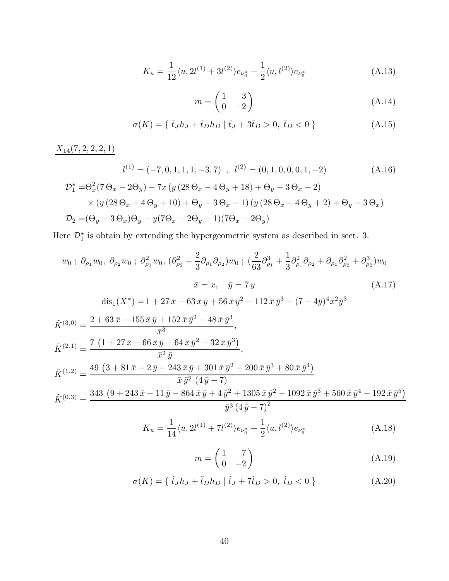$$
K_u = \frac{1}{12} \langle u, 2l^{(1)} + 3l^{(2)} \rangle e_{\nu_0^*} + \frac{1}{2} \langle u, l^{(2)} \rangle e_{\nu_0^*}
$$
 (A.13)

$$
m = \begin{pmatrix} 1 & 3 \\ 0 & -2 \end{pmatrix} \tag{A.14}
$$

$$
\sigma(K) = \{ \tilde{t}_J h_J + \tilde{t}_D h_D \mid \tilde{t}_J + 3\tilde{t}_D > 0, \tilde{t}_D < 0 \}
$$
 (A.15)

 $X_{14}(7,2,2,2,1)$ 

$$
l^{(1)} = (-7, 0, 1, 1, 1, -3, 7), \quad l^{(2)} = (0, 1, 0, 0, 0, 1, -2)
$$
\n(A.16)

$$
\mathcal{D}_1^* = \Theta_x^2 (7 \Theta_x - 2\Theta_y) - 7x (y (28 \Theta_x - 4\Theta_y + 18) + \Theta_y - 3\Theta_x - 2)
$$
  
× (y (28 \Theta\_x - 4\Theta\_y + 10) + \Theta\_y - 3\Theta\_x - 1) (y (28 \Theta\_x - 4\Theta\_y + 2) + \Theta\_y - 3\Theta\_x)  

$$
\mathcal{D}_2 = (\Theta_y - 3\Theta_x)\Theta_y - y(7\Theta_x - 2\Theta_y - 1)(7\Theta_x - 2\Theta_y)
$$

Here  $\mathcal{D}_1^{\star}$  is obtain by extending the hypergeometric system as described in sect. 3.

$$
w_0; \partial_{\rho_1} w_0, \partial_{\rho_2} w_0; \partial_{\rho_1}^2 w_0, (\partial_{\rho_2}^2 + \frac{2}{3} \partial_{\rho_1} \partial_{\rho_2}) w_0; (\frac{2}{63} \partial_{\rho_1}^3 + \frac{1}{3} \partial_{\rho_1}^2 \partial_{\rho_2} + \partial_{\rho_1} \partial_{\rho_2}^2 + \partial_{\rho_2}^3) w_0
$$
  

$$
\bar{x} = x, \quad \bar{y} = 7 y
$$
(A.17)  

$$
\text{dis}_1(X^*) = 1 + 27 \bar{x} - 63 \bar{x} \bar{y} + 56 \bar{x} \bar{y}^2 - 112 \bar{x} \bar{y}^3 - (7 - 4 \bar{y})^4 \bar{x}^2 \bar{y}^3
$$

$$
\tilde{K}^{(3,0)} = \frac{2 + 63 \bar{x} - 155 \bar{x} \bar{y} + 152 \bar{x} \bar{y}^2 - 48 \bar{x} \bar{y}^3}{\bar{x}^3}, \n\tilde{K}^{(2,1)} = \frac{7 (1 + 27 \bar{x} - 66 \bar{x} \bar{y} + 64 \bar{x} \bar{y}^2 - 32 \bar{x} \bar{y}^3)}{\bar{x}^2 \bar{y}}, \n\tilde{K}^{(1,2)} = \frac{49 (3 + 81 \bar{x} - 2 \bar{y} - 243 \bar{x} \bar{y} + 301 \bar{x} \bar{y}^2 - 200 \bar{x} \bar{y}^3 + 80 \bar{x} \bar{y}^4)}{\bar{x} \bar{y}^2 (4 \bar{y} - 7)} \n\tilde{K}^{(0,3)} = \frac{343 (9 + 243 \bar{x} - 11 \bar{y} - 864 \bar{x} \bar{y} + 4 \bar{y}^2 + 1305 \bar{x} \bar{y}^2 - 1092 \bar{x} \bar{y}^3 + 560 \bar{x} \bar{y}^4 - 192 \bar{x} \bar{y}^5)}{\bar{y}^3 (4 \bar{y} - 7)^2} \nK_u = \frac{1}{14} \langle u, 2l^{(1)} + 7l^{(2)} \rangle e_{\nu_0^*} + \frac{1}{2} \langle u, l^{(2)} \rangle e_{\nu_6^*}
$$
\n(A.18)

$$
m = \begin{pmatrix} 1 & 7 \\ 0 & -2 \end{pmatrix} \tag{A.19}
$$

$$
\sigma(K) = \{ \tilde{t}_J h_J + \tilde{t}_D h_D \mid \tilde{t}_J + 7\tilde{t}_D > 0, \tilde{t}_D < 0 \}
$$
 (A.20)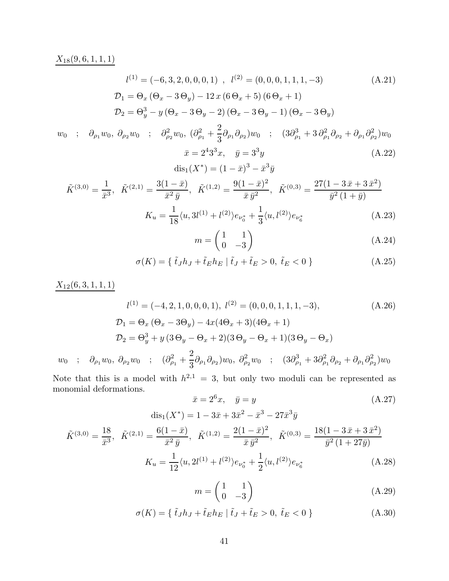## $X_{18}(9, 6, 1, 1, 1)$

$$
l^{(1)} = (-6, 3, 2, 0, 0, 0, 1), \quad l^{(2)} = (0, 0, 0, 1, 1, 1, -3)
$$
\n
$$
\mathcal{D}_1 = \Theta_x (\Theta_x - 3\Theta_y) - 12x (6\Theta_x + 5) (6\Theta_x + 1)
$$
\n
$$
\mathcal{D}_2 = \Theta_y^3 - y (\Theta_x - 3\Theta_y - 2) (\Theta_x - 3\Theta_y - 1) (\Theta_x - 3\Theta_y)
$$
\n(A.21)

$$
w_0 \quad ; \quad \partial_{\rho_1} w_0, \ \partial_{\rho_2} w_0 \quad ; \quad \partial_{\rho_2}^2 w_0, \ (\partial_{\rho_1}^2 + \frac{2}{3} \partial_{\rho_1} \partial_{\rho_2}) w_0 \quad ; \quad (3\partial_{\rho_1}^3 + 3 \partial_{\rho_1}^2 \partial_{\rho_2} + \partial_{\rho_1} \partial_{\rho_2}^2) w_0
$$

$$
\bar{x} = 2^4 3^3 x, \quad \bar{y} = 3^3 y
$$

$$
dis_1(X^*) = (1 - \bar{x})^3 - \bar{x}^3 \bar{y}
$$
(A.22)

$$
\tilde{K}^{(3,0)} = \frac{1}{\bar{x}^3}, \quad \tilde{K}^{(2,1)} = \frac{3(1-\bar{x})}{\bar{x}^2 \bar{y}}, \quad \tilde{K}^{(1,2)} = \frac{9(1-\bar{x})^2}{\bar{x}\bar{y}^2}, \quad \tilde{K}^{(0,3)} = \frac{27(1-3\,\bar{x}+3\,\bar{x}^2)}{\bar{y}^2\,(1+\bar{y})}
$$
\n
$$
K_u = \frac{1}{18} \langle u, 3l^{(1)} + l^{(2)} \rangle e_{\nu_0^*} + \frac{1}{3} \langle u, l^{(2)} \rangle e_{\nu_6^*}
$$
\n(A.23)

$$
m = \begin{pmatrix} 1 & 1 \\ 0 & -3 \end{pmatrix} \tag{A.24}
$$

$$
\sigma(K) = \{ \tilde{t}_J h_J + \tilde{t}_E h_E \mid \tilde{t}_J + \tilde{t}_E > 0, \tilde{t}_E < 0 \}
$$
\n(A.25)

 $X_{12}(6, 3, 1, 1, 1)$ 

$$
l^{(1)} = (-4, 2, 1, 0, 0, 0, 1), l^{(2)} = (0, 0, 0, 1, 1, 1, -3),
$$
\n
$$
\mathcal{D}_1 = \Theta_x (\Theta_x - 3\Theta_y) - 4x(4\Theta_x + 3)(4\Theta_x + 1)
$$
\n
$$
\mathcal{D}_2 = \Theta_y^3 + y(3\Theta_y - \Theta_x + 2)(3\Theta_y - \Theta_x + 1)(3\Theta_y - \Theta_x)
$$
\n
$$
\Theta_x, w_0, \quad \partial_x, w_0, \dots, (\partial_x^2 + \frac{2}{3}\partial_x \partial_x)w_0, \quad \partial_y^2, w_0, \dots, (3\partial_x^3 + 3\partial_x^2 \partial_x + \partial_x \partial_x^2)w_0
$$

 $w_0$  ;  $\partial_{\rho_1} w_0, \ \partial_{\rho_2} w_0$  ;  $(\partial^2_{\rho_1} +$  $\frac{2}{3}\partial_{\rho_1}\partial_{\rho_2}w_0$  ;  $(3\partial_{\rho_1}^3 + 3\partial_{\rho_1}^2\partial_{\rho_2} + \partial_{\rho_1}\partial_{\rho_2}^2)w_0$ 

Note that this is a model with  $h^{2,1} = 3$ , but only two moduli can be represented as monomial deformations.

$$
\bar{x} = 2^{6}x, \quad \bar{y} = y
$$
\n
$$
\text{dis}_1(X^*) = 1 - 3\bar{x} + 3\bar{x}^2 - \bar{x}^3 - 27\bar{x}^3\bar{y}
$$
\n(A.27)

$$
\tilde{K}^{(3,0)} = \frac{18}{\bar{x}^3}, \quad \tilde{K}^{(2,1)} = \frac{6(1-\bar{x})}{\bar{x}^2 \bar{y}}, \quad \tilde{K}^{(1,2)} = \frac{2(1-\bar{x})^2}{\bar{x}\bar{y}^2}, \quad \tilde{K}^{(0,3)} = \frac{18(1-3\,\bar{x}+3\,\bar{x}^2)}{\bar{y}^2\,(1+27\bar{y})}
$$
\n
$$
K_u = \frac{1}{12} \langle u, 2l^{(1)} + l^{(2)} \rangle e_{\nu_0^*} + \frac{1}{2} \langle u, l^{(2)} \rangle e_{\nu_6^*}
$$
\n(A.28)

$$
m = \begin{pmatrix} 1 & 1 \\ 0 & -3 \end{pmatrix} \tag{A.29}
$$

$$
\sigma(K) = \{ \tilde{t}_J h_J + \tilde{t}_E h_E \mid \tilde{t}_J + \tilde{t}_E > 0, \tilde{t}_E < 0 \}
$$
 (A.30)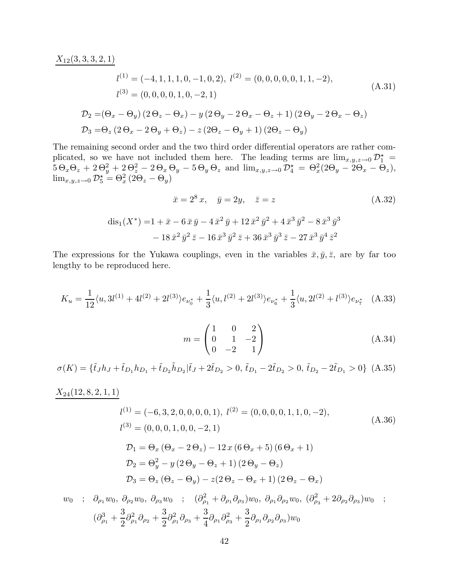$X_{12}(3, 3, 3, 2, 1)$ 

$$
l^{(1)} = (-4, 1, 1, 1, 0, -1, 0, 2), l^{(2)} = (0, 0, 0, 0, 0, 1, 1, -2),
$$
  
\n
$$
l^{(3)} = (0, 0, 0, 0, 1, 0, -2, 1)
$$
  
\n
$$
\mathcal{D}_2 = (\Theta_x - \Theta_y) (2 \Theta_z - \Theta_x) - y (2 \Theta_y - 2 \Theta_x - \Theta_z + 1) (2 \Theta_y - 2 \Theta_x - \Theta_z)
$$
  
\n
$$
\mathcal{D}_3 = \Theta_z (2 \Theta_x - 2 \Theta_y + \Theta_z) - z (2 \Theta_z - \Theta_y + 1) (2 \Theta_z - \Theta_y)
$$
\n(A.31)

The remaining second order and the two third order differential operators are rather complicated, so we have not included them here. The leading terms are  $\lim_{x,y,z\to 0} \mathcal{D}_1^*$  $5\,\Theta_x\Theta_z + 2\,\Theta_y^2 + 2\,\Theta_z^2 - 2\,\Theta_x\,\Theta_y - 5\,\Theta_y\,\Theta_z$  and  $\lim_{x,y,z\to 0} \mathcal{D}_4^{\star} = \Theta_x^2(2\Theta_y - 2\Theta_x - \Theta_z),$  $\lim_{x,y,z\to 0} \mathcal{D}_{5}^{\star} = \Theta_{x}^{2} (2\Theta_{z} - \Theta_{y})$ 

$$
\bar{x} = 2^8 x, \quad \bar{y} = 2y, \quad \bar{z} = z
$$
\n
$$
\text{(A.32)}
$$
\n
$$
\text{dis}_1(X^*) = 1 + \bar{x} - 6\,\bar{x}\,\bar{y} - 4\,\bar{x}^2\,\bar{y} + 12\,\bar{x}^2\,\bar{y}^2 + 4\,\bar{x}^3\,\bar{y}^2 - 8\,\bar{x}^3\,\bar{y}^3
$$
\n
$$
- 18\,\bar{x}^2\,\bar{y}^2\,\bar{z} - 16\,\bar{x}^3\,\bar{y}^2\,\bar{z} + 36\,\bar{x}^3\,\bar{y}^3\,\bar{z} - 27\,\bar{x}^3\,\bar{y}^4\,\bar{z}^2
$$

The expressions for the Yukawa couplings, even in the variables  $\bar{x}, \bar{y}, \bar{z}$ , are by far too lengthy to be reproduced here.

$$
K_u = \frac{1}{12} \langle u, 3l^{(1)} + 4l^{(2)} + 2l^{(3)} \rangle e_{\nu_0^*} + \frac{1}{3} \langle u, l^{(2)} + 2l^{(3)} \rangle e_{\nu_6^*} + \frac{1}{3} \langle u, 2l^{(2)} + l^{(3)} \rangle e_{\nu_7^*}
$$
 (A.33)

$$
m = \begin{pmatrix} 1 & 0 & 2 \\ 0 & 1 & -2 \\ 0 & -2 & 1 \end{pmatrix}
$$
 (A.34)

$$
\sigma(K) = \{\tilde{t}_J h_J + \tilde{t}_{D_1} h_{D_1} + \tilde{t}_{D_2} \tilde{h}_{D_2} | \tilde{t}_J + 2\tilde{t}_{D_2} > 0, \tilde{t}_{D_1} - 2\tilde{t}_{D_2} > 0, \tilde{t}_{D_2} - 2\tilde{t}_{D_1} > 0\}
$$
(A.35)

## $X_{24}(12, 8, 2, 1, 1)$

$$
l^{(1)} = (-6, 3, 2, 0, 0, 0, 0, 1), l^{(2)} = (0, 0, 0, 0, 1, 1, 0, -2),
$$
  
\n
$$
l^{(3)} = (0, 0, 0, 1, 0, 0, -2, 1)
$$
  
\n
$$
\mathcal{D}_1 = \Theta_x (\Theta_x - 2\Theta_z) - 12 x (6\Theta_x + 5) (6\Theta_x + 1)
$$
  
\n
$$
\mathcal{D}_2 = \Theta_y^2 - y (2\Theta_y - \Theta_z + 1) (2\Theta_y - \Theta_z)
$$
  
\n
$$
\mathcal{D}_3 = \Theta_z (\Theta_z - \Theta_y) - z(2\Theta_z - \Theta_x + 1) (2\Theta_z - \Theta_x)
$$
\n(M. 36)

$$
w_0 \; ; \; \partial_{\rho_1} w_0, \; \partial_{\rho_2} w_0, \; \partial_{\rho_3} w_0 \; ; \; \; (\partial_{\rho_1}^2 + \partial_{\rho_1} \partial_{\rho_3}) w_0, \; \partial_{\rho_1} \partial_{\rho_2} w_0, \; (\partial_{\rho_3}^2 + 2 \partial_{\rho_2} \partial_{\rho_3}) w_0 \; ;
$$

$$
(\partial_{\rho_1}^3 + \frac{3}{2} \partial_{\rho_1}^2 \partial_{\rho_2} + \frac{3}{2} \partial_{\rho_1}^2 \partial_{\rho_3} + \frac{3}{4} \partial_{\rho_1} \partial_{\rho_3}^2 + \frac{3}{2} \partial_{\rho_1} \partial_{\rho_2} \partial_{\rho_3}) w_0
$$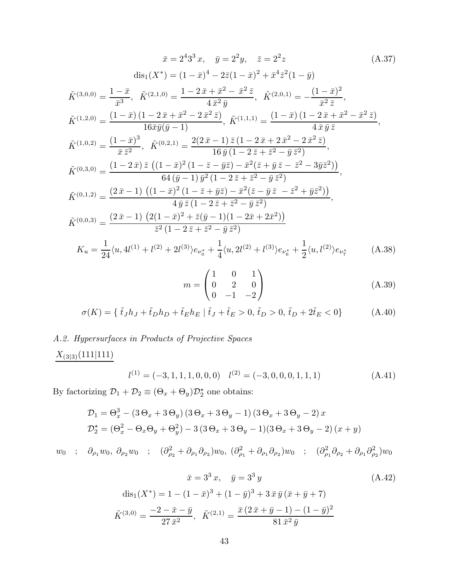$$
\bar{x} = 2^{4}3^{3} x, \quad \bar{y} = 2^{2} y, \quad \bar{z} = 2^{2} z \qquad (A.37)
$$
\n
$$
\text{dis}_{1}(X^{*}) = (1 - \bar{x})^{4} - 2\bar{z}(1 - \bar{x})^{2} + \bar{x}^{4}\bar{z}^{2}(1 - \bar{y})
$$
\n
$$
\tilde{K}^{(3,0,0)} = \frac{1 - \bar{x}}{\bar{x}^{3}}, \quad \tilde{K}^{(2,1,0)} = \frac{1 - 2\bar{x} + \bar{x}^{2} - \bar{x}^{2}\bar{z}}{4\bar{x}^{2}\bar{y}}, \quad \tilde{K}^{(2,0,1)} = -\frac{(1 - \bar{x})^{2}}{\bar{x}^{2}\bar{z}},
$$
\n
$$
\tilde{K}^{(1,2,0)} = \frac{(1 - \bar{x})(1 - 2\bar{x} + \bar{x}^{2} - 2\bar{x}^{2}\bar{z})}{16\bar{x}\bar{y}(\bar{y} - 1)}, \quad \tilde{K}^{(1,1,1)} = \frac{(1 - \bar{x})(1 - 2\bar{x} + \bar{x}^{2} - \bar{x}^{2}\bar{z})}{4\bar{x}\bar{y}\bar{z}},
$$
\n
$$
\tilde{K}^{(1,0,2)} = \frac{(1 - \bar{x})^{3}}{\bar{x}\bar{z}^{2}}, \quad \tilde{K}^{(0,2,1)} = \frac{2(2\bar{x} - 1)\bar{z}(1 - 2\bar{x} + 2\bar{x}^{2} - 2\bar{x}^{2}\bar{z})}{16\bar{y}(1 - 2\bar{z} + \bar{z}^{2} - \bar{y}\bar{z}^{2})},
$$
\n
$$
\tilde{K}^{(0,3,0)} = \frac{(1 - 2\bar{x})\bar{z}((1 - \bar{x})^{2}(1 - \bar{z} - \bar{y}\bar{z}) - \bar{x}^{2}(\bar{z} + \bar{y}\bar{z} - \bar{z}^{2} - 3\bar{y}\bar{z}^{2}))}{64(\bar{y} - 1)\bar{y}^{2}(1 - 2\bar{z} + \bar{z}^{2} - \bar{y}\bar{z}^{2})},
$$
\n
$$
\tilde{K}^{(0,1,2)} = \
$$

$$
m = \begin{pmatrix} 1 & 0 & 1 \\ 0 & 2 & 0 \\ 0 & -1 & -2 \end{pmatrix}
$$
 (A.39)

$$
\sigma(K) = \{ \tilde{t}_J h_J + \tilde{t}_D h_D + \tilde{t}_E h_E \mid \tilde{t}_J + \tilde{t}_E > 0, \tilde{t}_D > 0, \tilde{t}_D + 2\tilde{t}_E < 0 \}
$$
 (A.40)

# A.2. Hypersurfaces in Products of Projective Spaces  $\underline{X_{(3|3)}(111|111)}$

$$
l^{(1)} = (-3, 1, 1, 1, 0, 0, 0) \quad l^{(2)} = (-3, 0, 0, 0, 1, 1, 1) \tag{A.41}
$$

By factorizing  $\mathcal{D}_1 + \mathcal{D}_2 \equiv (\Theta_x + \Theta_y)\mathcal{D}_2^{\star}$  one obtains:

$$
\mathcal{D}_1 = \Theta_x^3 - (3\Theta_x + 3\Theta_y)(3\Theta_x + 3\Theta_y - 1)(3\Theta_x + 3\Theta_y - 2)x
$$
  

$$
\mathcal{D}_2^* = (\Theta_x^2 - \Theta_x\Theta_y + \Theta_y^2) - 3(3\Theta_x + 3\Theta_y - 1)(3\Theta_x + 3\Theta_y - 2)(x+y)
$$

 $w_0$  ;  $\partial_{\rho_1} w_0$ ,  $\partial_{\rho_2} w_0$  ;  $(\partial_{\rho_2}^2 + \partial_{\rho_1} \partial_{\rho_2}) w_0$ ,  $(\partial_{\rho_1}^2 + \partial_{\rho_1} \partial_{\rho_2}) w_0$  ;  $(\partial_{\rho_1}^2 \partial_{\rho_2} + \partial_{\rho_1} \partial_{\rho_2}^2) w_0$ 

$$
\bar{x} = 3^3 x, \quad \bar{y} = 3^3 y
$$
\n
$$
\text{dis}_1(X^*) = 1 - (1 - \bar{x})^3 + (1 - \bar{y})^3 + 3\bar{x}\bar{y}(\bar{x} + \bar{y} + 7)
$$
\n
$$
\tilde{K}^{(3,0)} = \frac{-2 - \bar{x} - \bar{y}}{27\bar{x}^2}, \quad \tilde{K}^{(2,1)} = \frac{\bar{x}(2\bar{x} + \bar{y} - 1) - (1 - \bar{y})^2}{81\bar{x}^2\bar{y}}
$$
\n(A.42)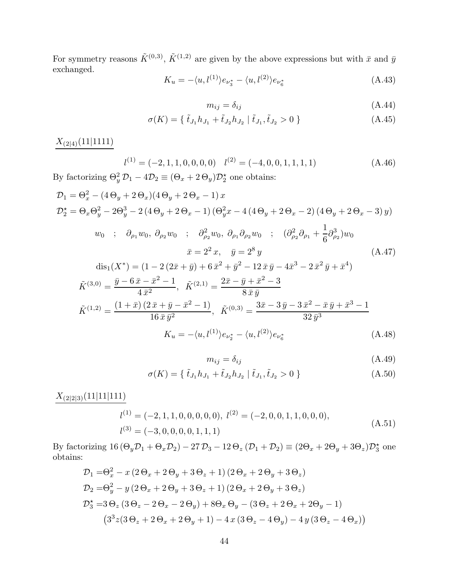For symmetry reasons  $\tilde{K}^{(0,3)}$ ,  $\tilde{K}^{(1,2)}$  are given by the above expressions but with  $\bar{x}$  and  $\bar{y}$ exchanged.

$$
K_u = -\langle u, l^{(1)} \rangle e_{\nu_3^*} - \langle u, l^{(2)} \rangle e_{\nu_6^*}
$$
\n(A.43)

$$
m_{ij} = \delta_{ij} \tag{A.44}
$$

$$
\sigma(K) = \{ \tilde{t}_{J_1} h_{J_1} + \tilde{t}_{J_2} h_{J_2} \mid \tilde{t}_{J_1}, \tilde{t}_{J_2} > 0 \}
$$
\n(A.45)

 $X_{(2|4)}(11|1111)$ 

$$
l^{(1)} = (-2, 1, 1, 0, 0, 0, 0) \quad l^{(2)} = (-4, 0, 0, 1, 1, 1, 1) \tag{A.46}
$$

By factorizing  $\Theta_y^2 \mathcal{D}_1 - 4\mathcal{D}_2 \equiv (\Theta_x + 2\Theta_y)\mathcal{D}_2^{\star}$  one obtains:

$$
\mathcal{D}_{1} = \Theta_{x}^{2} - (4\Theta_{y} + 2\Theta_{x})(4\Theta_{y} + 2\Theta_{x} - 1)x
$$
\n
$$
\mathcal{D}_{2}^{\star} = \Theta_{x}\Theta_{y}^{2} - 2\Theta_{y}^{3} - 2(4\Theta_{y} + 2\Theta_{x} - 1)(\Theta_{y}^{2}x - 4(4\Theta_{y} + 2\Theta_{x} - 2)(4\Theta_{y} + 2\Theta_{x} - 3)y)
$$
\n
$$
w_{0} \; ; \; \partial_{\rho_{1}}w_{0}, \partial_{\rho_{2}}w_{0} \; ; \; \partial_{\rho_{2}}^{2}w_{0}, \partial_{\rho_{1}}\partial_{\rho_{2}}w_{0} \; ; \; (\partial_{\rho_{2}}^{2}\partial_{\rho_{1}} + \frac{1}{6}\partial_{\rho_{2}}^{3})w_{0}
$$
\n
$$
\bar{x} = 2^{2}x, \quad \bar{y} = 2^{8}y
$$
\n
$$
\text{dis}_{1}(X^{*}) = (1 - 2(2\bar{x} + \bar{y}) + 6\bar{x}^{2} + \bar{y}^{2} - 12\bar{x}\bar{y} - 4\bar{x}^{3} - 2\bar{x}^{2}\bar{y} + \bar{x}^{4})
$$
\n
$$
\tilde{K}^{(3,0)} = \frac{\bar{y} - 6\bar{x} - \bar{x}^{2} - 1}{4\bar{x}^{2}}, \quad \tilde{K}^{(2,1)} = \frac{2\bar{x} - \bar{y} + \bar{x}^{2} - 3}{8\bar{x}\bar{y}}
$$
\n
$$
\tilde{K}^{(1,2)} = \frac{(1 + \bar{x})(2\bar{x} + \bar{y} - \bar{x}^{2} - 1)}{16\bar{x}\bar{y}^{2}}, \quad \tilde{K}^{(0,3)} = \frac{3\bar{x} - 3\bar{y} - 3\bar{x}^{2} - \bar{x}\bar{y} + \bar{x}^{3} - 1}{32\bar{y}^{3}}
$$
\n
$$
K_{u} = -\langle u, l^{(1)} \rangle e_{\nu_{2}^{*}} - \langle u, l^{(2)} \rangle e_{\nu_{6}^{*}}
$$
\n(A.48)

$$
m_{ij} = \delta_{ij} \tag{A.49}
$$

$$
\sigma(K) = \{ \tilde{t}_{J_1} h_{J_1} + \tilde{t}_{J_2} h_{J_2} \mid \tilde{t}_{J_1}, \tilde{t}_{J_2} > 0 \}
$$
\n(A.50)

 $X_{\left(2|2|3\right)}(11|11|111)$ 

$$
l^{(1)} = (-2, 1, 1, 0, 0, 0, 0, 0), l^{(2)} = (-2, 0, 0, 1, 1, 0, 0, 0),
$$
  
\n
$$
l^{(3)} = (-3, 0, 0, 0, 0, 1, 1, 1)
$$
\n(A.51)

By factorizing  $16 (\Theta_y \mathcal{D}_1 + \Theta_x \mathcal{D}_2) - 27 \mathcal{D}_3 - 12 \Theta_z (\mathcal{D}_1 + \mathcal{D}_2) \equiv (2\Theta_x + 2\Theta_y + 3\Theta_z)\mathcal{D}_3^{\star}$  one obtains:

$$
\mathcal{D}_1 = \Theta_x^2 - x (2 \Theta_x + 2 \Theta_y + 3 \Theta_z + 1) (2 \Theta_x + 2 \Theta_y + 3 \Theta_z) \n\mathcal{D}_2 = \Theta_y^2 - y (2 \Theta_x + 2 \Theta_y + 3 \Theta_z + 1) (2 \Theta_x + 2 \Theta_y + 3 \Theta_z) \n\mathcal{D}_3^{\star} = 3 \Theta_z (3 \Theta_z - 2 \Theta_x - 2 \Theta_y) + 8 \Theta_x \Theta_y - (3 \Theta_z + 2 \Theta_x + 2 \Theta_y - 1) \n(3^3 z (3 \Theta_z + 2 \Theta_x + 2 \Theta_y + 1) - 4 x (3 \Theta_z - 4 \Theta_y) - 4 y (3 \Theta_z - 4 \Theta_x))
$$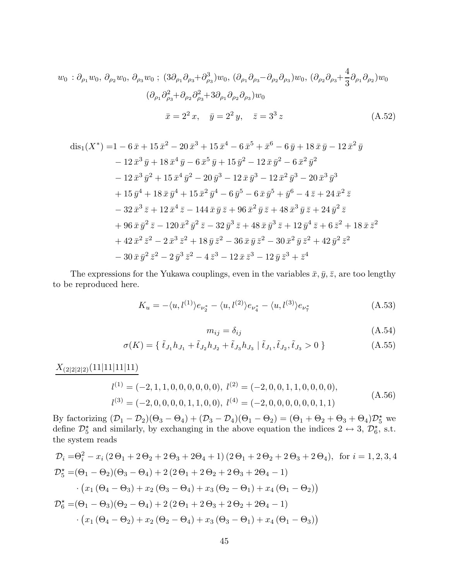$$
w_0 : \partial_{\rho_1} w_0, \, \partial_{\rho_2} w_0, \, \partial_{\rho_3} w_0 \, ; \, (3\partial_{\rho_1} \partial_{\rho_3} + \partial_{\rho_3}^3) w_0, \, (\partial_{\rho_1} \partial_{\rho_3} - \partial_{\rho_2} \partial_{\rho_3}) w_0, \, (\partial_{\rho_2} \partial_{\rho_3} + \frac{4}{3} \partial_{\rho_1} \partial_{\rho_2}) w_0
$$

$$
(\partial_{\rho_1} \partial_{\rho_3}^2 + \partial_{\rho_2} \partial_{\rho_3}^2 + 3\partial_{\rho_1} \partial_{\rho_2} \partial_{\rho_3}) w_0
$$

$$
\bar{x} = 2^2 x, \quad \bar{y} = 2^2 y, \quad \bar{z} = 3^3 z \tag{A.52}
$$

$$
dis_{1}(X^{*}) = 1 - 6\bar{x} + 15\bar{x}^{2} - 20\bar{x}^{3} + 15\bar{x}^{4} - 6\bar{x}^{5} + \bar{x}^{6} - 6\bar{y} + 18\bar{x}\bar{y} - 12\bar{x}^{2}\bar{y}
$$
  
\n
$$
- 12\bar{x}^{3}\bar{y} + 18\bar{x}^{4}\bar{y} - 6\bar{x}^{5}\bar{y} + 15\bar{y}^{2} - 12\bar{x}\bar{y}^{2} - 6\bar{x}^{2}\bar{y}^{2}
$$
  
\n
$$
- 12\bar{x}^{3}\bar{y}^{2} + 15\bar{x}^{4}\bar{y}^{2} - 20\bar{y}^{3} - 12\bar{x}\bar{y}^{3} - 12\bar{x}^{2}\bar{y}^{3} - 20\bar{x}^{3}\bar{y}^{3}
$$
  
\n
$$
+ 15\bar{y}^{4} + 18\bar{x}\bar{y}^{4} + 15\bar{x}^{2}\bar{y}^{4} - 6\bar{y}^{5} - 6\bar{x}\bar{y}^{5} + \bar{y}^{6} - 4\bar{z} + 24\bar{x}^{2}\bar{z}
$$
  
\n
$$
- 32\bar{x}^{3}\bar{z} + 12\bar{x}^{4}\bar{z} - 144\bar{x}\bar{y}\bar{z} + 96\bar{x}^{2}\bar{y}\bar{z} + 48\bar{x}^{3}\bar{y}\bar{z} + 24\bar{y}^{2}\bar{z}
$$
  
\n
$$
+ 96\bar{x}\bar{y}^{2}\bar{z} - 120\bar{x}^{2}\bar{y}^{2}\bar{z} - 32\bar{y}^{3}\bar{z} + 48\bar{x}\bar{y}^{3}\bar{z} + 12\bar{y}^{4}\bar{z} + 6\bar{z}^{2} + 18\bar{x}\bar{z}^{2}
$$
  
\n
$$
+ 42\bar{x}^{2}\bar{z}^{2} - 2\bar{x}^{3}\bar{z}^{2} + 18\bar{y}\bar{z}^{2} - 36\bar{x}\bar{y}\bar{z}^{2} - 30\bar{x}^{2
$$

The expressions for the Yukawa couplings, even in the variables  $\bar{x}, \bar{y}, \bar{z}$ , are too lengthy to be reproduced here.

$$
K_u = -\langle u, l^{(1)} \rangle e_{\nu_2^*} - \langle u, l^{(2)} \rangle e_{\nu_4^*} - \langle u, l^{(3)} \rangle e_{\nu_7^*}
$$
(A.53)

$$
m_{ij} = \delta_{ij} \tag{A.54}
$$

$$
\sigma(K) = \{ \tilde{t}_{J_1} h_{J_1} + \tilde{t}_{J_2} h_{J_2} + \tilde{t}_{J_3} h_{J_3} \mid \tilde{t}_{J_1}, \tilde{t}_{J_2}, \tilde{t}_{J_3} > 0 \}
$$
 (A.55)

 $X_{(2|2|2|2)}(11|11|11|11)$ 

$$
l^{(1)} = (-2, 1, 1, 0, 0, 0, 0, 0, 0), l^{(2)} = (-2, 0, 0, 1, 1, 0, 0, 0, 0),
$$
  
\n
$$
l^{(3)} = (-2, 0, 0, 0, 0, 1, 1, 0, 0), l^{(4)} = (-2, 0, 0, 0, 0, 0, 0, 1, 1)
$$
\n(A.56)

By factorizing  $(D_1 - D_2)(\Theta_3 - \Theta_4) + (D_3 - D_4)(\Theta_1 - \Theta_2) = (\Theta_1 + \Theta_2 + \Theta_3 + \Theta_4)\mathcal{D}_5^{\star}$  we define  $\mathcal{D}_5^{\star}$  and similarly, by exchanging in the above equation the indices  $2 \leftrightarrow 3$ ,  $\mathcal{D}_6^{\star}$ , s.t. the system reads

$$
\mathcal{D}_{i} = \Theta_{i}^{2} - x_{i} (2 \Theta_{1} + 2 \Theta_{2} + 2 \Theta_{3} + 2 \Theta_{4} + 1) (2 \Theta_{1} + 2 \Theta_{2} + 2 \Theta_{3} + 2 \Theta_{4}), \text{ for } i = 1, 2, 3, 4
$$
  
\n
$$
\mathcal{D}_{5}^{\star} = (\Theta_{1} - \Theta_{2}) (\Theta_{3} - \Theta_{4}) + 2 (2 \Theta_{1} + 2 \Theta_{2} + 2 \Theta_{3} + 2 \Theta_{4} - 1)
$$
  
\n
$$
\cdot (x_{1} (\Theta_{4} - \Theta_{3}) + x_{2} (\Theta_{3} - \Theta_{4}) + x_{3} (\Theta_{2} - \Theta_{1}) + x_{4} (\Theta_{1} - \Theta_{2}))
$$
  
\n
$$
\mathcal{D}_{6}^{\star} = (\Theta_{1} - \Theta_{3}) (\Theta_{2} - \Theta_{4}) + 2 (2 \Theta_{1} + 2 \Theta_{3} + 2 \Theta_{2} + 2 \Theta_{4} - 1)
$$
  
\n
$$
\cdot (x_{1} (\Theta_{4} - \Theta_{2}) + x_{2} (\Theta_{2} - \Theta_{4}) + x_{3} (\Theta_{3} - \Theta_{1}) + x_{4} (\Theta_{1} - \Theta_{3}))
$$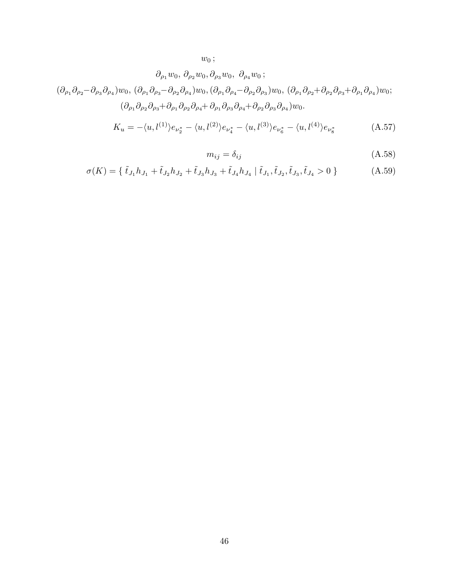$w_0$  ;

$$
\partial_{\rho_1} w_0, \partial_{\rho_2} w_0, \partial_{\rho_3} w_0, \partial_{\rho_4} w_0 ;
$$
  
\n
$$
(\partial_{\rho_1} \partial_{\rho_2} - \partial_{\rho_3} \partial_{\rho_4}) w_0, (\partial_{\rho_1} \partial_{\rho_3} - \partial_{\rho_2} \partial_{\rho_4}) w_0, (\partial_{\rho_1} \partial_{\rho_4} - \partial_{\rho_2} \partial_{\rho_3}) w_0, (\partial_{\rho_1} \partial_{\rho_2} + \partial_{\rho_2} \partial_{\rho_3} + \partial_{\rho_1} \partial_{\rho_4}) w_0 ;
$$
  
\n
$$
(\partial_{\rho_1} \partial_{\rho_2} \partial_{\rho_3} + \partial_{\rho_1} \partial_{\rho_2} \partial_{\rho_4} + \partial_{\rho_1} \partial_{\rho_3} \partial_{\rho_4} + \partial_{\rho_2} \partial_{\rho_3} \partial_{\rho_4}) w_0.
$$
  
\n
$$
K_u = -\langle u, l^{(1)} \rangle e_{\nu_2^*} - \langle u, l^{(2)} \rangle e_{\nu_4^*} - \langle u, l^{(3)} \rangle e_{\nu_6^*} - \langle u, l^{(4)} \rangle e_{\nu_8^*}
$$
 (A.57)

$$
m_{ij} = \delta_{ij} \tag{A.58}
$$

$$
\sigma(K) = \{ \tilde{t}_{J_1} h_{J_1} + \tilde{t}_{J_2} h_{J_2} + \tilde{t}_{J_3} h_{J_3} + \tilde{t}_{J_4} h_{J_4} \mid \tilde{t}_{J_1}, \tilde{t}_{J_2}, \tilde{t}_{J_3}, \tilde{t}_{J_4} > 0 \}
$$
\n(A.59)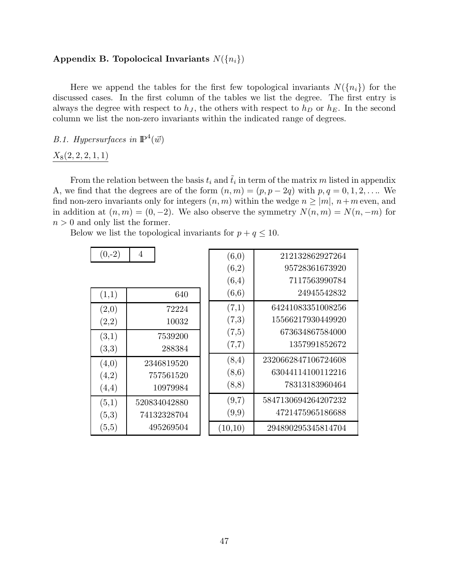## Appendix B. Topolocical Invariants  $N({n_i})$

Here we append the tables for the first few topological invariants  $N({n_i})$  for the discussed cases. In the first column of the tables we list the degree. The first entry is always the degree with respect to  $h_J$ , the others with respect to  $h_D$  or  $h_E$ . In the second column we list the non-zero invariants within the indicated range of degrees.

## B.1. Hypersurfaces in  $\mathbb{P}^4(\vec{w})$

## $X_8(2, 2, 2, 1, 1)$

From the relation between the basis  $t_i$  and  $\tilde{t}_i$  in term of the matrix m listed in appendix A, we find that the degrees are of the form  $(n, m) = (p, p - 2q)$  with  $p, q = 0, 1, 2, \ldots$  We find non-zero invariants only for integers  $(n, m)$  within the wedge  $n \geq |m|$ ,  $n+m$  even, and in addition at  $(n, m) = (0, -2)$ . We also observe the symmetry  $N(n, m) = N(n, -m)$  for  $n > 0$  and only list the former.

Below we list the topological invariants for  $p + q \leq 10$ .

| $(0,-2)$ | $\overline{4}$ | (6,0)   | 212132862927264     |
|----------|----------------|---------|---------------------|
|          |                | (6,2)   | 95728361673920      |
|          |                | (6,4)   | 7117563990784       |
| (1,1)    | 640            | (6,6)   | 24945542832         |
| (2,0)    | 72224          | (7,1)   | 64241083351008256   |
| (2,2)    | 10032          | (7,3)   | 15566217930449920   |
| (3,1)    | 7539200        | (7,5)   | 673634867584000     |
| (3,3)    | 288384         | (7,7)   | 1357991852672       |
| (4,0)    | 2346819520     | (8,4)   | 2320662847106724608 |
| (4,2)    | 757561520      | (8,6)   | 63044114100112216   |
| (4,4)    | 10979984       | (8,8)   | 78313183960464      |
| (5,1)    | 520834042880   | (9,7)   | 5847130694264207232 |
| (5,3)    | 74132328704    | (9,9)   | 4721475965186688    |
| (5,5)    | 495269504      | (10,10) | 294890295345814704  |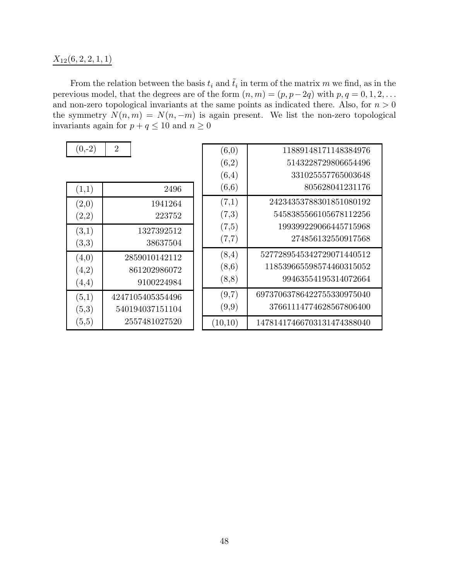## $X_{12}(6, 2, 2, 1, 1)$

From the relation between the basis  $t_i$  and  $\tilde{t}_i$  in term of the matrix m we find, as in the perevious model, that the degrees are of the form  $(n, m) = (p, p-2q)$  with  $p, q = 0, 1, 2, \ldots$ and non-zero topological invariants at the same points as indicated there. Also, for  $n > 0$ the symmetry  $N(n, m) = N(n, -m)$  is again present. We list the non-zero topological invariants again for  $p + q \le 10$  and  $n \ge 0$ 

| $(0,-2)$ | $\overline{2}$   | (6,0)   | 11889148171148384976       |
|----------|------------------|---------|----------------------------|
|          |                  | (6,2)   | 5143228729806654496        |
|          |                  | (6,4)   | 331025557765003648         |
| (1,1)    | 2496             | (6,6)   | 805628041231176            |
| (2,0)    | 1941264          | (7,1)   | 24234353788301851080192    |
| (2,2)    | 223752           | (7,3)   | 5458385566105678112256     |
| (3,1)    | 1327392512       | (7,5)   | 199399229066445715968      |
| (3,3)    | 38637504         | (7,7)   | 274856132550917568         |
| (4,0)    | 2859010142112    | (8,4)   | 5277289545342729071440512  |
| (4,2)    | 861202986072     | (8,6)   | 118539665598574460315052   |
| (4,4)    | 9100224984       | (8,8)   | 99463554195314072664       |
| (5,1)    | 4247105405354496 | (9,7)   | 69737063786422755330975040 |
| (5,3)    | 540194037151104  | (9,9)   | 37661114774628567806400    |
| (5,5)    | 2557481027520    | (10,10) | 14781417466703131474388040 |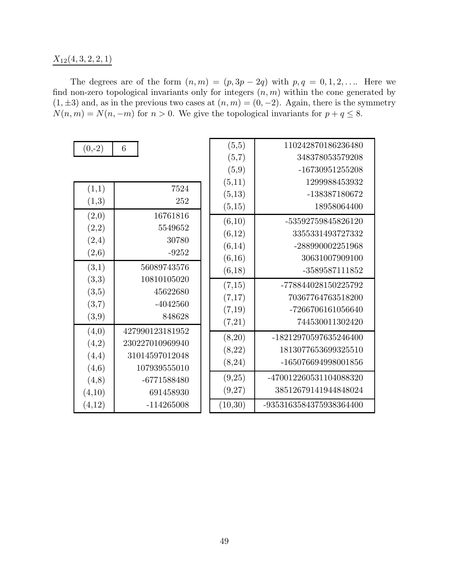## $X_{12}(4,3,2,2,1)$

The degrees are of the form  $(n, m) = (p, 3p - 2q)$  with  $p, q = 0, 1, 2, \ldots$ . Here we find non-zero topological invariants only for integers  $(n, m)$  within the cone generated by  $(1, \pm 3)$  and, as in the previous two cases at  $(n, m) = (0, -2)$ . Again, there is the symmetry  $N(n, m) = N(n, -m)$  for  $n > 0$ . We give the topological invariants for  $p + q \leq 8$ .

г

| $(0,-2)$ |  |
|----------|--|
|----------|--|

| (1,1)  | 7524            |  |
|--------|-----------------|--|
| (1,3)  | 252             |  |
| (2,0)  | 16761816        |  |
| (2,2)  | 5549652         |  |
| (2,4)  | 30780           |  |
| (2,6)  | $-9252$         |  |
| (3,1)  | 56089743576     |  |
| (3,3)  | 10810105020     |  |
| (3,5)  | 45622680        |  |
| (3,7)  | $-4042560$      |  |
| (3,9)  | 848628          |  |
| (4,0)  | 427990123181952 |  |
| (4,2)  | 230227010969940 |  |
| (4,4)  | 31014597012048  |  |
| (4,6)  | 107939555010    |  |
| (4,8)  | -6771588480     |  |
| (4,10) | 691458930       |  |
| (4,12) | $-114265008$    |  |

| (5,5)   | 110242870186236480      |
|---------|-------------------------|
| (5,7)   | 348378053579208         |
| (5,9)   | -16730951255208         |
| (5,11)  | 1299988453932           |
| (5,13)  | -138387180672           |
| (5,15)  | 18958064400             |
| (6,10)  | -53592759845826120      |
| (6,12)  | 3355331493727332        |
| (6,14)  | -288990002251968        |
| (6,16)  | 30631007909100          |
| (6,18)  | -3589587111852          |
| (7,15)  | -778844028150225792     |
| (7,17)  | 70367764763518200       |
| (7,19)  | -7266706161056640       |
| (7,21)  | 744530011302420         |
| (8,20)  | -18212970597635246400   |
| (8,22)  | 1813077653699325510     |
| (8,24)  | -165076694998001856     |
| (9,25)  | -470012260531104088320  |
| (9,27)  | 38512679141944848024    |
| (10,30) | -9353163584375938364400 |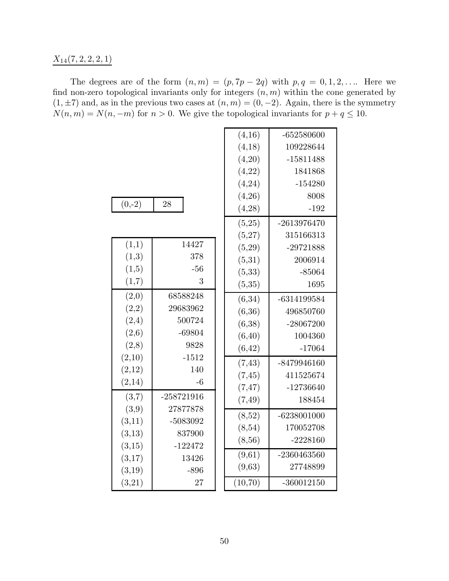$X_{14}(7, 2, 2, 2, 1)$ 

The degrees are of the form  $(n, m) = (p, 7p - 2q)$  with  $p, q = 0, 1, 2, \ldots$  Here we find non-zero topological invariants only for integers  $(n, m)$  within the cone generated by  $(1, \pm 7)$  and, as in the previous two cases at  $(n, m) = (0, -2)$ . Again, there is the symmetry  $N(n, m) = N(n, -m)$  for  $n > 0$ . We give the topological invariants for  $p + q \le 10$ .

|          |              | (4,16)   | $-652580600$  |
|----------|--------------|----------|---------------|
|          |              | (4,18)   | 109228644     |
|          |              | (4,20)   | $-15811488$   |
|          |              | (4,22)   | 1841868       |
|          |              | (4,24)   | $-154280$     |
|          |              | (4,26)   | 8008          |
| $(0,-2)$ | 28           | (4,28)   | $-192$        |
|          |              | (5,25)   | $-2613976470$ |
|          |              | (5,27)   | 315166313     |
| (1,1)    | 14427        | (5,29)   | $-29721888$   |
| (1,3)    | 378          | (5,31)   | 2006914       |
| (1,5)    | $-56$        | (5, 33)  | $-85064$      |
| (1,7)    | 3            | (5,35)   | 1695          |
| (2,0)    | 68588248     | (6,34)   | $-6314199584$ |
| (2,2)    | 29683962     | (6,36)   | 496850760     |
| (2,4)    | 500724       | (6, 38)  | $-28067200$   |
| (2, 6)   | $-69804$     | (6, 40)  | 1004360       |
| (2,8)    | 9828         | (6, 42)  | $-17064$      |
| (2,10)   | $-1512$      | (7, 43)  | $-8479946160$ |
| (2,12)   | 140          | (7, 45)  | 411525674     |
| (2, 14)  | $-6$         | (7, 47)  | $-12736640$   |
| (3,7)    | $-258721916$ | (7, 49)  | 188454        |
| (3,9)    | 27877878     |          | $-6238001000$ |
| (3,11)   | -5083092     | (8,52)   | 170052708     |
| (3,13)   | 837900       | (8,54)   |               |
| (3,15)   | $-122472$    | (8, 56)  | $-2228160$    |
| (3,17)   | 13426        | (9,61)   | $-2360463560$ |
| (3,19)   | $-896$       | (9,63)   | 27748899      |
| (3,21)   | 27           | (10, 70) | $-360012150$  |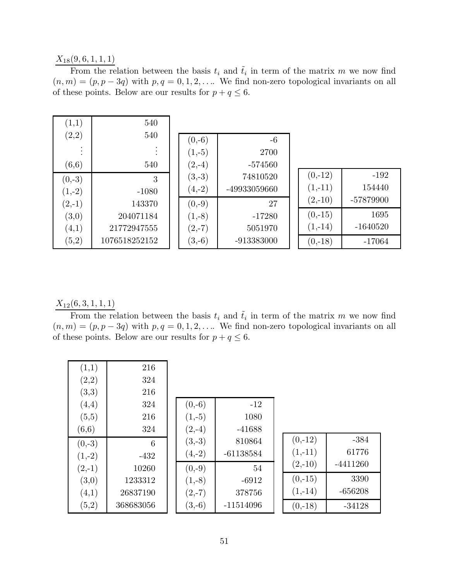## $X_{18}(9,6,1,1,1)$

From the relation between the basis  $t_i$  and  $\tilde{t}_i$  in term of the matrix m we now find  $(n, m) = (p, p - 3q)$  with  $p, q = 0, 1, 2, \ldots$  We find non-zero topological invariants on all of these points. Below are our results for  $p + q \leq 6$ .

| (1,1)    | 540                 |          |              |           |            |
|----------|---------------------|----------|--------------|-----------|------------|
| (2,2)    | 540                 | $(0,-6)$ | $-6$         |           |            |
| ٠        | ٠<br>$\ddot{\cdot}$ | $(1,-5)$ | 2700         |           |            |
| (6, 6)   | 540                 | $(2,-4)$ | $-574560$    |           |            |
| $(0,-3)$ | 3                   | $(3,-3)$ | 74810520     | $(0,-12)$ | $-192$     |
| $(1,-2)$ | $-1080$             | $(4,-2)$ | -49933059660 | $(1,-11)$ | 154440     |
| $(2,-1)$ | 143370              | $(0,-9)$ | 27           | $(2,-10)$ | -57879900  |
| (3,0)    | 204071184           | $(1,-8)$ | $-17280$     | $(0,-15)$ | 1695       |
| (4,1)    | 21772947555         | $(2,-7)$ | 5051970      | $(1,-14)$ | $-1640520$ |
| (5,2)    | 1076518252152       | $(3,-6)$ | $-913383000$ | $(0,-18)$ | $-17064$   |

 $X_{12}(6,3,1,1,1)$ 

From the relation between the basis  $t_i$  and  $\tilde{t}_i$  in term of the matrix m we now find  $(n, m) = (p, p - 3q)$  with  $p, q = 0, 1, 2, \ldots$  We find non-zero topological invariants on all of these points. Below are our results for  $p+q\leq 6.$ 

| (1,1)    | 216       |          |             |           |            |
|----------|-----------|----------|-------------|-----------|------------|
| (2,2)    | 324       |          |             |           |            |
| (3,3)    | 216       |          |             |           |            |
| (4,4)    | 324       | $(0,-6)$ | $-12$       |           |            |
| (5,5)    | 216       | $(1,-5)$ | 1080        |           |            |
| (6, 6)   | 324       | $(2,-4)$ | $-41688$    |           |            |
| $(0,-3)$ | 6         | $(3,-3)$ | 810864      | $(0,-12)$ | $-384$     |
| $(1,-2)$ | $-432$    | $(4,-2)$ | $-61138584$ | $(1,-11)$ | 61776      |
| $(2,-1)$ | 10260     | $(0,-9)$ | 54          | $(2,-10)$ | $-4411260$ |
| (3,0)    | 1233312   | $(1,-8)$ | $-6912$     | $(0,-15)$ | 3390       |
| (4,1)    | 26837190  | $(2,-7)$ | 378756      | $(1,-14)$ | $-656208$  |
| (5,2)    | 368683056 | $(3,-6)$ | $-11514096$ | $(0,-18)$ | $-34128$   |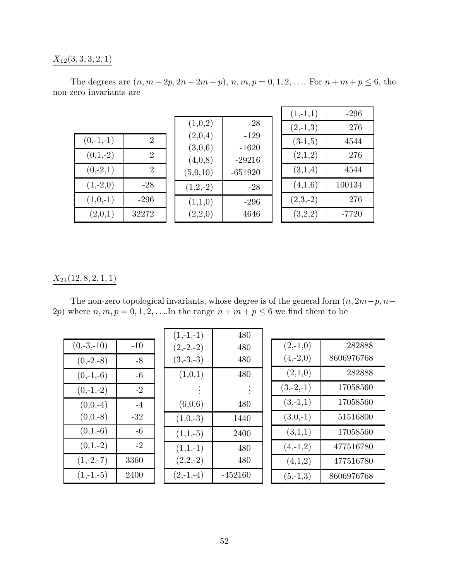## $X_{12}(3, 3, 3, 2, 1)$

|                         |  |  | The degrees are $(n, m-2p, 2n-2m+p)$ , $n, m, p = 0, 1, 2, $ For $n + m + p \le 6$ , the |  |  |
|-------------------------|--|--|------------------------------------------------------------------------------------------|--|--|
| non-zero invariants are |  |  |                                                                                          |  |  |

|                                            |                    |                   | $(1,-1,1)$ | $-296$  |
|--------------------------------------------|--------------------|-------------------|------------|---------|
|                                            | (1,0,2)            | $-28$             | $(2,-1,3)$ | 276     |
| $\mathcal{D}_{\mathcal{L}}$<br>$(0,-1,-1)$ | (2,0,4)<br>(3,0,6) | $-129$<br>$-1620$ | $(3-1,5)$  | 4544    |
| $(0,1,-2)$<br>$\overline{2}$               | (4,0,8)            | $-29216$          | (2,1,2)    | 276     |
| $(0,-2,1)$<br>$\overline{2}$               | (5,0,10)           | $-651920$         | (3,1,4)    | 4544    |
| $(1,-2,0)$<br>$-28$                        | $(1,2,-2)$         | $-28$             | (4,1,6)    | 100134  |
| $(1,0,-1)$<br>$-296$                       | (1,1,0)            | $-296$            | $(2,3,-2)$ | 276     |
| (2,0,1)<br>32272                           | (2,2,0)            | 4646              | (3,2,2)    | $-7720$ |

## $X_{24}(12,8,2,1,1)$

The non-zero topological invariants, whose degree is of the general form  $(n, 2m-p, n-p)$ 2p) where  $n, m, p = 0, 1, 2, \ldots$  In the range  $n + m + p \leq 6$  we find them to be

|              |       | $(1,-1,-1)$ | 480       |
|--------------|-------|-------------|-----------|
| $(0,-3,-10)$ | $-10$ | $(2,-2,-2)$ | 480       |
| $(0,-2,-8)$  | $-8$  | $(3,-3,-3)$ | 480       |
| $(0,-1,-6)$  | $-6$  | (1,0,1)     | 480       |
| $(0,-1,-2)$  | $-2$  |             |           |
| $(0,0,-4)$   | $-4$  | (6,0,6)     | 480       |
| $(0,0,-8)$   | $-32$ | $(1,0,-3)$  | 1440      |
| $(0,1,-6)$   | $-6$  | $(1,1,-5)$  | 2400      |
| $(0,1,-2)$   | $-2$  | $(1,1,-1)$  | 480       |
| $(1,-2,-7)$  | 3360  | $(2,2,-2)$  | 480       |
| $(1,-1,-5)$  | 2400  | $(2,-1,-4)$ | $-452160$ |

| $(2,-1,0)$  | 282888     |
|-------------|------------|
| $(4,-2,0)$  | 8606976768 |
| (2,1,0)     | 282888     |
| $(3,-2,-1)$ | 17058560   |
| $(3,-1,1)$  | 17058560   |
| $(3,0,-1)$  | 51516800   |
| (3,1,1)     | 17058560   |
| $(4,-1,2)$  | 477516780  |
| (4,1,2)     | 477516780  |
| $(5,-1,3)$  | 8606976768 |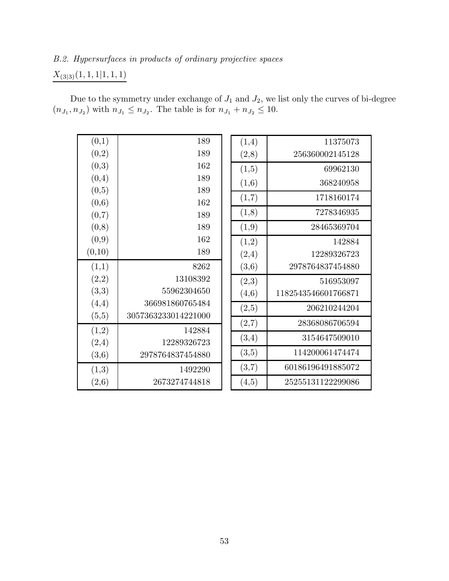## B.2. Hypersurfaces in products of ordinary projective spaces

## $X_{\left(3|3\right)} (1,1,1|1,1,1)$

Due to the symmetry under exchange of  $J_1$  and  $J_2$ , we list only the curves of bi-degree  $(n_{J_1}, n_{J_2})$  with  $n_{J_1} \leq n_{J_2}$ . The table is for  $n_{J_1} + n_{J_2} \leq 10$ .

(1,4) 11375073

69962130 (1,6) 368240958 1718160174

(1,8) 7278346935

28465369704

(2,4) 12289326723

(2,3) 516953097

(2,5) 206210244204

(2,7) 28368086706594

(3,4) 3154647509010

(3,5) 114200061474474

(3,7) 60186196491885072

(4,5) 25255131122299086

(3,6) 2978764837454880

(4,6) 1182543546601766871

142884

(2,8) 256360002145128

| (0,1)  | 189                 | (1,4) |
|--------|---------------------|-------|
| (0,2)  | 189                 | (2,8) |
| (0,3)  | 162                 | (1,5) |
| (0,4)  | 189                 | (1,6) |
| (0,5)  | 189                 |       |
| (0,6)  | 162                 | (1,7) |
| (0,7)  | 189                 | (1,8) |
| (0,8)  | 189                 | (1,9) |
| (0,9)  | 162                 | (1,2) |
| (0,10) | 189                 | (2,4) |
| (1,1)  | 8262                | (3,6) |
| (2,2)  | 13108392            | (2,3) |
| (3,3)  | 55962304650         | (4,6) |
| (4,4)  | 366981860765484     | (2,5) |
| (5,5)  | 3057363233014221000 | (2,7) |
| (1,2)  | 142884              |       |
| (2,4)  | 12289326723         | (3,4) |
| (3,6)  | 2978764837454880    | (3,5) |
| (1,3)  | 1492290             | (3,7) |
| (2,6)  | 2673274744818       | (4,5) |
|        |                     |       |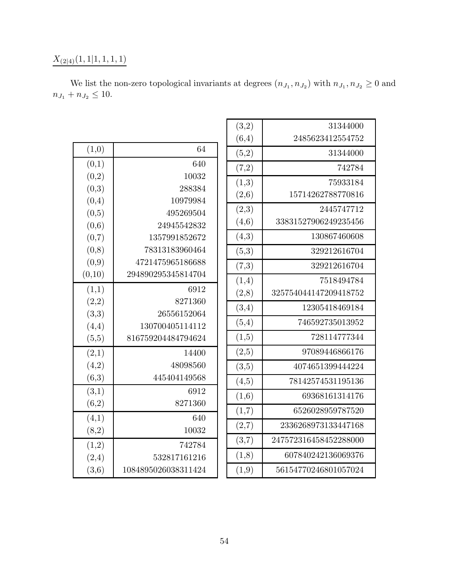# $X_{(2|4)}(1,1|1,1,1,1)$

| (3,2)  | 31344000              |
|--------|-----------------------|
| (6,4)  | 2485623412554752      |
| (5,2)  | 31344000              |
| (7,2)  | 742784                |
| (1,3)  | 75933184              |
| (2, 6) | 15714262788770816     |
| (2,3)  | 2445747712            |
| (4, 6) | 33831527906249235456  |
| (4,3)  | 130867460608          |
| (5,3)  | 329212616704          |
| (7,3)  | 329212616704          |
| (1,4)  | 7518494784            |
| (2,8)  | 325754044147209418752 |
| (3,4)  | 12305418469184        |
| (5,4)  | 746592735013952       |
| (1,5)  | 728114777344          |
| (2,5)  | 97089446866176        |
| (3,5)  | 4074651399444224      |
| (4,5)  | 78142574531195136     |
| (1,6)  | 69368161314176        |
| (1,7)  | 6526028959787520      |
| (2,7)  | 2336268973133447168   |
| (3,7)  | 247572316458452288000 |
| (1,8)  | 607840242136069376    |
| (1,9)  | 56154770246801057024  |
|        |                       |

| We list the non-zero topological invariants at degrees $(n_{J_1}, n_{J_2})$ with $n_{J_1}, n_{J_2} \geq 0$ and |  |  |  |
|----------------------------------------------------------------------------------------------------------------|--|--|--|
| $n_{J_1} + n_{J_2} \leq 10.$                                                                                   |  |  |  |

| (1,0)  | 64                  |
|--------|---------------------|
| (0,1)  | 640                 |
| (0,2)  | 10032               |
| (0,3)  | 288384              |
| (0,4)  | 10979984            |
| (0,5)  | 495269504           |
| (0,6)  | 24945542832         |
| (0,7)  | 1357991852672       |
| (0,8)  | 78313183960464      |
| (0,9)  | 4721475965186688    |
| (0,10) | 294890295345814704  |
| (1,1)  | 6912                |
| (2,2)  | 8271360             |
| (3,3)  | 26556152064         |
| (4,4)  | 130700405114112     |
| (5,5)  | 816759204484794624  |
| (2,1)  | 14400               |
| (4,2)  | 48098560            |
| (6,3)  | 445404149568        |
| (3,1)  | 6912                |
| (6,2)  | 8271360             |
| (4,1)  | 640                 |
| (8,2)  | 10032               |
| (1,2)  | 742784              |
| (2,4)  | 532817161216        |
| (3,6)  | 1084895026038311424 |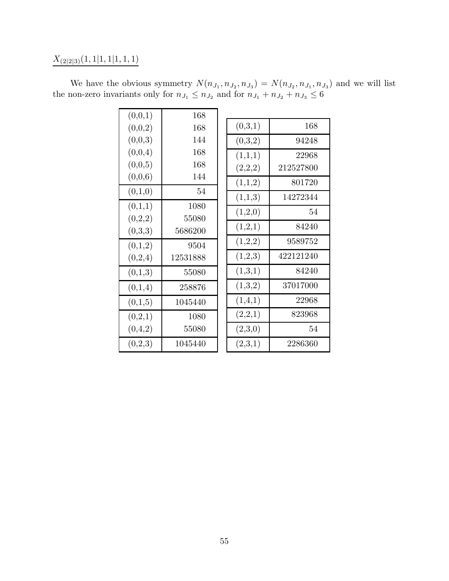# $X_{\left(2|2|3\right)} (1,1|1,1|1,1,1)$

| (0,0,1) | 168      |         |           |
|---------|----------|---------|-----------|
| (0,0,2) | 168      | (0,3,1) | 168       |
| (0,0,3) | 144      | (0,3,2) | 94248     |
| (0,0,4) | 168      | (1,1,1) | 22968     |
| (0,0,5) | 168      | (2,2,2) | 212527800 |
| (0,0,6) | 144      | (1,1,2) | 801720    |
| (0,1,0) | 54       |         |           |
| (0,1,1) | 1080     | (1,1,3) | 14272344  |
| (0,2,2) | 55080    | (1,2,0) | 54        |
| (0,3,3) | 5686200  | (1,2,1) | 84240     |
|         |          |         | 9589752   |
| (0,1,2) | 9504     | (1,2,2) |           |
| (0,2,4) | 12531888 | (1,2,3) | 422121240 |
| (0,1,3) | 55080    | (1,3,1) | 84240     |
| (0,1,4) | 258876   | (1,3,2) | 37017000  |
| (0,1,5) | 1045440  | (1,4,1) | 22968     |
| (0,2,1) | 1080     | (2,2,1) | 823968    |
| (0,4,2) | 55080    | (2,3,0) | 54        |
| (0,2,3) | 1045440  | (2,3,1) | 2286360   |
|         |          |         |           |

We have the obvious symmetry  $N(n_{J_1}, n_{J_2}, n_{J_3}) = N(n_{J_2}, n_{J_1}, n_{J_3})$  and we will list the non-zero invariants only for  $n_{J_1} \leq n_{J_2}$  and for  $n_{J_1} + n_{J_2} + n_{J_3} \leq 6$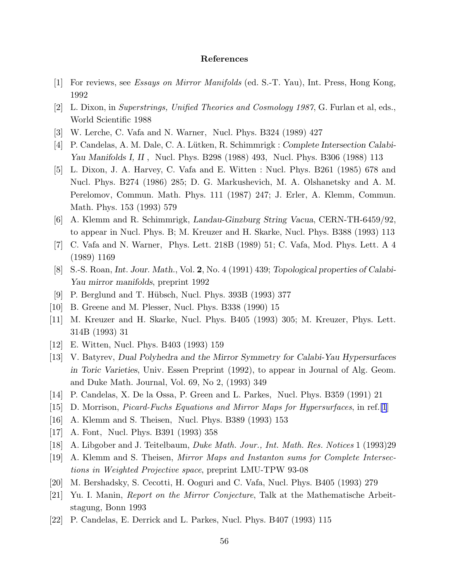## References

- <span id="page-56-0"></span>[1] For reviews, see Essays on Mirror Manifolds (ed. S.-T. Yau), Int. Press, Hong Kong, 1992
- [2] L. Dixon, in Superstrings, Unified Theories and Cosmology 1987, G. Furlan et al, eds., World Scientific 1988
- [3] W. Lerche, C. Vafa and N. Warner, Nucl. Phys. B324 (1989) 427
- [4] P. Candelas, A. M. Dale, C. A. Lütken, R. Schimmrigk : Complete Intersection Calabi-Yau Manifolds I, II , Nucl. Phys. B298 (1988) 493, Nucl. Phys. B306 (1988) 113
- [5] L. Dixon, J. A. Harvey, C. Vafa and E. Witten : Nucl. Phys. B261 (1985) 678 and Nucl. Phys. B274 (1986) 285; D. G. Markushevich, M. A. Olshanetsky and A. M. Perelomov, Commun. Math. Phys. 111 (1987) 247; J. Erler, A. Klemm, Commun. Math. Phys. 153 (1993) 579
- [6] A. Klemm and R. Schimmrigk, Landau-Ginzburg String Vacua, CERN-TH-6459/92, to appear in Nucl. Phys. B; M. Kreuzer and H. Skarke, Nucl. Phys. B388 (1993) 113
- [7] C. Vafa and N. Warner, Phys. Lett. 218B (1989) 51; C. Vafa, Mod. Phys. Lett. A 4 (1989) 1169
- [8] S.-S. Roan, Int. Jour. Math., Vol. 2, No. 4 (1991) 439; Topological properties of Calabi-Yau mirror manifolds, preprint 1992
- [9] P. Berglund and T. Hübsch, Nucl. Phys. 393B (1993) 377
- [10] B. Greene and M. Plesser, Nucl. Phys. B338 (1990) 15
- [11] M. Kreuzer and H. Skarke, Nucl. Phys. B405 (1993) 305; M. Kreuzer, Phys. Lett. 314B (1993) 31
- [12] E. Witten, Nucl. Phys. B403 (1993) 159
- [13] V. Batyrev, Dual Polyhedra and the Mirror Symmetry for Calabi-Yau Hypersurfaces in Toric Varieties, Univ. Essen Preprint (1992), to appear in Journal of Alg. Geom. and Duke Math. Journal, Vol. 69, No 2, (1993) 349
- [14] P. Candelas, X. De la Ossa, P. Green and L. Parkes, Nucl. Phys. B359 (1991) 21
- [15] D. Morrison, Picard-Fuchs Equations and Mirror Maps for Hypersurfaces, in ref.[1]
- [16] A. Klemm and S. Theisen, Nucl. Phys. B389 (1993) 153
- [17] A. Font, Nucl. Phys. B391 (1993) 358
- [18] A. Libgober and J. Teitelbaum, Duke Math. Jour., Int. Math. Res. Notices 1 (1993)29
- [19] A. Klemm and S. Theisen, Mirror Maps and Instanton sums for Complete Intersections in Weighted Projective space, preprint LMU-TPW 93-08
- [20] M. Bershadsky, S. Cecotti, H. Ooguri and C. Vafa, Nucl. Phys. B405 (1993) 279
- [21] Yu. I. Manin, Report on the Mirror Conjecture, Talk at the Mathematische Arbeitstagung, Bonn 1993
- [22] P. Candelas, E. Derrick and L. Parkes, Nucl. Phys. B407 (1993) 115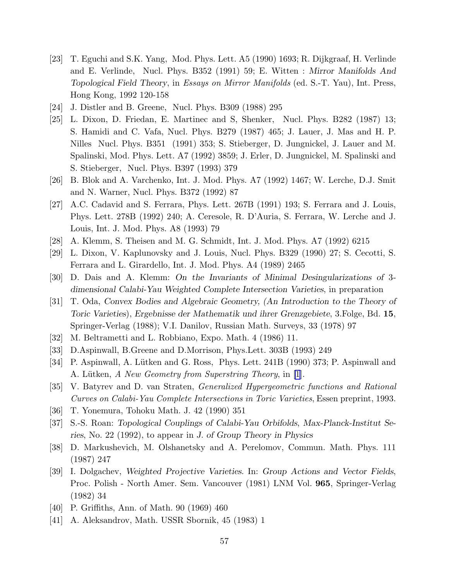- <span id="page-57-0"></span>[23] T. Eguchi and S.K. Yang, Mod. Phys. Lett. A5 (1990) 1693; R. Dijkgraaf, H. Verlinde and E. Verlinde, Nucl. Phys. B352 (1991) 59; E. Witten : Mirror Manifolds And Topological Field Theory, in Essays on Mirror Manifolds (ed. S.-T. Yau), Int. Press, Hong Kong, 1992 120-158
- [24] J. Distler and B. Greene, Nucl. Phys. B309 (1988) 295
- [25] L. Dixon, D. Friedan, E. Martinec and S, Shenker, Nucl. Phys. B282 (1987) 13; S. Hamidi and C. Vafa, Nucl. Phys. B279 (1987) 465; J. Lauer, J. Mas and H. P. Nilles Nucl. Phys. B351 (1991) 353; S. Stieberger, D. Jungnickel, J. Lauer and M. Spalinski, Mod. Phys. Lett. A7 (1992) 3859; J. Erler, D. Jungnickel, M. Spalinski and S. Stieberger, Nucl. Phys. B397 (1993) 379
- [26] B. Blok and A. Varchenko, Int. J. Mod. Phys. A7 (1992) 1467; W. Lerche, D.J. Smit and N. Warner, Nucl. Phys. B372 (1992) 87
- [27] A.C. Cadavid and S. Ferrara, Phys. Lett. 267B (1991) 193; S. Ferrara and J. Louis, Phys. Lett. 278B (1992) 240; A. Ceresole, R. D'Auria, S. Ferrara, W. Lerche and J. Louis, Int. J. Mod. Phys. A8 (1993) 79
- [28] A. Klemm, S. Theisen and M. G. Schmidt, Int. J. Mod. Phys. A7 (1992) 6215
- [29] L. Dixon, V. Kaplunovsky and J. Louis, Nucl. Phys. B329 (1990) 27; S. Cecotti, S. Ferrara and L. Girardello, Int. J. Mod. Phys. A4 (1989) 2465
- [30] D. Dais and A. Klemm: On the Invariants of Minimal Desingularizations of 3 dimensional Calabi-Yau Weighted Complete Intersection Varieties, in preparation
- [31] T. Oda, Convex Bodies and Algebraic Geometry, (An Introduction to the Theory of Toric Varieties), Ergebnisse der Mathematik und ihrer Grenzgebiete, 3.Folge, Bd. 15, Springer-Verlag (1988); V.I. Danilov, Russian Math. Surveys, 33 (1978) 97
- [32] M. Beltrametti and L. Robbiano, Expo. Math. 4 (1986) 11.
- [33] D.Aspinwall, B.Greene and D.Morrison, Phys.Lett. 303B (1993) 249
- [34] P. Aspinwall, A. Lütken and G. Ross, Phys. Lett. 241B (1990) 373; P. Aspinwall and A. Lütken, A New Geometry from Superstring Theory, in [\[1](#page-56-0)].
- [35] V. Batyrev and D. van Straten, Generalized Hypergeometric functions and Rational Curves on Calabi-Yau Complete Intersections in Toric Varieties, Essen preprint, 1993.
- [36] T. Yonemura, Tohoku Math. J. 42 (1990) 351
- [37] S.-S. Roan: Topological Couplings of Calabi-Yau Orbifolds, Max-Planck-Institut Series, No. 22 (1992), to appear in J. of Group Theory in Physics
- [38] D. Markushevich, M. Olshanetsky and A. Perelomov, Commun. Math. Phys. 111 (1987) 247
- [39] I. Dolgachev, Weighted Projective Varieties. In: Group Actions and Vector Fields, Proc. Polish - North Amer. Sem. Vancouver (1981) LNM Vol. 965, Springer-Verlag (1982) 34
- [40] P. Griffiths, Ann. of Math. 90 (1969) 460
- [41] A. Aleksandrov, Math. USSR Sbornik, 45 (1983) 1